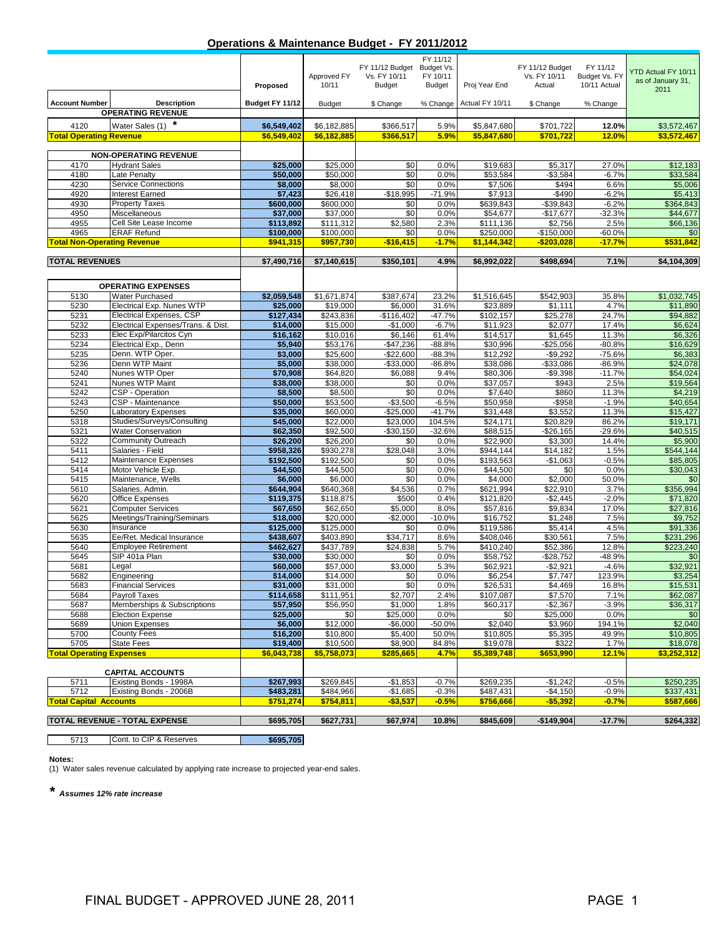|  | Operations & Maintenance Budget - FY 2011/2012 |  |  |
|--|------------------------------------------------|--|--|
|  |                                                |  |  |

|                                    |                                      |                 |               |                            | FY 11/12      |                 |                 |               |                     |
|------------------------------------|--------------------------------------|-----------------|---------------|----------------------------|---------------|-----------------|-----------------|---------------|---------------------|
|                                    |                                      |                 |               | FY 11/12 Budget Budget Vs. |               |                 | FY 11/12 Budget | FY 11/12      |                     |
|                                    |                                      |                 | Approved FY   | Vs. FY 10/11               | FY 10/11      |                 | Vs. FY 10/11    | Budget Vs. FY | YTD Actual FY 10/11 |
|                                    |                                      | Proposed        | 10/11         | Budget                     | <b>Budget</b> | Proj Year End   | Actual          | 10/11 Actual  | as of January 31,   |
|                                    |                                      |                 |               |                            |               |                 |                 |               | 2011                |
|                                    |                                      |                 |               |                            |               |                 |                 |               |                     |
| <b>Account Number</b>              | <b>Description</b>                   | Budget FY 11/12 | <b>Budget</b> | \$ Change                  | % Change      | Actual FY 10/11 | \$ Change       | % Change      |                     |
|                                    | <b>OPERATING REVENUE</b>             |                 |               |                            |               |                 |                 |               |                     |
| 4120                               | Water Sales (1)                      | \$6,549,402     | \$6,182,885   | \$366,517                  | 5.9%          | \$5,847,680     | \$701,722       | 12.0%         | \$3,572,467         |
|                                    |                                      |                 |               |                            |               |                 |                 |               |                     |
| <b>Total Operating Revenue</b>     |                                      | \$6,549,402     | \$6,182,885   | \$366,517                  | 5.9%          | \$5,847,680     | \$701,722       | 12.0%         | \$3,572,467         |
|                                    |                                      |                 |               |                            |               |                 |                 |               |                     |
|                                    | <b>NON-OPERATING REVENUE</b>         |                 |               |                            |               |                 |                 |               |                     |
| 4170                               | <b>Hydrant Sales</b>                 | \$25,000        | \$25,000      | \$0                        | 0.0%          | \$19,683        | \$5,317         | 27.0%         | \$12,183            |
| 4180                               | Late Penalty                         | \$50,000        | \$50,000      | \$0                        | 0.0%          | \$53,584        | $-$3,584$       | $-6.7%$       | \$33,584            |
|                                    |                                      |                 |               |                            |               |                 |                 |               |                     |
| 4230                               | <b>Service Connections</b>           | \$8,000         | \$8,000       | \$0                        | 0.0%          | \$7,506         | \$494           | 6.6%          | \$5,006             |
| 4920                               | <b>Interest Earned</b>               | \$7,423         | \$26,418      | $-$18,995$                 | $-71.9%$      | \$7,913         | $-$490$         | $-6.2%$       | \$5,413             |
| 4930                               | <b>Property Taxes</b>                | \$600,000       | \$600,000     | \$0                        | 0.0%          | \$639,843       | $-$39,843$      | $-6.2%$       | \$364,843           |
| 4950                               | Miscellaneous                        | \$37,000        | \$37,000      | \$0                        | 0.0%          | \$54,677        | $-$17,677$      | $-32.3%$      | \$44,677            |
| 4955                               | Cell Site Lease Income               | \$113,892       | \$111,312     | \$2,580                    | 2.3%          | \$111,136       | \$2,756         | 2.5%          | \$66,136            |
|                                    |                                      |                 |               |                            |               |                 |                 |               |                     |
| 4965                               | <b>ERAF Refund</b>                   | \$100,000       | \$100,000     | \$0                        | 0.0%          | \$250,000       | $-$150,000$     | $-60.0%$      | \$0                 |
| <b>Total Non-Operating Revenue</b> |                                      | \$941,315       | \$957,730     | $-$16,415$                 | $-1.7%$       | \$1,144,342     | -\$203,028      | $-17.7%$      | \$531,842           |
|                                    |                                      |                 |               |                            |               |                 |                 |               |                     |
| <b>TOTAL REVENUES</b>              |                                      | \$7,490,716     | \$7,140,615   | \$350,101                  | 4.9%          | \$6,992,022     | \$498,694       | 7.1%          | \$4,104,309         |
|                                    |                                      |                 |               |                            |               |                 |                 |               |                     |
|                                    |                                      |                 |               |                            |               |                 |                 |               |                     |
|                                    | <b>OPERATING EXPENSES</b>            |                 |               |                            |               |                 |                 |               |                     |
| 5130                               | Water Purchased                      | \$2,059,548     | \$1,671,874   | \$387,674                  | 23.2%         | \$1,516,645     | \$542,903       | 35.8%         | \$1,032,745         |
| 5230                               | Electrical Exp. Nunes WTP            | \$25,000        | \$19,000      | \$6,000                    | 31.6%         | \$23,889        | \$1,111         | 4.7%          | \$11,890            |
|                                    |                                      |                 |               |                            |               |                 |                 |               |                     |
| 5231                               | <b>Electrical Expenses, CSP</b>      | \$127,434       | \$243,836     | $-$116,402$                | $-47.7%$      | \$102,157       | \$25,278        | 24.7%         | \$94,882            |
| 5232                               | Electrical Expenses/Trans. & Dist.   | \$14,000        | \$15,000      | $-$1,000$                  | $-6.7%$       | \$11,923        | \$2,077         | 17.4%         | \$6,624             |
| 5233                               | Elec Exp/Pilarcitos Cyn              | \$16,162        | \$10,016      | \$6,146                    | 61.4%         | \$14,517        | \$1,645         | 11.3%         | \$6,326             |
| 5234                               | Electrical Exp., Denn                | \$5,940         | \$53,176      | -\$47,236                  | $-88.8%$      | \$30,996        | $-$ \$25,056    | $-80.8%$      | \$16,629            |
| 5235                               | Denn. WTP Oper.                      | \$3,000         | \$25,600      | $-$22,600$                 | $-88.3%$      | \$12,292        | $-$9,292$       | $-75.6%$      | \$6,383             |
| 5236                               | Denn WTP Maint                       | \$5,000         | \$38,000      | $-$33,000$                 |               |                 |                 | $-86.9%$      | \$24,078            |
|                                    |                                      |                 |               |                            | $-86.8%$      | \$38,086        | $-$33,086$      |               |                     |
| 5240                               | Nunes WTP Oper                       | \$70,908        | \$64,820      | \$6,088                    | 9.4%          | \$80,306        | $-$9,398$       | $-11.7%$      | \$54,024            |
| 5241                               | Nunes WTP Maint                      | \$38,000        | \$38,000      | \$0                        | 0.0%          | \$37,057        | \$943           | 2.5%          | \$19,564            |
| 5242                               | CSP - Operation                      | \$8,500         | \$8,500       | \$0                        | 0.0%          | \$7,640         | \$860           | 11.3%         | \$4,219             |
| 5243                               | CSP - Maintenance                    | \$50,000        | \$53,500      | $-$3,500$                  | $-6.5%$       | \$50,958        | $-$ \$958       | $-1.9%$       | \$40,654            |
| 5250                               | <b>Laboratory Expenses</b>           | \$35,000        | \$60,000      | $-$25,000$                 | $-41.7%$      | \$31,448        | \$3,552         | 11.3%         | \$15,427            |
|                                    |                                      |                 |               |                            |               |                 |                 |               |                     |
| 5318                               | Studies/Surveys/Consulting           | \$45,000        | \$22,000      | \$23,000                   | 104.5%        | \$24,171        | \$20,829        | 86.2%         | \$19,171            |
| 5321                               | <b>Water Conservation</b>            | \$62,350        | \$92,500      | $-$30,150$                 | $-32.6%$      | \$88,515        | $-$26,165$      | $-29.6%$      | \$40,515            |
| 5322                               | <b>Community Outreach</b>            | \$26,200        | \$26,200      | \$0                        | 0.0%          | \$22,900        | \$3,300         | 14.4%         | \$5,900             |
| 5411                               | Salaries - Field                     | \$958,326       | \$930,278     | \$28,048                   | 3.0%          | \$944,144       | \$14,182        | 1.5%          | \$544,144           |
| 5412                               | Maintenance Expenses                 | \$192,500       | \$192,500     | \$0                        | 0.0%          | \$193,563       | $-$1,063$       | $-0.5%$       | \$85,805            |
|                                    |                                      |                 |               |                            |               |                 |                 |               |                     |
| 5414                               | Motor Vehicle Exp.                   | \$44,500        | \$44,500      | \$0                        | 0.0%          | \$44,500        | \$0             | 0.0%          | \$30,043            |
| 5415                               | Maintenance, Wells                   | \$6,000         | \$6,000       | \$0                        | 0.0%          | \$4,000         | \$2,000         | 50.0%         | \$0                 |
| 5610                               | Salaries, Admin.                     | \$644,904       | \$640,368     | \$4,536                    | 0.7%          | \$621,994       | \$22,910        | 3.7%          | \$356,994           |
| 5620                               | <b>Office Expenses</b>               | \$119,375       | \$118,875     | \$500                      | 0.4%          | \$121,820       | $-$2,445$       | $-2.0%$       | \$71,820            |
| 5621                               | <b>Computer Services</b>             | \$67,650        | \$62,650      | \$5,000                    | 8.0%          | \$57,816        | \$9,834         | 17.0%         | \$27,816            |
| 5625                               | Meetings/Training/Seminars           |                 |               | $-$2,000$                  | $-10.0%$      |                 |                 | 7.5%          | \$9,752             |
|                                    |                                      | \$18,000        | \$20,000      |                            |               | \$16,752        | \$1,248         |               |                     |
| 5630                               | Insurance                            | \$125,000       | \$125,000     | \$0                        | 0.0%          | \$119,586       | \$5,414         | 4.5%          | \$91,336            |
| 5635                               | Ee/Ret. Medical Insurance            | \$438,607       | \$403,890     | \$34,717                   | 8.6%          | \$408,046       | \$30,561        | 7.5%          | \$231,296           |
| 5640                               | <b>Employee Retirement</b>           | \$462,627       | \$437,789     | \$24.838                   | 5.7%          | \$410,240       | \$52,386        | 12.8%         | \$223,240           |
| 5645                               | SIP 401a Plan                        | \$30,000        | \$30,000      | \$0                        | 0.0%          | \$58,752        | $-$ \$28,752    | -48.9%        | \$0                 |
| 5681                               | Legal                                | \$60,000        | \$57,000      | \$3,000                    | 5.3%          | \$62,921        | $-$2,921$       | $-4.6%$       | \$32,921            |
|                                    | Engineering                          |                 |               |                            |               |                 |                 | 123.9%        | \$3,254             |
| 5682                               |                                      | \$14,000        | \$14,000      | \$0                        | 0.0%          | \$6,254         | \$7,747         |               |                     |
| 5683                               | <b>Financial Services</b>            | \$31,000        | \$31,000      | \$0                        | 0.0%          | \$26,531        | \$4,469         | 16.8%         | \$15,531            |
| 5684                               | Payroll Taxes                        | \$114,658       | \$111,951     | \$2,707                    | 2.4%          | \$107,087       | \$7,570         | 7.1%          | \$62,087            |
| 5687                               | Memberships & Subscriptions          | \$57,950        | \$56,950      | \$1,000                    | 1.8%          | \$60,317        | $-$2,367$       | $-3.9%$       | \$36,317            |
| 5688                               | <b>Election Expense</b>              | \$25,000        | \$0           | \$25,000                   | 0.0%          | \$0             | \$25,000        | 0.0%          | \$0                 |
| 5689                               | <b>Union Expenses</b>                | \$6,000         | \$12,000      | $-$6,000$                  | $-50.0%$      | \$2,040         | \$3,960         | 194.1%        | \$2,040             |
|                                    |                                      |                 |               |                            |               |                 |                 |               |                     |
| 5700                               | County Fees                          | \$16,200        | \$10,800      | \$5,400                    | 50.0%         | \$10,805        | \$5,395         | 49.9%         | \$10,805            |
| 5705                               | <b>State Fees</b>                    | \$19,400        | \$10,500      | \$8,900                    | 84.8%         | \$19,078        | \$322           | 1.7%          | \$18,078            |
| <b>Total Operating Expenses</b>    |                                      | \$6,043,738     | \$5,758,073   | \$285,665                  | 4.7%          | \$5,389,748     | \$653,990       | 12.1%         | \$3,252,312         |
|                                    |                                      |                 |               |                            |               |                 |                 |               |                     |
|                                    | <b>CAPITAL ACCOUNTS</b>              |                 |               |                            |               |                 |                 |               |                     |
| 5711                               | Existing Bonds - 1998A               | \$267,993       | \$269,845     | $-$1,853$                  | $-0.7%$       | \$269,235       | $-$1,242$       | $-0.5%$       | \$250,235           |
|                                    |                                      |                 |               |                            |               |                 |                 |               |                     |
| 5712                               | Existing Bonds - 2006B               | \$483,281       | \$484,966     | $-$1,685$                  | $-0.3%$       | \$487,431       | $-$4,150$       | $-0.9%$       | \$337,431           |
| <b>Total Capital Accounts</b>      |                                      | \$751,274       | \$754,811     | $-$3,537$                  | $-0.5%$       | \$756,666       | $-$5,392$       | $-0.7%$       | \$587,666           |
|                                    |                                      |                 |               |                            |               |                 |                 |               |                     |
|                                    | <b>TOTAL REVENUE - TOTAL EXPENSE</b> | \$695,705       | \$627,731     | \$67,974                   | 10.8%         | \$845,609       | $-$149,904$     | $-17.7%$      | \$264,332           |

Cont. to CIP & Reserves **\$695,705** 

**Notes:**<br>(1) Water sales revenue calculated by applying rate increase to projected year-end sales.

*\* Assumes 12% rate increase*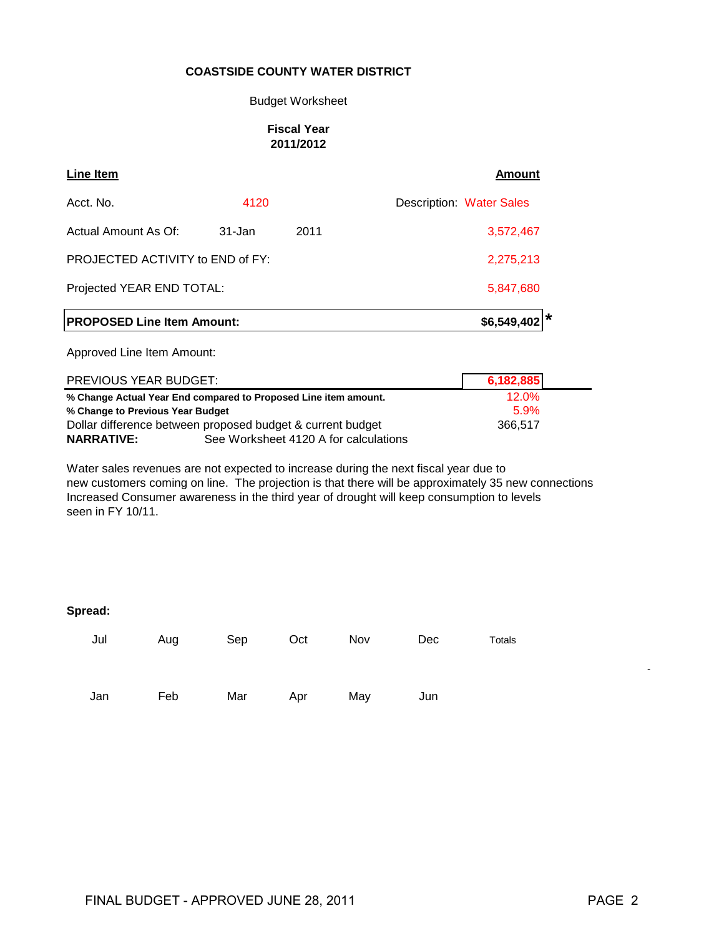#### Budget Worksheet

#### **Fiscal Year 2011/2012**

| Line Item                         |        |      | <b>Amount</b>                   |
|-----------------------------------|--------|------|---------------------------------|
| Acct. No.                         | 4120   |      | <b>Description: Water Sales</b> |
| Actual Amount As Of:              | 31-Jan | 2011 | 3,572,467                       |
| PROJECTED ACTIVITY to END of FY:  |        |      | 2,275,213                       |
| Projected YEAR END TOTAL:         |        |      | 5,847,680                       |
| <b>PROPOSED Line Item Amount:</b> |        |      | \$6,549,402                     |

Approved Line Item Amount:

| <b>PREVIOUS YEAR BUDGET:</b>                               |                                                                 | 6,182,885 |
|------------------------------------------------------------|-----------------------------------------------------------------|-----------|
|                                                            | % Change Actual Year End compared to Proposed Line item amount. | 12.0%     |
| % Change to Previous Year Budget                           | 5.9%                                                            |           |
| Dollar difference between proposed budget & current budget | 366.517                                                         |           |
| <b>NARRATIVE:</b>                                          | See Worksheet 4120 A for calculations                           |           |

Water sales revenues are not expected to increase during the next fiscal year due to new customers coming on line. The projection is that there will be approximately 35 new connections Increased Consumer awareness in the third year of drought will keep consumption to levels seen in FY 10/11.

#### **Spread:**

| Jul | Aug | Sep | Oct | Nov | <b>Dec</b> | Totals |
|-----|-----|-----|-----|-----|------------|--------|
| Jan | Feb | Mar | Apr | May | Jun        |        |

- 1990 - 1990 - 1990 - 1990 - 1990 - 1990 - 1990 - 1990 - 1990 - 1990 - 1990 - 1990 - 1990 - 1990 - 1990 - 199<br>1990 - 1990 - 1990 - 1990 - 1990 - 1990 - 1990 - 1990 - 1990 - 1990 - 1990 - 1990 - 1990 - 1990 - 1990 - 1990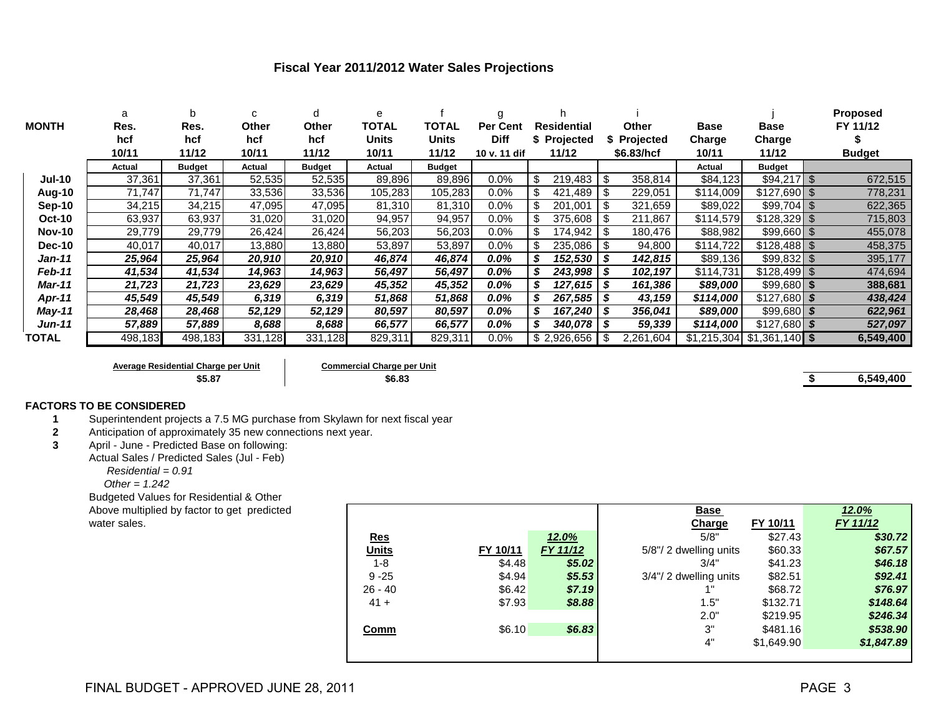#### **Fiscal Year 2011/2012 Water Sales Projections**

|               | a       | h             | C       | d             | e            |               | g               |                            |      |                  |             |                 | <b>Proposed</b> |
|---------------|---------|---------------|---------|---------------|--------------|---------------|-----------------|----------------------------|------|------------------|-------------|-----------------|-----------------|
| <b>MONTH</b>  | Res.    | Res.          | Other   | Other         | <b>TOTAL</b> | <b>TOTAL</b>  | <b>Per Cent</b> | Residential                |      | Other            | <b>Base</b> | <b>Base</b>     | FY 11/12        |
|               | hcf     | hcf           | hcf     | hcf           | <b>Units</b> | Units         | <b>Diff</b>     | \$ Projected               |      | <b>Projected</b> | Charge      | Charge          |                 |
|               | 10/11   | 11/12         | 10/11   | 11/12         | 10/11        | 11/12         | 10 v. 11 dif    | 11/12                      |      | \$6.83/hcf       | 10/11       | 11/12           | <b>Budget</b>   |
|               | Actual  | <b>Budget</b> | Actual  | <b>Budget</b> | Actual       | <b>Budget</b> |                 |                            |      |                  | Actual      | <b>Budget</b>   |                 |
| <b>Jul-10</b> | 37,361  | 37,361        | 52,535  | 52,535        | 89,896       | 89,896        | $0.0\%$         | \$<br>219,483              | - \$ | 358,814          | \$84,123    | $$94,217$ \\$   | 672,515         |
| Aug-10        | 71,747  | 71,747        | 33,536  | 33,536        | 105,283      | 105,283       | $0.0\%$         | \$<br>421,489              |      | 229,051          | \$114,009   | $$127,690$ \$   | 778,231         |
| <b>Sep-10</b> | 34,215  | 34,215        | 47,095  | 47,095        | 81,310       | 81,310        | $0.0\%$         | \$<br>201,001              | - \$ | 321,659          | \$89,022    | $$99,704$ \$    | 622,365         |
| <b>Oct-10</b> | 63,937  | 63,937        | 31,020  | 31,020        | 94,957       | 94,957        | $0.0\%$         | \$<br>375,608              | - \$ | 211,867          | \$114,579   | $$128,329$ \\$  | 715,803         |
| <b>Nov-10</b> | 29,779  | 29,779        | 26,424  | 26,424        | 56,203       | 56,203        | $0.0\%$         | \$<br>174,942              | \$   | 180,476          | \$88,982    | $$99,660$ \$    | 455,078         |
| <b>Dec-10</b> | 40,017  | 40,017        | 13,880  | 13,880        | 53,897       | 53,897        | $0.0\%$         | \$<br>235,086              | -\$  | 94,800           | \$114,722   |                 | 458,375         |
| Jan-11        | 25,964  | 25,964        | 20,910  | 20,910        | 46,874       | 46,874        | 0.0%            | \$<br>$152,530$ $\sqrt{S}$ |      | 142,815          | \$89,136    | $$99,832$ \$    | 395,177         |
| Feb-11        | 41,534  | 41,534        | 14,963  | 14,963        | 56,497       | 56,497        | 0.0%            | \$<br>243,998              | - \$ | 102,197          | \$114,731   | $$128,499$ \ \$ | 474,694         |
| Mar-11        | 21,723  | 21,723        | 23,629  | 23,629        | 45,352       | 45,352        | 0.0%            | \$<br>$127,615$ \$         |      | 161,386          | \$89,000    | $$99,680$ \$    | 388,681         |
| Apr-11        | 45,549  | 45,549        | 6,319   | 6,319         | 51,868       | 51,868        | 0.0%            | \$<br>267,585              | - \$ | 43,159           | \$114,000   | $$127,680$ \$   | 438,424         |
| <b>May-11</b> | 28,468  | 28,468        | 52,129  | 52,129        | 80,597       | 80,597        | 0.0%            | \$<br>167,240              | - \$ | 356,041          | \$89,000    | $$99,680$ \$    | 622,961         |
| <b>Jun-11</b> | 57,889  | 57,889        | 8,688   | 8,688         | 66,577       | 66,577        | 0.0%            | \$<br>340,078              | - \$ | 59,339           | \$114,000   | $$127,680$ \$   | 527,097         |
| TOTAL         | 498,183 | 498,183       | 331,128 | 331,128       | 829,311      | 829,311       | $0.0\%$         | \$2,926,656                |      | 2,261,604        | \$1,215,304 | $$1,361,140$ \$ | 6,549,400       |

**Average Residential Charge per Unit Commercial Charge per Unit**

**\$5.87 \$6.83 \$ 6,549,400**

**FACTORS TO BE CONSIDERED**

**1** Superintendent projects a 7.5 MG purchase from Skylawn for next fiscal year<br>**2** Anticipation of approximately 35 new connections next year.

**2** Anticipation of approximately 35 new connections next year.

**3** April - June - Predicted Base on following:

Actual Sales / Predicted Sales (Jul - Feb)

 *Residential = 0.91*

 *Other = 1.242*

Budgeted Values for Residential & Other Above multiplied by factor to get predicted

| Baagotoa valaoo lol Itoolaohtial & Othol    |              |          |              |                        |            |            |
|---------------------------------------------|--------------|----------|--------------|------------------------|------------|------------|
| Above multiplied by factor to get predicted |              |          |              | <b>Base</b>            |            | 12.0%      |
| water sales.                                |              |          |              | Charge                 | FY 10/11   | FY 11/12   |
|                                             | $Res$        |          | <u>12.0%</u> | 5/8"                   | \$27.43    | \$30.72    |
|                                             | <b>Units</b> | FY 10/11 | FY 11/12     | 5/8"/2 dwelling units  | \$60.33]   | \$67.57    |
|                                             | $1 - 8$      | \$4.48   | \$5.02       | 3/4"                   | \$41.23    | \$46.18    |
|                                             | $9 - 25$     | \$4.94   | \$5.53       | 3/4"/ 2 dwelling units | \$82.51    | \$92.41    |
|                                             | $26 - 40$    | \$6.42   | \$7.19       |                        | \$68.72    | \$76.97    |
|                                             | $41 +$       | \$7.93   | \$8.88       | 1.5"                   | \$132.71   | \$148.64   |
|                                             |              |          |              | 2.0"                   | \$219.95   | \$246.34   |
|                                             | <b>Comm</b>  | \$6.10   | \$6.83       | 3"                     | \$481.16   | \$538.90   |
|                                             |              |          |              | 4"                     | \$1,649.90 | \$1,847.89 |
|                                             |              |          |              |                        |            |            |

FINAL BUDGET - APPROVED JUNE 28, 2011 **PAGE 3**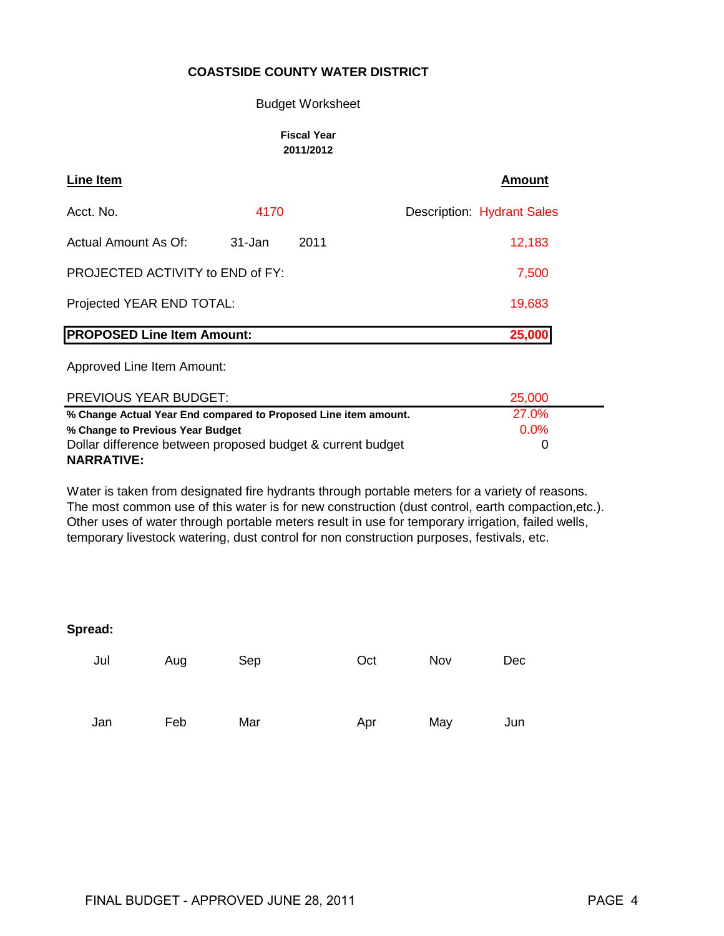#### Budget Worksheet

#### **Fiscal Year 2011/2012**

| Line Item                               |        |      | Amount                            |
|-----------------------------------------|--------|------|-----------------------------------|
| Acct. No.                               | 4170   |      | <b>Description: Hydrant Sales</b> |
| Actual Amount As Of:                    | 31-Jan | 2011 | 12,183                            |
| <b>PROJECTED ACTIVITY to END of FY:</b> |        |      | 7,500                             |
| Projected YEAR END TOTAL:               |        |      | 19,683                            |
| <b>PROPOSED Line Item Amount:</b>       |        |      | 25,000                            |

Approved Line Item Amount:

| PREVIOUS YEAR BUDGET:                                           | 25,000       |  |
|-----------------------------------------------------------------|--------------|--|
| % Change Actual Year End compared to Proposed Line item amount. | <b>27.0%</b> |  |
| % Change to Previous Year Budget                                | $0.0\%$      |  |
| Dollar difference between proposed budget & current budget      |              |  |
| <b>NARRATIVE:</b>                                               |              |  |

Water is taken from designated fire hydrants through portable meters for a variety of reasons. The most common use of this water is for new construction (dust control, earth compaction,etc.). Other uses of water through portable meters result in use for temporary irrigation, failed wells, temporary livestock watering, dust control for non construction purposes, festivals, etc.

| Jul | Aug | Sep | Oct | Nov | Dec |
|-----|-----|-----|-----|-----|-----|
| Jan | Feb | Mar | Apr | May | Jun |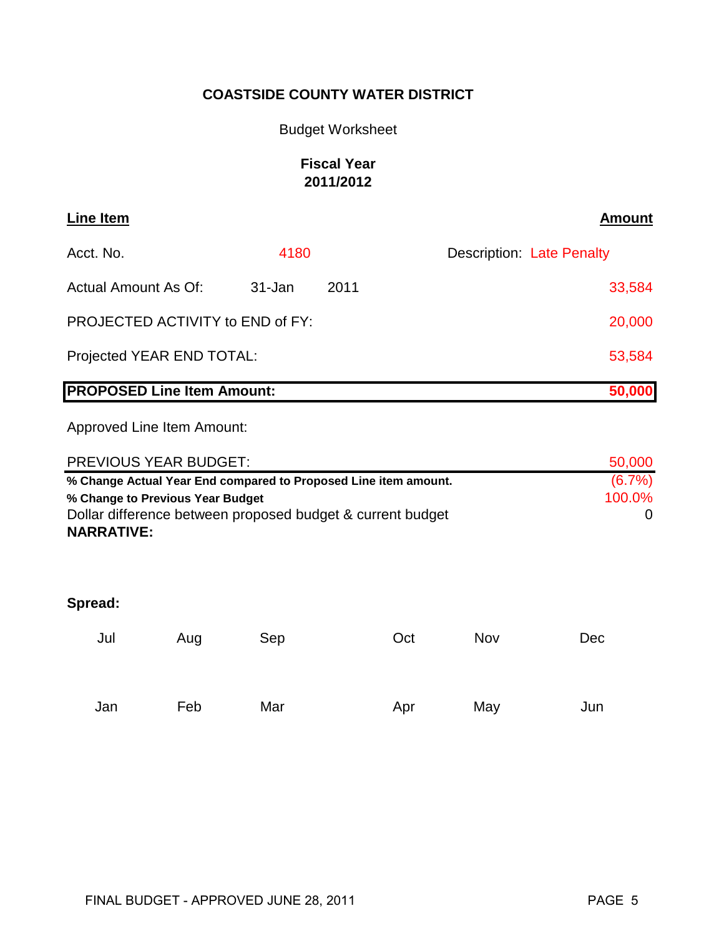# Budget Worksheet

# **Fiscal Year 2011/2012**

| Line Item                                                       |        |      | <b>Amount</b>                    |
|-----------------------------------------------------------------|--------|------|----------------------------------|
| Acct. No.                                                       | 4180   |      | <b>Description: Late Penalty</b> |
| Actual Amount As Of:                                            | 31-Jan | 2011 | 33,584                           |
| PROJECTED ACTIVITY to END of FY:                                |        |      | 20,000                           |
| Projected YEAR END TOTAL:                                       |        |      | 53,584                           |
| <b>PROPOSED Line Item Amount:</b>                               |        |      | 50,000                           |
| Approved Line Item Amount:                                      |        |      |                                  |
| <b>PREVIOUS YEAR BUDGET:</b>                                    |        |      | 50,000                           |
| % Change Actual Year End compared to Proposed Line item amount. |        |      | $(6.7\%)$                        |
| % Change to Previous Year Budget                                |        |      | 100.0%                           |
| Dollar difference between proposed budget & current budget      |        |      | $\Omega$                         |
| <b>NARRATIVE:</b>                                               |        |      |                                  |

| Jul | Aug | Sep | Oct | Nov | Dec |
|-----|-----|-----|-----|-----|-----|
| Jan | Feb | Mar | Apr | May | Jun |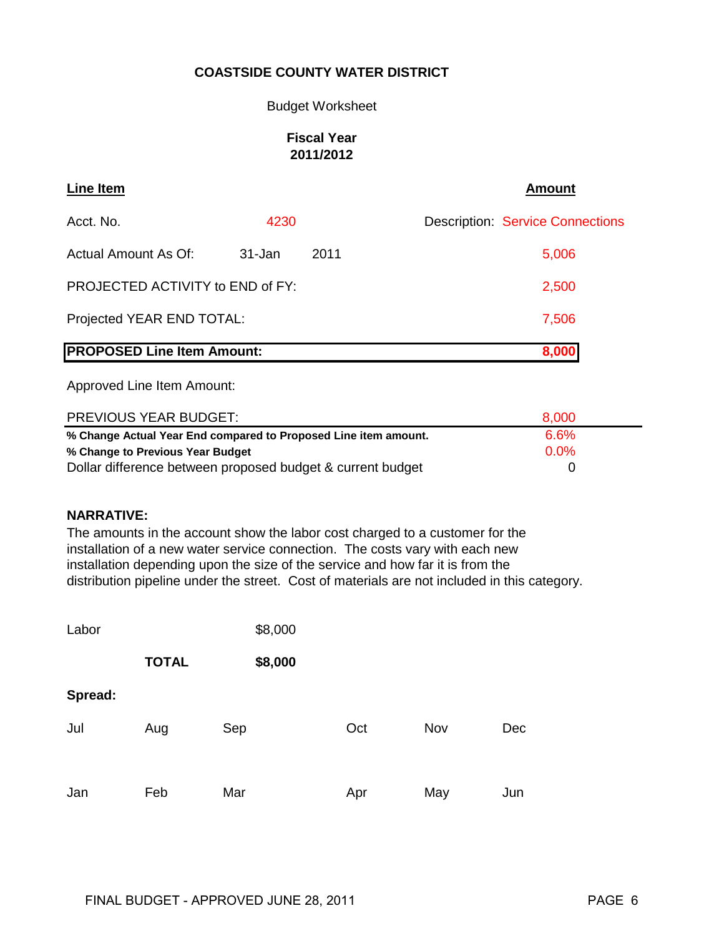#### Budget Worksheet

### **Fiscal Year 2011/2012**

| <b>Line Item</b>                        |        |      | <b>Amount</b>                           |
|-----------------------------------------|--------|------|-----------------------------------------|
| Acct. No.                               | 4230   |      | <b>Description: Service Connections</b> |
| Actual Amount As Of:                    | 31-Jan | 2011 | 5,006                                   |
| <b>PROJECTED ACTIVITY to END of FY:</b> |        |      | 2,500                                   |
| Projected YEAR END TOTAL:               |        |      | 7,506                                   |
| <b>PROPOSED Line Item Amount:</b>       |        |      | 8,000                                   |

Approved Line Item Amount:

| PREVIOUS YEAR BUDGET:                                           | 8,000 |  |
|-----------------------------------------------------------------|-------|--|
| % Change Actual Year End compared to Proposed Line item amount. | 6.6%  |  |
| % Change to Previous Year Budget                                | 0.0%  |  |
| Dollar difference between proposed budget & current budget      |       |  |

### **NARRATIVE:**

The amounts in the account show the labor cost charged to a customer for the installation of a new water service connection. The costs vary with each new installation depending upon the size of the service and how far it is from the distribution pipeline under the street. Cost of materials are not included in this category.

| Labor   |              | \$8,000 |     |     |            |
|---------|--------------|---------|-----|-----|------------|
|         | <b>TOTAL</b> | \$8,000 |     |     |            |
| Spread: |              |         |     |     |            |
| Jul     | Aug          | Sep     | Oct | Nov | <b>Dec</b> |
|         |              |         |     |     |            |
| Jan     | Feb          | Mar     | Apr | May | Jun        |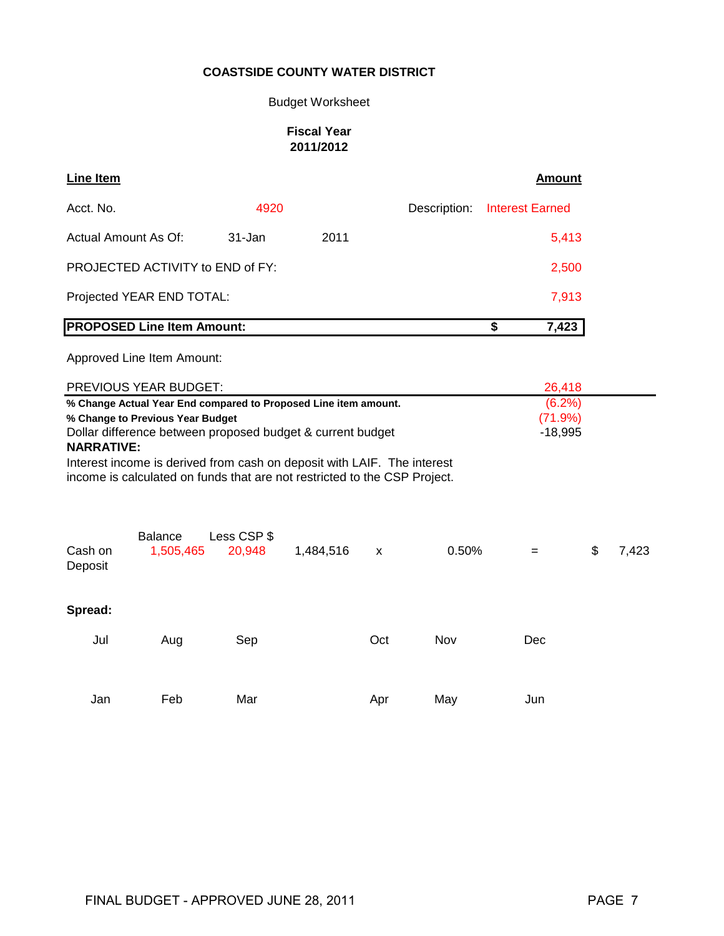## Budget Worksheet

### **Fiscal Year 2011/2012**

| <b>Line Item</b>                                                                                                                                                                       |                       |           |     |              |                        | <b>Amount</b>                  |       |
|----------------------------------------------------------------------------------------------------------------------------------------------------------------------------------------|-----------------------|-----------|-----|--------------|------------------------|--------------------------------|-------|
| Acct. No.                                                                                                                                                                              | 4920                  |           |     | Description: | <b>Interest Earned</b> |                                |       |
| <b>Actual Amount As Of:</b>                                                                                                                                                            | 31-Jan                | 2011      |     |              |                        | 5,413                          |       |
| PROJECTED ACTIVITY to END of FY:                                                                                                                                                       |                       |           |     |              |                        | 2,500                          |       |
| Projected YEAR END TOTAL:<br>7,913                                                                                                                                                     |                       |           |     |              |                        |                                |       |
| <b>PROPOSED Line Item Amount:</b>                                                                                                                                                      |                       |           |     |              | \$                     | 7,423                          |       |
| Approved Line Item Amount:                                                                                                                                                             |                       |           |     |              |                        |                                |       |
| PREVIOUS YEAR BUDGET:                                                                                                                                                                  |                       |           |     |              |                        | 26,418                         |       |
| % Change Actual Year End compared to Proposed Line item amount.<br>% Change to Previous Year Budget<br>Dollar difference between proposed budget & current budget<br><b>NARRATIVE:</b> |                       |           |     |              |                        | (6.2%)<br>(71.9%)<br>$-18,995$ |       |
| Interest income is derived from cash on deposit with LAIF. The interest<br>income is calculated on funds that are not restricted to the CSP Project.                                   |                       |           |     |              |                        |                                |       |
| <b>Balance</b><br>Cash on<br>1,505,465<br>Deposit                                                                                                                                      | Less CSP \$<br>20,948 | 1,484,516 | X   | 0.50%        | $=$                    | \$                             | 7,423 |
| Spread:                                                                                                                                                                                |                       |           |     |              |                        |                                |       |
| Jul<br>Aug                                                                                                                                                                             | Sep                   |           | Oct | Nov          | Dec                    |                                |       |
|                                                                                                                                                                                        |                       |           |     |              |                        |                                |       |

Jan Feb Mar Apr May Jun

ä,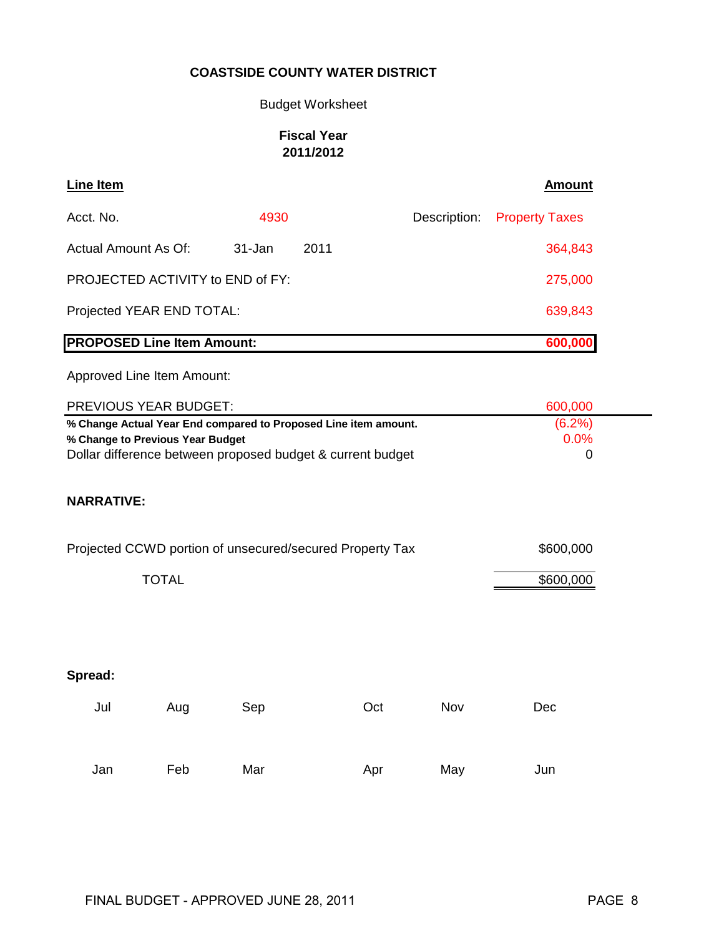## Budget Worksheet

## **Fiscal Year 2011/2012**

| <b>Line Item</b>                                                                               |        |      |              | <b>Amount</b>         |  |  |
|------------------------------------------------------------------------------------------------|--------|------|--------------|-----------------------|--|--|
| Acct. No.                                                                                      | 4930   |      | Description: | <b>Property Taxes</b> |  |  |
| Actual Amount As Of:                                                                           | 31-Jan | 2011 |              | 364,843               |  |  |
| PROJECTED ACTIVITY to END of FY:                                                               |        |      |              | 275,000               |  |  |
| Projected YEAR END TOTAL:                                                                      |        |      |              | 639,843               |  |  |
| <b>PROPOSED Line Item Amount:</b>                                                              |        |      |              | 600,000               |  |  |
| Approved Line Item Amount:                                                                     |        |      |              |                       |  |  |
| <b>PREVIOUS YEAR BUDGET:</b>                                                                   |        |      |              | 600,000               |  |  |
| % Change Actual Year End compared to Proposed Line item amount.                                |        |      |              | (6.2%)<br>0.0%        |  |  |
| % Change to Previous Year Budget<br>Dollar difference between proposed budget & current budget | 0      |      |              |                       |  |  |
|                                                                                                |        |      |              |                       |  |  |
| <b>NARRATIVE:</b>                                                                              |        |      |              |                       |  |  |
| Projected CCWD portion of unsecured/secured Property Tax<br>\$600,000                          |        |      |              |                       |  |  |
|                                                                                                |        |      |              |                       |  |  |
| <b>TOTAL</b>                                                                                   |        |      |              | \$600,000             |  |  |
|                                                                                                |        |      |              |                       |  |  |
|                                                                                                |        |      |              |                       |  |  |

| Jul | Aug | Sep | Oct | Nov | Dec |
|-----|-----|-----|-----|-----|-----|
| Jan | Feb | Mar | Apr | May | Jun |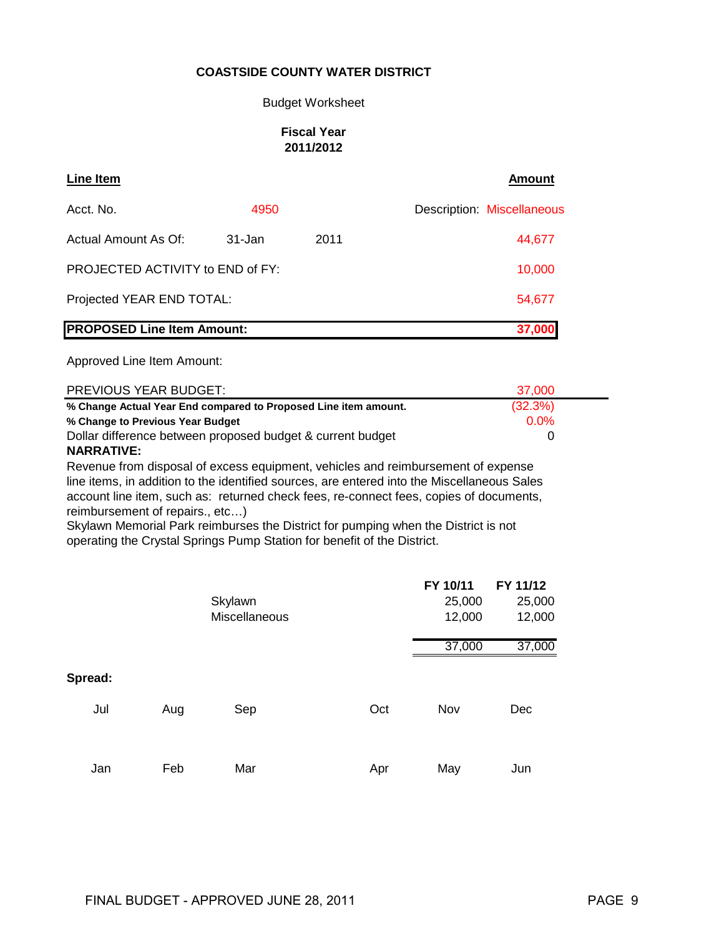#### Budget Worksheet

#### **Fiscal Year 2011/2012**

| <b>Line Item</b>                  |        |      | <b>Amount</b>              |
|-----------------------------------|--------|------|----------------------------|
| Acct. No.                         | 4950   |      | Description: Miscellaneous |
| Actual Amount As Of:              | 31-Jan | 2011 | 44,677                     |
| PROJECTED ACTIVITY to END of FY:  |        |      | 10,000                     |
| Projected YEAR END TOTAL:         |        |      | 54,677                     |
| <b>PROPOSED Line Item Amount:</b> |        |      | 37,000                     |

Approved Line Item Amount:

| PREVIOUS YEAR BUDGET:                                           | 37.000       |
|-----------------------------------------------------------------|--------------|
| % Change Actual Year End compared to Proposed Line item amount. | (32.3%)      |
| % Change to Previous Year Budget                                | $0.0\%$      |
| Dollar difference between proposed budget & current budget      | $\mathbf{U}$ |
|                                                                 |              |

#### **NARRATIVE:**

Revenue from disposal of excess equipment, vehicles and reimbursement of expense line items, in addition to the identified sources, are entered into the Miscellaneous Sales account line item, such as: returned check fees, re-connect fees, copies of documents, reimbursement of repairs., etc…)

Skylawn Memorial Park reimburses the District for pumping when the District is not operating the Crystal Springs Pump Station for benefit of the District.

|         |     |               |     | FY 10/11 | FY 11/12 |
|---------|-----|---------------|-----|----------|----------|
|         |     | Skylawn       |     | 25,000   | 25,000   |
|         |     | Miscellaneous |     | 12,000   | 12,000   |
|         |     |               |     | 37,000   | 37,000   |
| Spread: |     |               |     |          |          |
| Jul     | Aug | Sep           | Oct | Nov      | Dec      |
| Jan     | Feb | Mar           | Apr | May      | Jun      |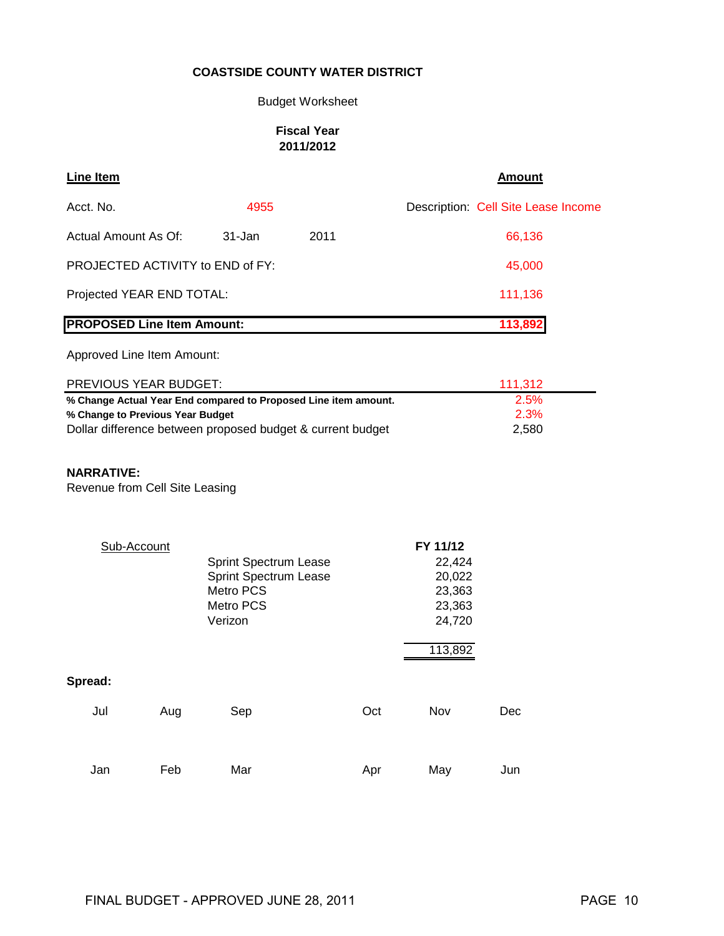## Budget Worksheet

#### **Fiscal Year 2011/2012**

| Line Item                                                                               |     |                                                                                                                               |      |                                                                       | <b>Amount</b>         |  |
|-----------------------------------------------------------------------------------------|-----|-------------------------------------------------------------------------------------------------------------------------------|------|-----------------------------------------------------------------------|-----------------------|--|
| Acct. No.                                                                               |     | 4955                                                                                                                          |      | Description: Cell Site Lease Income                                   |                       |  |
| Actual Amount As Of:                                                                    |     | 31-Jan                                                                                                                        | 2011 |                                                                       | 66,136                |  |
| PROJECTED ACTIVITY to END of FY:                                                        |     |                                                                                                                               |      |                                                                       | 45,000                |  |
| Projected YEAR END TOTAL:                                                               |     |                                                                                                                               |      |                                                                       | 111,136               |  |
| <b>PROPOSED Line Item Amount:</b>                                                       |     |                                                                                                                               |      |                                                                       | 113,892               |  |
| Approved Line Item Amount:                                                              |     |                                                                                                                               |      |                                                                       |                       |  |
| PREVIOUS YEAR BUDGET:                                                                   |     |                                                                                                                               |      |                                                                       | 111,312               |  |
| % Change to Previous Year Budget<br><b>NARRATIVE:</b><br>Revenue from Cell Site Leasing |     | % Change Actual Year End compared to Proposed Line item amount.<br>Dollar difference between proposed budget & current budget |      |                                                                       | 2.5%<br>2.3%<br>2,580 |  |
| Sub-Account                                                                             |     | Sprint Spectrum Lease<br>Sprint Spectrum Lease<br>Metro PCS<br>Metro PCS<br>Verizon                                           |      | FY 11/12<br>22,424<br>20,022<br>23,363<br>23,363<br>24,720<br>113,892 |                       |  |
| Spread:                                                                                 |     |                                                                                                                               |      |                                                                       |                       |  |
| Jul                                                                                     | Aug | Sep                                                                                                                           | Oct  | Nov                                                                   | Dec                   |  |
| Jan                                                                                     | Feb | Mar                                                                                                                           | Apr  | May                                                                   | Jun                   |  |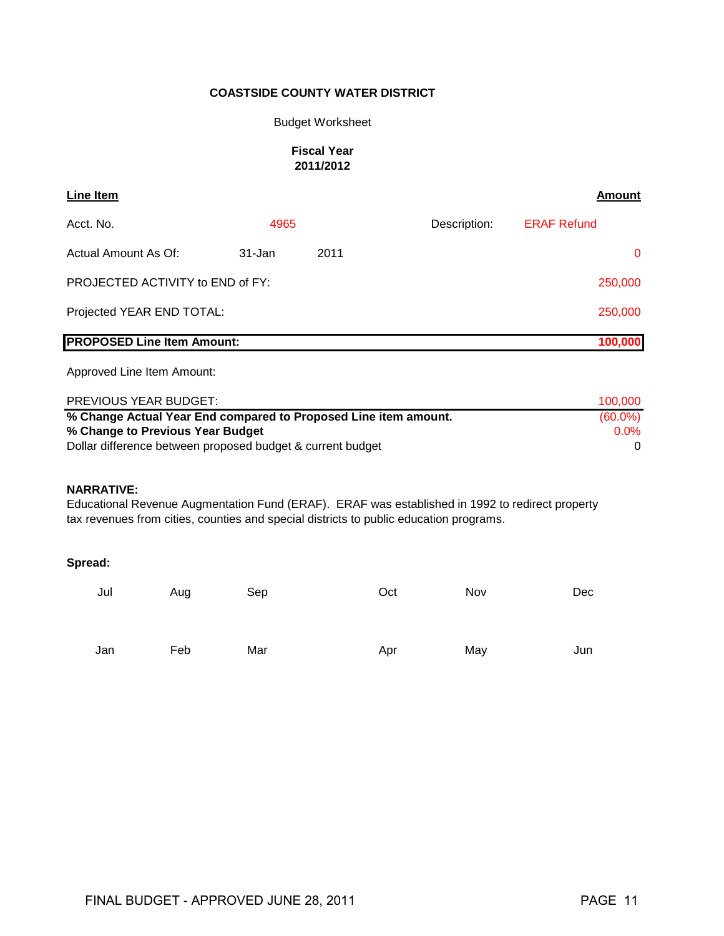#### Budget Worksheet

#### **Fiscal Year 2011/2012**

| <b>Line Item</b>                  |        |      |              | Amount             |
|-----------------------------------|--------|------|--------------|--------------------|
| Acct. No.                         | 4965   |      | Description: | <b>ERAF Refund</b> |
| Actual Amount As Of:              | 31-Jan | 2011 |              | $\Omega$           |
| PROJECTED ACTIVITY to END of FY:  |        |      |              | 250,000            |
| Projected YEAR END TOTAL:         |        |      |              | 250,000            |
| <b>PROPOSED Line Item Amount:</b> |        |      |              | 100,000            |

Approved Line Item Amount:

| <b>PREVIOUS YEAR BUDGET:</b>                                    | 100.000    |
|-----------------------------------------------------------------|------------|
| % Change Actual Year End compared to Proposed Line item amount. | $(60.0\%)$ |
| % Change to Previous Year Budget                                | 0.0%       |
| Dollar difference between proposed budget & current budget      |            |

#### **NARRATIVE:**

Educational Revenue Augmentation Fund (ERAF). ERAF was established in 1992 to redirect property tax revenues from cities, counties and special districts to public education programs.

| Jul | Aug | Sep | Oct | Nov | Dec |
|-----|-----|-----|-----|-----|-----|
| Jan | Feb | Mar | Apr | May | Jun |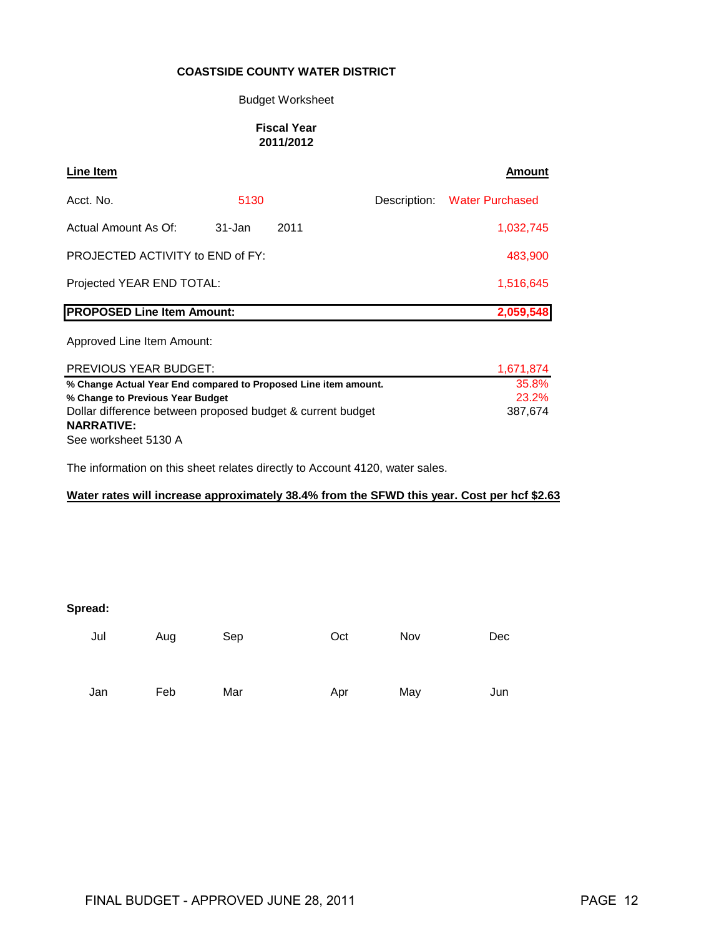#### Budget Worksheet

#### **Fiscal Year 2011/2012**

| Line Item                                                       |           |      |  | <b>Amount</b>                |
|-----------------------------------------------------------------|-----------|------|--|------------------------------|
| Acct. No.                                                       | 5130      |      |  | Description: Water Purchased |
| Actual Amount As Of:                                            | 31-Jan    | 2011 |  | 1,032,745                    |
| <b>PROJECTED ACTIVITY to END of FY:</b>                         | 483,900   |      |  |                              |
| Projected YEAR END TOTAL:                                       | 1,516,645 |      |  |                              |
| <b>PROPOSED Line Item Amount:</b>                               |           |      |  | 2,059,548                    |
| Approved Line Item Amount:                                      |           |      |  |                              |
| PREVIOUS YEAR BUDGET:<br>1,671,874                              |           |      |  |                              |
| % Change Actual Year End compared to Proposed Line item amount. | 35.8%     |      |  |                              |
| % Change to Previous Year Budget                                | 23.2%     |      |  |                              |
| Dollar difference between proposed budget & current budget      | 387,674   |      |  |                              |
| <b>NARRATIVE:</b>                                               |           |      |  |                              |
| See worksheet 5130 A                                            |           |      |  |                              |

The information on this sheet relates directly to Account 4120, water sales.

### **Water rates will increase approximately 38.4% from the SFWD this year. Cost per hcf \$2.63**

| Jul | Aug | Sep | Oct | Nov | Dec |
|-----|-----|-----|-----|-----|-----|
|     |     |     |     |     |     |
| Jan | Feb | Mar | Apr | May | Jun |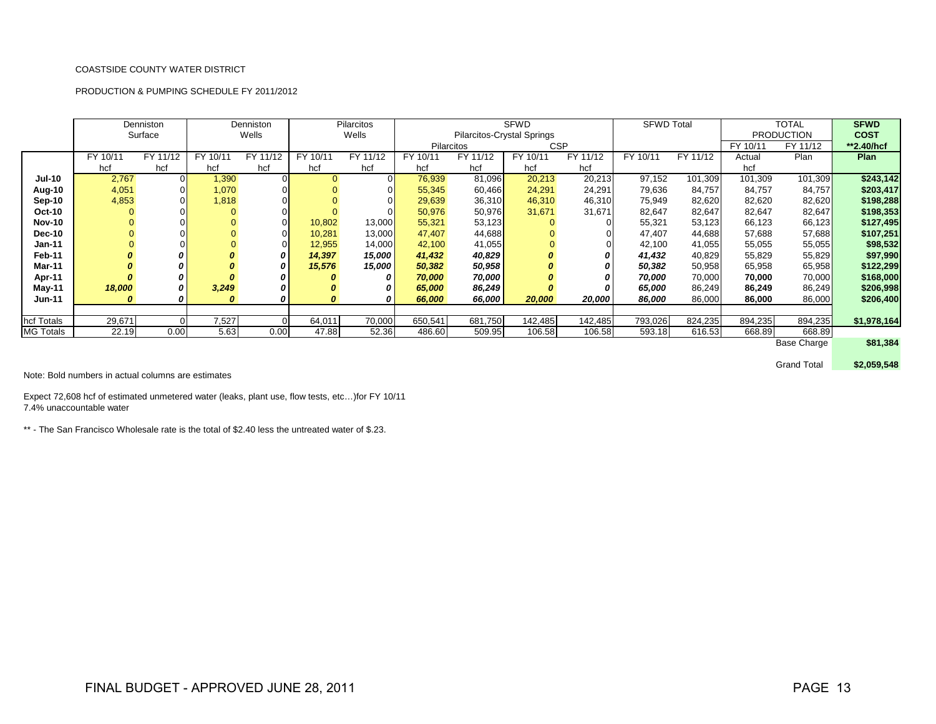#### PRODUCTION & PUMPING SCHEDULE FY 2011/2012

|                  |                  | Denniston      | Denniston |                |          | <b>Pilarcitos</b> |          |            | <b>SFWD</b>                |            | <b>SFWD Total</b> |          |          | <b>TOTAL</b>       | <b>SFWD</b> |
|------------------|------------------|----------------|-----------|----------------|----------|-------------------|----------|------------|----------------------------|------------|-------------------|----------|----------|--------------------|-------------|
|                  | Surface          |                | Wells     |                |          | Wells             |          |            | Pilarcitos-Crystal Springs |            |                   |          |          | <b>PRODUCTION</b>  | <b>COST</b> |
|                  |                  |                |           |                |          |                   |          | Pilarcitos |                            | <b>CSP</b> |                   |          | FY 10/11 | FY 11/12           | **2.40/hcf  |
|                  | FY 10/11         | FY 11/12       | FY 10/11  | FY 11/12       | FY 10/11 | FY 11/12          | FY 10/11 | FY 11/12   | FY 10/11                   | FY 11/12   | FY 10/11          | FY 11/12 | Actual   | Plan               | Plan        |
|                  | hcf              | hcf            | hcf       | hcf            | hcf      | hcf               | hcf      | hcf        | hcf                        | hcf        |                   |          | hcf      |                    |             |
| <b>Jul-10</b>    | 2,767            | $\overline{0}$ | 1,390     | $\Omega$       | $\Omega$ | $\overline{0}$    | 76,939   | 81,096     | 20,213                     | 20,213     | 97,152            | 101,309  | 101,309  | 101,309            | \$243,142   |
| Aug-10           | 4,051            | $\overline{0}$ | 1,070     | $\Omega$       |          |                   | 55,345   | 60,466     | 24,291                     | 24,291     | 79,636            | 84,757   | 84,757   | 84,757             | \$203,417   |
| Sep-10           | 4,853            |                | 1,818     |                |          |                   | 29,639   | 36,310     | 46,310                     | 46,310     | 75,949            | 82,620   | 82,620   | 82,620             | \$198,288   |
| Oct-10           |                  |                |           | $\overline{0}$ |          |                   | 50,976   | 50,976     | 31,671                     | 31,671     | 82,647            | 82,647   | 82,647   | 82,647             | \$198,353   |
| <b>Nov-10</b>    |                  |                |           | $\Omega$       | 10,802   | 13,000            | 55,321   | 53,123     |                            |            | 55,321            | 53,123   | 66,123   | 66,123             | \$127,495   |
| <b>Dec-10</b>    |                  |                |           |                | 10,281   | 13,000            | 47,407   | 44,688     |                            |            | 47,407            | 44,688   | 57,688   | 57,688             | \$107,251   |
| Jan-11           |                  |                |           | $\Omega$       | 12,955   | 14,000            | 42,100   | 41,055     |                            |            | 42,100            | 41,055   | 55,055   | 55,055             | \$98,532    |
| Feb-11           | 0                | 0              |           | 0              | 14,397   | 15,000            | 41,432   | 40,829     | o                          |            | 41,432            | 40,829   | 55,829   | 55,829             | \$97,990    |
| Mar-11           |                  | 0              |           | 0              | 15,576   | 15,000            | 50,382   | 50,958     |                            |            | 50,382            | 50,958   | 65,958   | 65,958             | \$122,299   |
| Apr-11           |                  | 0              |           | 0              |          | 0                 | 70,000   | 70,000     | o                          |            | 70,000            | 70,000   | 70,000   | 70,000             | \$168,000   |
| May-11           | 18,000           | 0              | 3,249     | 0              |          | 0                 | 65,000   | 86,249     |                            |            | 65,000            | 86,249   | 86,249   | 86,249             | \$206,998   |
| <b>Jun-11</b>    | $\boldsymbol{0}$ | 0              |           | 0              | 0        | ΩI                | 66,000   | 66,000     | 20,000                     | 20,000     | 86,000            | 86,000   | 86,000   | 86,000             | \$206,400   |
|                  |                  |                |           |                |          |                   |          |            |                            |            |                   |          |          |                    |             |
| hcf Totals       | 29,671           |                | 7,527     | $\Omega$       | 64,011   | 70,000            | 650,541  | 681,750    | 142,485                    | 142,485    | 793,026           | 824,235  | 894,235  | 894,235            | \$1,978,164 |
| <b>MG Totals</b> | 22.19            | 0.00           | 5.63      | 0.00           | 47.88    | 52.36             | 486.60   | 509.95     | 106.58                     | 106.58     | 593.18            | 616.53   | 668.89   | 668.89             |             |
|                  |                  |                |           |                |          |                   |          |            |                            |            |                   |          |          | <b>Base Charge</b> | \$81,384    |

Grand Total **\$2,059,548**

Note: Bold numbers in actual columns are estimates

Expect 72,608 hcf of estimated unmetered water (leaks, plant use, flow tests, etc…)for FY 10/11 7.4% unaccountable water

\*\* - The San Francisco Wholesale rate is the total of \$2.40 less the untreated water of \$.23.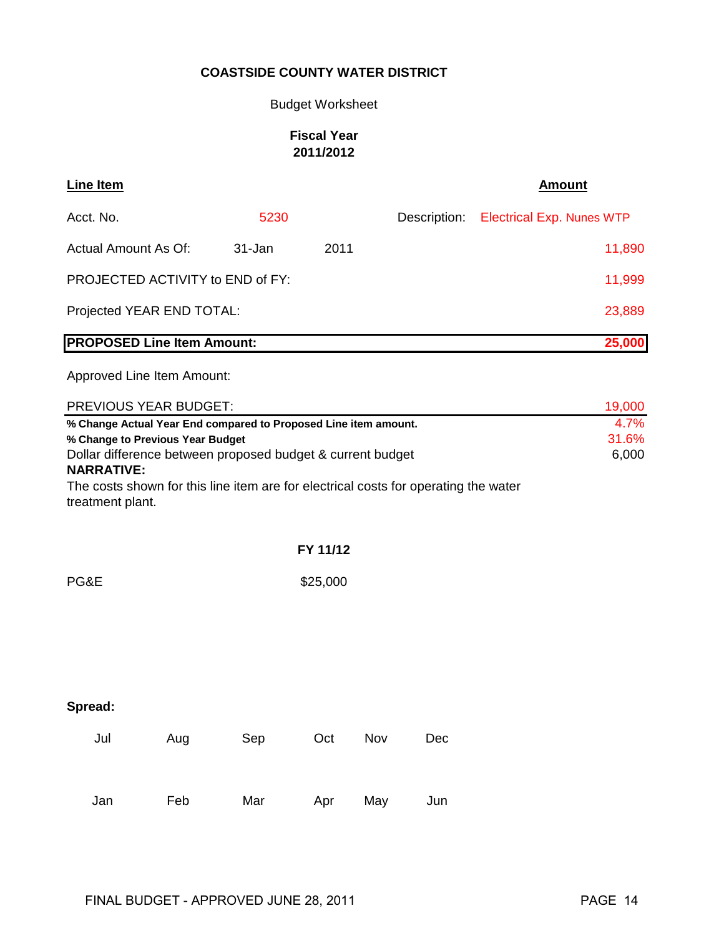Budget Worksheet

# **Fiscal Year 2011/2012**

| <b>Line Item</b>                                                                               |     |        |          |     |              | <b>Amount</b>                    |                |
|------------------------------------------------------------------------------------------------|-----|--------|----------|-----|--------------|----------------------------------|----------------|
| Acct. No.                                                                                      |     | 5230   |          |     | Description: | <b>Electrical Exp. Nunes WTP</b> |                |
| <b>Actual Amount As Of:</b>                                                                    |     | 31-Jan | 2011     |     |              |                                  | 11,890         |
| PROJECTED ACTIVITY to END of FY:                                                               |     |        |          |     |              |                                  | 11,999         |
| Projected YEAR END TOTAL:                                                                      |     |        |          |     |              | 23,889                           |                |
| <b>PROPOSED Line Item Amount:</b>                                                              |     |        |          |     |              |                                  | 25,000         |
| Approved Line Item Amount:                                                                     |     |        |          |     |              |                                  |                |
| PREVIOUS YEAR BUDGET:                                                                          |     |        |          |     |              |                                  | 19,000         |
| % Change Actual Year End compared to Proposed Line item amount.                                |     |        |          |     |              |                                  | 4.7%           |
| % Change to Previous Year Budget<br>Dollar difference between proposed budget & current budget |     |        |          |     |              |                                  | 31.6%<br>6,000 |
| <b>NARRATIVE:</b>                                                                              |     |        |          |     |              |                                  |                |
| The costs shown for this line item are for electrical costs for operating the water            |     |        |          |     |              |                                  |                |
| treatment plant.                                                                               |     |        |          |     |              |                                  |                |
|                                                                                                |     |        | FY 11/12 |     |              |                                  |                |
|                                                                                                |     |        |          |     |              |                                  |                |
| PG&E                                                                                           |     |        | \$25,000 |     |              |                                  |                |
|                                                                                                |     |        |          |     |              |                                  |                |
|                                                                                                |     |        |          |     |              |                                  |                |
|                                                                                                |     |        |          |     |              |                                  |                |
| Spread:                                                                                        |     |        |          |     |              |                                  |                |
|                                                                                                |     |        |          |     |              |                                  |                |
| Jul                                                                                            | Aug | Sep    | Oct      | Nov | Dec          |                                  |                |
|                                                                                                |     |        |          |     |              |                                  |                |
| Jan                                                                                            | Feb | Mar    | Apr      | May | Jun          |                                  |                |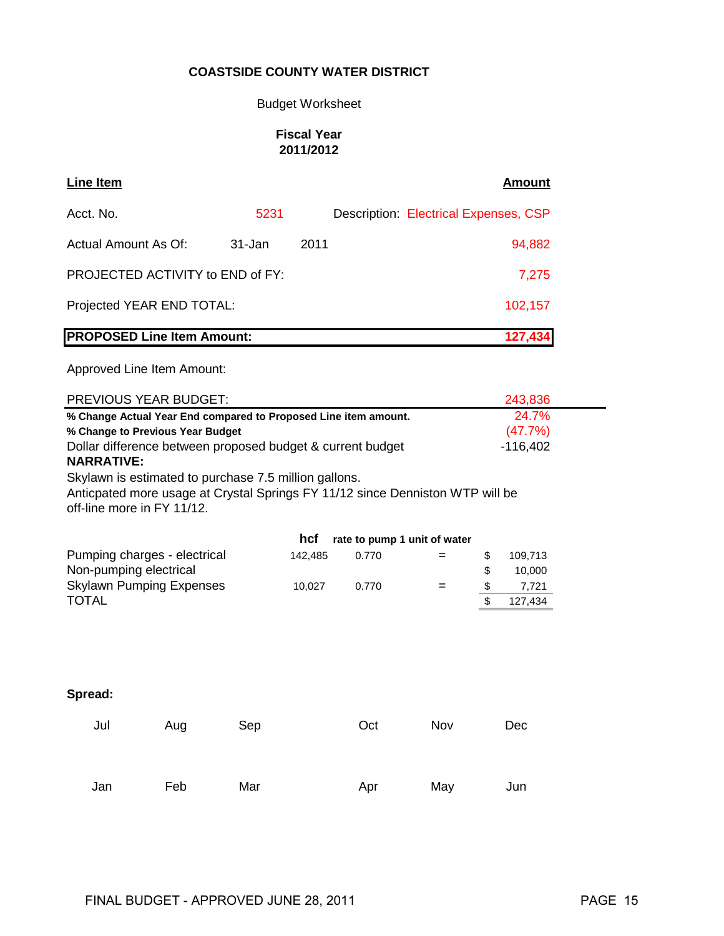#### Budget Worksheet

#### **Fiscal Year 2011/2012**

| Line Item                               |        |      | Amount                                |
|-----------------------------------------|--------|------|---------------------------------------|
| Acct. No.                               | 5231   |      | Description: Electrical Expenses, CSP |
| Actual Amount As Of:                    | 31-Jan | 2011 | 94,882                                |
| <b>PROJECTED ACTIVITY to END of FY:</b> |        |      | 7,275                                 |
| Projected YEAR END TOTAL:               |        |      | 102,157                               |
| <b>PROPOSED Line Item Amount:</b>       |        |      | 127,434                               |

Approved Line Item Amount:

| <b>PREVIOUS YEAR BUDGET:</b>                                    | 243,836    |
|-----------------------------------------------------------------|------------|
| % Change Actual Year End compared to Proposed Line item amount. | 24.7%      |
| % Change to Previous Year Budget                                | $(47.7\%)$ |
| Dollar difference between proposed budget & current budget      | -116.402   |
| <b>NARRATIVE:</b>                                               |            |

Skylawn is estimated to purchase 7.5 million gallons.

Anticpated more usage at Crystal Springs FY 11/12 since Denniston WTP will be off-line more in FY 11/12.

|                                 | hcf     |       | rate to pump 1 unit of water |    |         |
|---------------------------------|---------|-------|------------------------------|----|---------|
| Pumping charges - electrical    | 142.485 | 0.770 | $=$                          |    | 109.713 |
| Non-pumping electrical          |         |       |                              | .S | 10.000  |
| <b>Skylawn Pumping Expenses</b> | 10.027  | 0.770 | $=$                          |    | 7.721   |
| <b>TOTAL</b>                    |         |       |                              |    | 127.434 |

| Jul | Aug | Sep | Oct | Nov | Dec |
|-----|-----|-----|-----|-----|-----|
| Jan | Feb | Mar | Apr | May | Jun |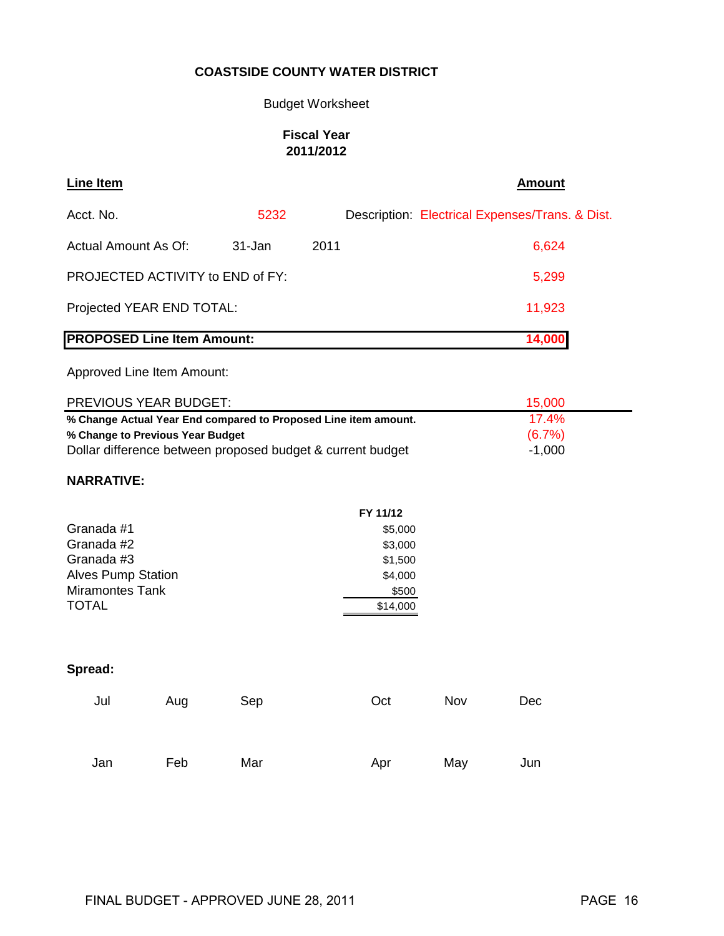## Budget Worksheet

### **Fiscal Year 2011/2012**

| Line Item                               |            |      | <b>Amount</b>                                   |
|-----------------------------------------|------------|------|-------------------------------------------------|
| Acct. No.                               | 5232       |      | Description: Electrical Expenses/Trans. & Dist. |
| Actual Amount As Of:                    | $31 - Jan$ | 2011 | 6,624                                           |
| <b>PROJECTED ACTIVITY to END of FY:</b> |            |      | 5,299                                           |
| Projected YEAR END TOTAL:               |            |      | 11,923                                          |
| <b>PROPOSED Line Item Amount:</b>       | 14,000     |      |                                                 |

Approved Line Item Amount:

| <b>PREVIOUS YEAR BUDGET:</b>                                    | 15,000    |  |
|-----------------------------------------------------------------|-----------|--|
| % Change Actual Year End compared to Proposed Line item amount. | 17.4%     |  |
| % Change to Previous Year Budget                                | $(6.7\%)$ |  |
| Dollar difference between proposed budget & current budget      | $-1.000$  |  |

# **NARRATIVE:**

|                           | FY 11/12 |
|---------------------------|----------|
| Granada #1                | \$5,000  |
| Granada #2                | \$3,000  |
| Granada #3                | \$1,500  |
| <b>Alves Pump Station</b> | \$4,000  |
| <b>Miramontes Tank</b>    | \$500    |
| <b>TOTAL</b>              | \$14,000 |

| Jul | Aug | Sep | Oct | Nov | Dec |
|-----|-----|-----|-----|-----|-----|
| Jan | Feb | Mar | Apr | May | Jun |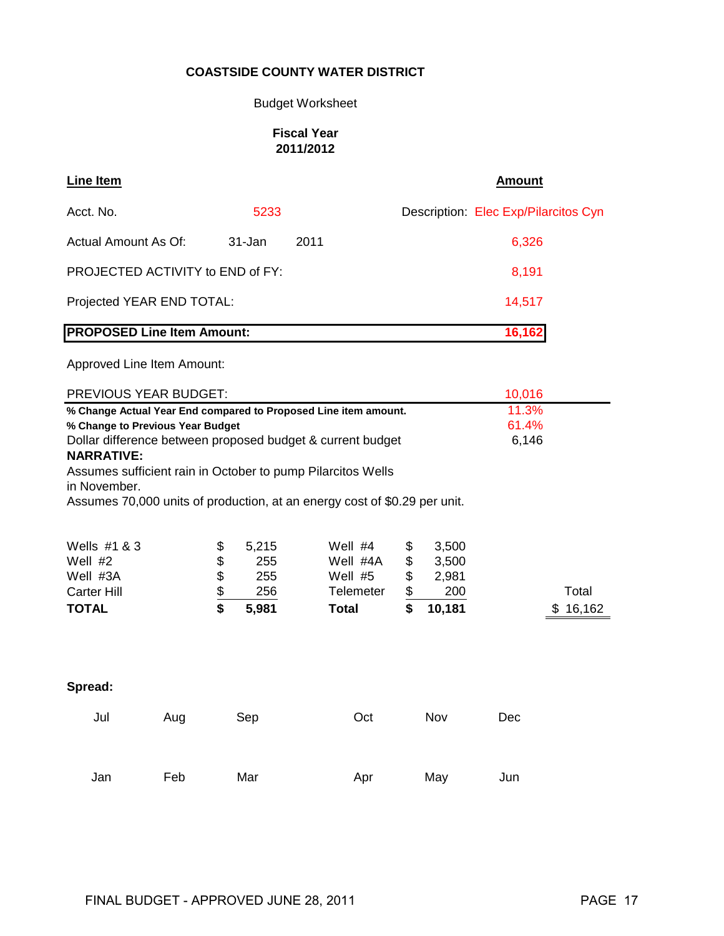## Budget Worksheet

### **Fiscal Year 2011/2012**

| <b>Line Item</b>                                                                                                                                                                                                                                                                                                                                                              |                |                                     |                                                             |                                                                                                        | <u>Amount</u>                        |  |
|-------------------------------------------------------------------------------------------------------------------------------------------------------------------------------------------------------------------------------------------------------------------------------------------------------------------------------------------------------------------------------|----------------|-------------------------------------|-------------------------------------------------------------|--------------------------------------------------------------------------------------------------------|--------------------------------------|--|
| Acct. No.                                                                                                                                                                                                                                                                                                                                                                     |                | 5233                                |                                                             |                                                                                                        | Description: Elec Exp/Pilarcitos Cyn |  |
| Actual Amount As Of:                                                                                                                                                                                                                                                                                                                                                          |                | 31-Jan                              | 2011                                                        |                                                                                                        | 6,326                                |  |
| PROJECTED ACTIVITY to END of FY:                                                                                                                                                                                                                                                                                                                                              |                |                                     |                                                             |                                                                                                        | 8,191                                |  |
| Projected YEAR END TOTAL:                                                                                                                                                                                                                                                                                                                                                     |                |                                     |                                                             |                                                                                                        | 14,517                               |  |
| <b>PROPOSED Line Item Amount:</b>                                                                                                                                                                                                                                                                                                                                             |                |                                     |                                                             |                                                                                                        | 16,162                               |  |
| Approved Line Item Amount:                                                                                                                                                                                                                                                                                                                                                    |                |                                     |                                                             |                                                                                                        |                                      |  |
| PREVIOUS YEAR BUDGET:                                                                                                                                                                                                                                                                                                                                                         |                |                                     |                                                             |                                                                                                        | 10,016                               |  |
| 11.3%<br>% Change Actual Year End compared to Proposed Line item amount.<br>61.4%<br>% Change to Previous Year Budget<br>Dollar difference between proposed budget & current budget<br>6,146<br><b>NARRATIVE:</b><br>Assumes sufficient rain in October to pump Pilarcitos Wells<br>in November.<br>Assumes 70,000 units of production, at an energy cost of \$0.29 per unit. |                |                                     |                                                             |                                                                                                        |                                      |  |
| Wells #1 & 3<br>Well #2<br>Well #3A<br><b>Carter Hill</b><br><b>TOTAL</b>                                                                                                                                                                                                                                                                                                     | \$<br>\$<br>\$ | 5,215<br>255<br>255<br>256<br>5,981 | Well #4<br>Well #4A<br>Well #5<br>Telemeter<br><b>Total</b> | \$<br>3,500<br>\$<br>3,500<br>\$<br>2,981<br>$\frac{1}{2}$<br>200<br>$\overline{\mathbf{s}}$<br>10,181 | Total<br>16,162<br>S                 |  |
| Spread:                                                                                                                                                                                                                                                                                                                                                                       |                |                                     |                                                             |                                                                                                        |                                      |  |
| Jul                                                                                                                                                                                                                                                                                                                                                                           | Aug            | Sep                                 | Oct                                                         | Nov                                                                                                    | Dec                                  |  |
| Jan                                                                                                                                                                                                                                                                                                                                                                           | Feb            | Mar                                 | Apr                                                         | May                                                                                                    | Jun                                  |  |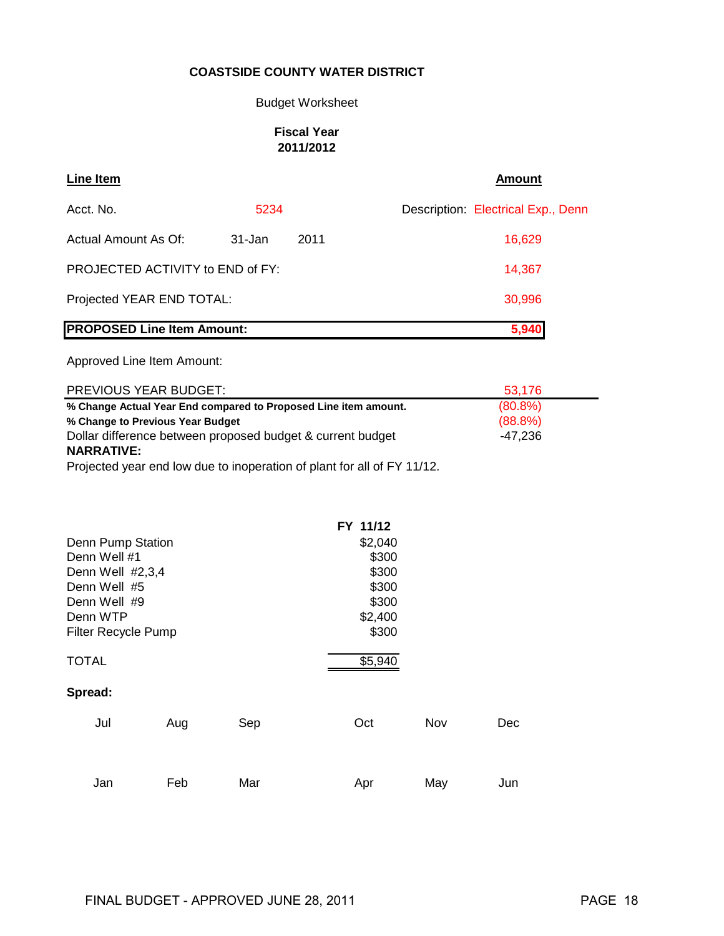### Budget Worksheet

#### **Fiscal Year 2011/2012**

| Line Item                         |        |      | Amount                             |
|-----------------------------------|--------|------|------------------------------------|
| Acct. No.                         | 5234   |      | Description: Electrical Exp., Denn |
| Actual Amount As Of:              | 31-Jan | 2011 | 16,629                             |
| PROJECTED ACTIVITY to END of FY:  |        |      | 14,367                             |
| Projected YEAR END TOTAL:         |        |      | 30,996                             |
| <b>PROPOSED Line Item Amount:</b> |        |      | 5,940                              |

Approved Line Item Amount:

| PREVIOUS YEAR BUDGET:                                           | 53.176     |
|-----------------------------------------------------------------|------------|
| % Change Actual Year End compared to Proposed Line item amount. | $(80.8\%)$ |
| % Change to Previous Year Budget                                | $(88.8\%)$ |
| Dollar difference between proposed budget & current budget      | -47.236    |
| <b>NARRATIVE:</b>                                               |            |

Projected year end low due to inoperation of plant for all of FY 11/12.

|                            |     |     | FY 11/12 |     |     |
|----------------------------|-----|-----|----------|-----|-----|
| Denn Pump Station          |     |     | \$2,040  |     |     |
| Denn Well #1               |     |     | \$300    |     |     |
| Denn Well #2,3,4           |     |     | \$300    |     |     |
| Denn Well #5               |     |     | \$300    |     |     |
| Denn Well #9               |     |     | \$300    |     |     |
| Denn WTP                   |     |     | \$2,400  |     |     |
| <b>Filter Recycle Pump</b> |     |     | \$300    |     |     |
| TOTAL                      |     |     | \$5,940  |     |     |
| Spread:                    |     |     |          |     |     |
| Jul                        | Aug | Sep | Oct      | Nov | Dec |
|                            |     |     |          |     |     |
| Jan                        | Feb | Mar | Apr      | May | Jun |
|                            |     |     |          |     |     |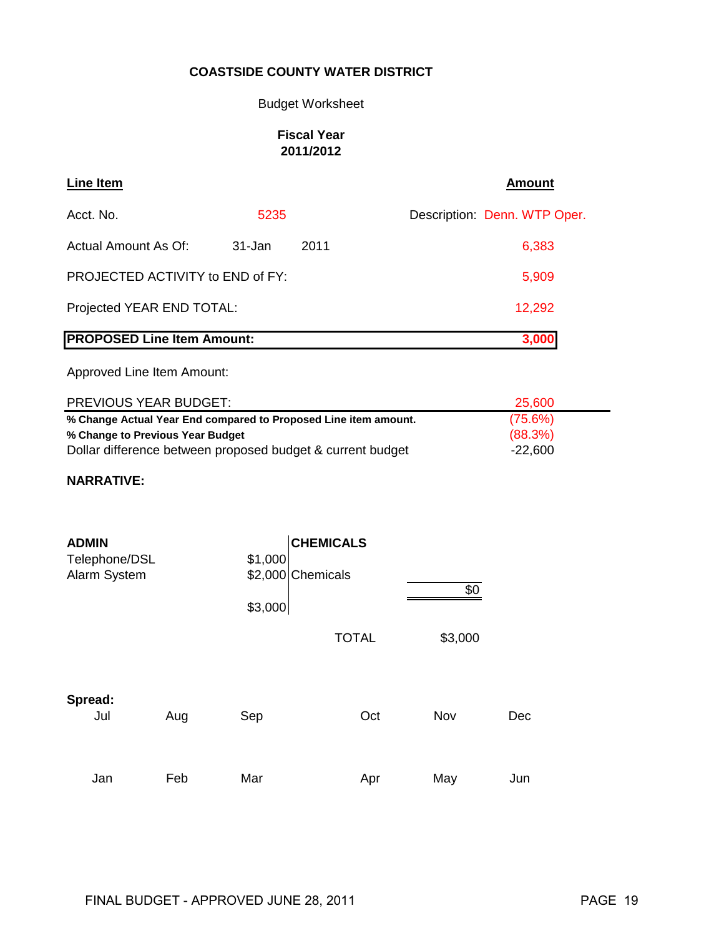## Budget Worksheet

### **Fiscal Year 2011/2012**

| Line Item                               |            |      | Amount                       |
|-----------------------------------------|------------|------|------------------------------|
| Acct. No.                               | 5235       |      | Description: Denn. WTP Oper. |
| Actual Amount As Of:                    | $31 - Jan$ | 2011 | 6,383                        |
| <b>PROJECTED ACTIVITY to END of FY:</b> |            |      | 5,909                        |
| Projected YEAR END TOTAL:               |            |      | 12,292                       |
| <b>PROPOSED Line Item Amount:</b>       |            |      | 3,000                        |

Approved Line Item Amount:

| PREVIOUS YEAR BUDGET:                                           | 25,600    |  |
|-----------------------------------------------------------------|-----------|--|
| % Change Actual Year End compared to Proposed Line item amount. | (75.6%)   |  |
| % Change to Previous Year Budget                                | (88.3%)   |  |
| Dollar difference between proposed budget & current budget      | $-22,600$ |  |

# **NARRATIVE:**

| <b>ADMIN</b><br>Telephone/DSL<br>Alarm System |     | <b>CHEMICALS</b><br>\$1,000<br>\$2,000 Chemicals<br>\$3,000 |              | \$0     |     |  |
|-----------------------------------------------|-----|-------------------------------------------------------------|--------------|---------|-----|--|
|                                               |     |                                                             | <b>TOTAL</b> | \$3,000 |     |  |
| Spread:<br>Jul                                | Aug | Sep                                                         | Oct          | Nov     | Dec |  |
| Jan                                           | Feb | Mar                                                         | Apr          | May     | Jun |  |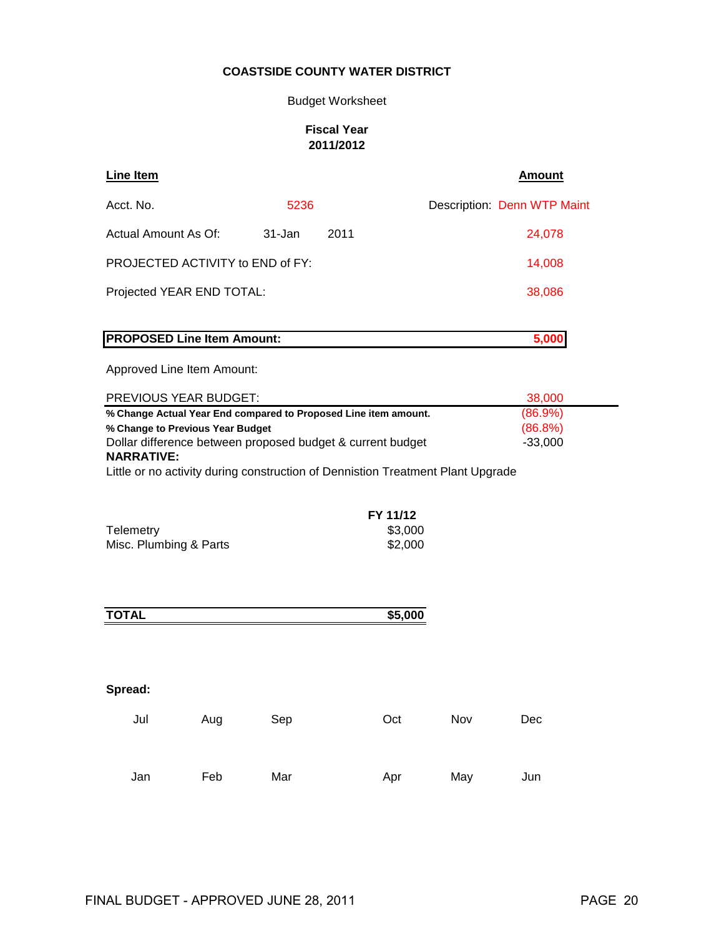### Budget Worksheet

### **Fiscal Year 2011/2012**

| Line Item                         |        |      | <b>Amount</b>               |
|-----------------------------------|--------|------|-----------------------------|
| Acct. No.                         | 5236   |      | Description: Denn WTP Maint |
| Actual Amount As Of:              | 31-Jan | 2011 | 24,078                      |
| PROJECTED ACTIVITY to END of FY:  |        |      | 14,008                      |
| Projected YEAR END TOTAL:         |        |      | 38,086                      |
|                                   |        |      |                             |
| <b>PROPOSED Line Item Amount:</b> |        |      | 5,000                       |

| PREVIOUS YEAR BUDGET:                                                           | 38,000     |
|---------------------------------------------------------------------------------|------------|
| % Change Actual Year End compared to Proposed Line item amount.                 | $(86.9\%)$ |
| % Change to Previous Year Budget                                                | $(86.8\%)$ |
| Dollar difference between proposed budget & current budget                      | $-33.000$  |
| <b>NARRATIVE:</b>                                                               |            |
| Little or no activity during construction of Dennistion Treatment Plant Upgrade |            |

|                        | FY 11/12 |
|------------------------|----------|
| Telemetry              | \$3,000  |
| Misc. Plumbing & Parts | \$2,000  |

| <b>TOTAL</b> |     |     | $\sqrt{$5,000}$ |     |     |
|--------------|-----|-----|-----------------|-----|-----|
|              |     |     |                 |     |     |
| Spread:      |     |     |                 |     |     |
| Jul          | Aug | Sep | Oct             | Nov | Dec |
|              |     |     |                 |     |     |
| Jan          | Feb | Mar | Apr             | May | Jun |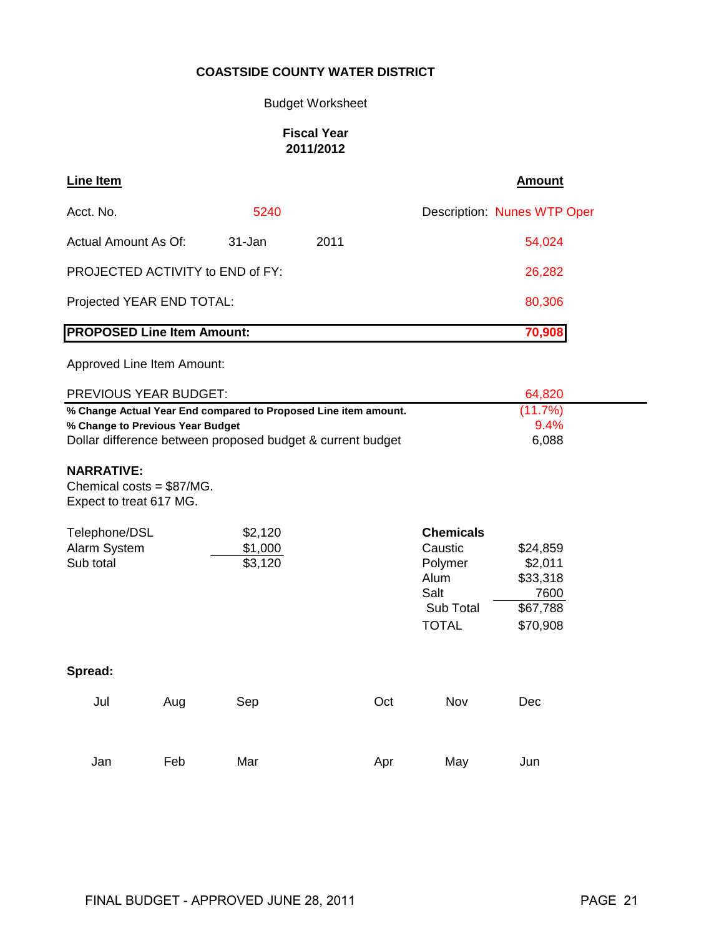## Budget Worksheet

### **Fiscal Year 2011/2012**

| <b>Line Item</b>                                                                                    |     |        |      |                                                                                     |                                                                 | <b>Amount</b>   |
|-----------------------------------------------------------------------------------------------------|-----|--------|------|-------------------------------------------------------------------------------------|-----------------------------------------------------------------|-----------------|
| Acct. No.                                                                                           |     | 5240   |      |                                                                                     | Description: Nunes WTP Oper                                     |                 |
| <b>Actual Amount As Of:</b>                                                                         |     | 31-Jan | 2011 |                                                                                     |                                                                 | 54,024          |
| PROJECTED ACTIVITY to END of FY:                                                                    |     |        |      |                                                                                     |                                                                 | 26,282          |
| Projected YEAR END TOTAL:                                                                           |     |        |      |                                                                                     |                                                                 | 80,306          |
| <b>PROPOSED Line Item Amount:</b>                                                                   |     |        |      |                                                                                     |                                                                 | 70,908          |
| Approved Line Item Amount:                                                                          |     |        |      |                                                                                     |                                                                 |                 |
| PREVIOUS YEAR BUDGET:                                                                               |     |        |      |                                                                                     |                                                                 | 64,820          |
| % Change Actual Year End compared to Proposed Line item amount.<br>% Change to Previous Year Budget |     |        |      |                                                                                     |                                                                 | (11.7%)<br>9.4% |
| Dollar difference between proposed budget & current budget                                          |     |        |      |                                                                                     |                                                                 | 6,088           |
| <b>NARRATIVE:</b><br>Chemical costs = $$87/MG$ .<br>Expect to treat 617 MG.                         |     |        |      |                                                                                     |                                                                 |                 |
| \$2,120<br>Telephone/DSL<br>Alarm System<br>\$1,000<br>Sub total<br>\$3,120                         |     |        |      | <b>Chemicals</b><br>Caustic<br>Polymer<br>Alum<br>Salt<br>Sub Total<br><b>TOTAL</b> | \$24,859<br>\$2,011<br>\$33,318<br>7600<br>\$67,788<br>\$70,908 |                 |
| Spread:                                                                                             |     |        |      |                                                                                     |                                                                 |                 |
| Jul                                                                                                 | Aug | Sep    |      | Oct                                                                                 | Nov                                                             | <b>Dec</b>      |
| Jan                                                                                                 | Feb | Mar    |      | Apr                                                                                 | May                                                             | Jun             |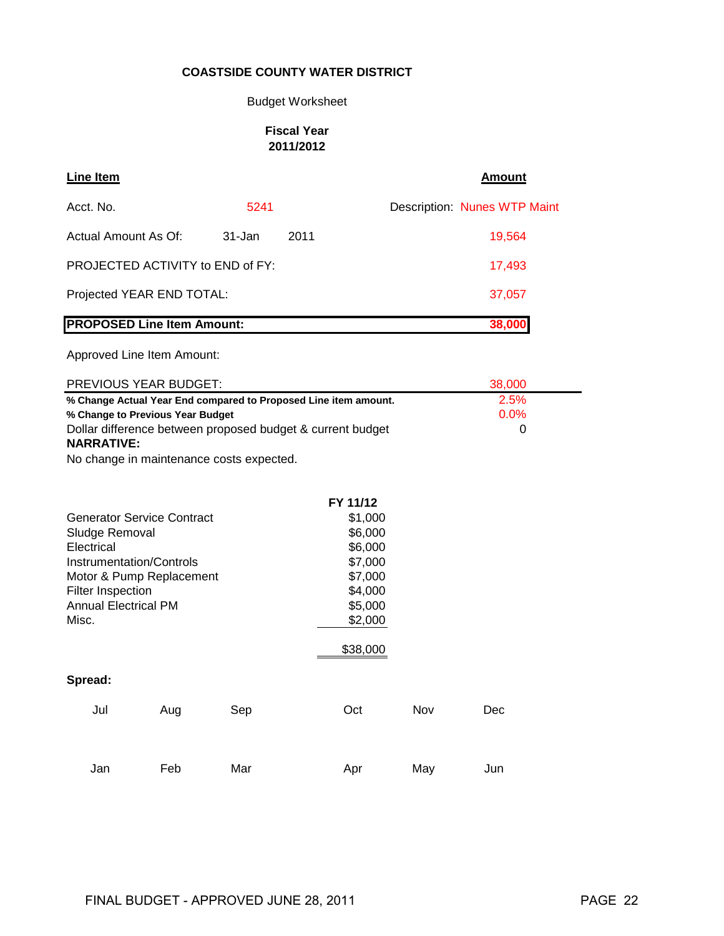## Budget Worksheet

#### **Fiscal Year 2011/2012**

| Line Item                                                       |     |        |      |          |     | <b>Amount</b>                |
|-----------------------------------------------------------------|-----|--------|------|----------|-----|------------------------------|
| Acct. No.                                                       |     | 5241   |      |          |     | Description: Nunes WTP Maint |
| Actual Amount As Of:                                            |     | 31-Jan | 2011 |          |     | 19,564                       |
| PROJECTED ACTIVITY to END of FY:                                |     |        |      |          |     | 17,493                       |
| Projected YEAR END TOTAL:                                       |     |        |      |          |     | 37,057                       |
| <b>PROPOSED Line Item Amount:</b>                               |     |        |      |          |     | 38,000                       |
| Approved Line Item Amount:                                      |     |        |      |          |     |                              |
| PREVIOUS YEAR BUDGET:                                           |     |        |      |          |     | 38,000                       |
| % Change Actual Year End compared to Proposed Line item amount. |     |        |      |          |     | 2.5%                         |
| % Change to Previous Year Budget                                |     |        |      |          |     | 0.0%                         |
| Dollar difference between proposed budget & current budget      |     |        |      |          |     | 0                            |
| <b>NARRATIVE:</b>                                               |     |        |      |          |     |                              |
| No change in maintenance costs expected.                        |     |        |      |          |     |                              |
|                                                                 |     |        |      |          |     |                              |
|                                                                 |     |        |      | FY 11/12 |     |                              |
| <b>Generator Service Contract</b>                               |     |        |      | \$1,000  |     |                              |
| Sludge Removal                                                  |     |        |      | \$6,000  |     |                              |
| Electrical                                                      |     |        |      | \$6,000  |     |                              |
| Instrumentation/Controls                                        |     |        |      | \$7,000  |     |                              |
| Motor & Pump Replacement                                        |     |        |      | \$7,000  |     |                              |
| <b>Filter Inspection</b>                                        |     |        |      | \$4,000  |     |                              |
| <b>Annual Electrical PM</b>                                     |     |        |      | \$5,000  |     |                              |
| Misc.                                                           |     |        |      | \$2,000  |     |                              |
|                                                                 |     |        |      | \$38,000 |     |                              |
| Spread:                                                         |     |        |      |          |     |                              |
| Jul                                                             | Aug | Sep    |      | Oct      | Nov | Dec                          |
|                                                                 |     |        |      |          |     |                              |
| Jan                                                             | Feb | Mar    |      | Apr      | May | Jun                          |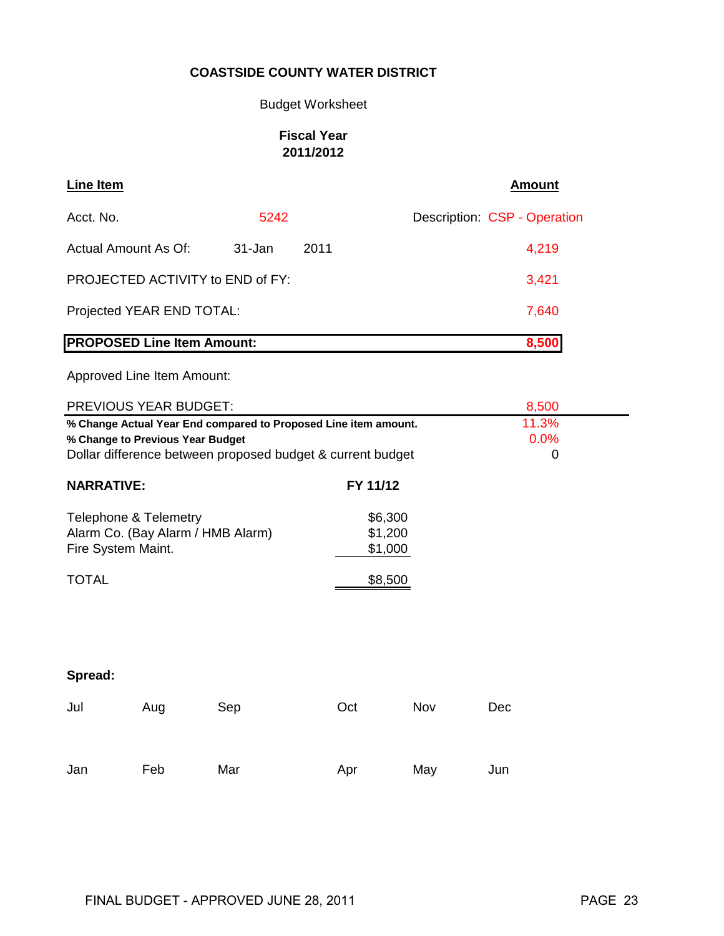## Budget Worksheet

### **Fiscal Year 2011/2012**

| Line Item                         |            |      | Amount                       |
|-----------------------------------|------------|------|------------------------------|
| Acct. No.                         | 5242       |      | Description: CSP - Operation |
| Actual Amount As Of:              | $31 - Jan$ | 2011 | 4,219                        |
| PROJECTED ACTIVITY to END of FY:  |            |      | 3,421                        |
| Projected YEAR END TOTAL:         |            |      | 7,640                        |
| <b>PROPOSED Line Item Amount:</b> |            |      | 8,500                        |

|                                                                                  | <b>PREVIOUS YEAR BUDGET:</b>                                                                                                                                      |     |                               |     | 8,500 |  |
|----------------------------------------------------------------------------------|-------------------------------------------------------------------------------------------------------------------------------------------------------------------|-----|-------------------------------|-----|-------|--|
|                                                                                  | % Change Actual Year End compared to Proposed Line item amount.<br>% Change to Previous Year Budget<br>Dollar difference between proposed budget & current budget |     | 11.3%<br>0.0%<br>$\Omega$     |     |       |  |
| <b>NARRATIVE:</b>                                                                |                                                                                                                                                                   |     | FY 11/12                      |     |       |  |
| Telephone & Telemetry<br>Alarm Co. (Bay Alarm / HMB Alarm)<br>Fire System Maint. |                                                                                                                                                                   |     | \$6,300<br>\$1,200<br>\$1,000 |     |       |  |
| <b>TOTAL</b>                                                                     |                                                                                                                                                                   |     | \$8,500                       |     |       |  |
|                                                                                  |                                                                                                                                                                   |     |                               |     |       |  |
|                                                                                  |                                                                                                                                                                   |     |                               |     |       |  |
| Spread:                                                                          |                                                                                                                                                                   |     |                               |     |       |  |
| Jul                                                                              | Aug                                                                                                                                                               | Sep | Oct                           | Nov | Dec   |  |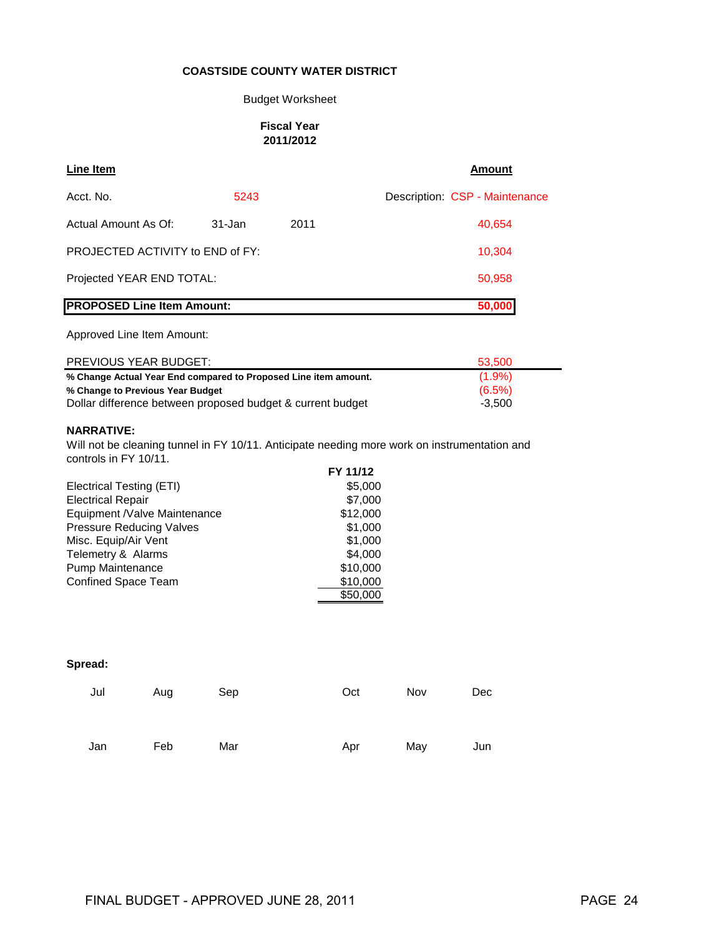#### Budget Worksheet

#### **Fiscal Year 2011/2012**

| Line Item                         |        |      | <b>Amount</b>                 |
|-----------------------------------|--------|------|-------------------------------|
| Acct. No.                         | 5243   |      | Description CSP - Maintenance |
| Actual Amount As Of:              | 31-Jan | 2011 | 40,654                        |
| PROJECTED ACTIVITY to END of FY:  |        |      | 10,304                        |
| Projected YEAR END TOTAL:         |        |      | 50,958                        |
| <b>PROPOSED Line Item Amount:</b> |        |      | 50,000                        |

#### Approved Line Item Amount:

| <b>PREVIOUS YEAR BUDGET:</b>                                    | 53.500    |
|-----------------------------------------------------------------|-----------|
| % Change Actual Year End compared to Proposed Line item amount. | $(1.9\%)$ |
| % Change to Previous Year Budget                                | (6.5%)    |
| Dollar difference between proposed budget & current budget      | $-3.500$  |

#### **NARRATIVE:**

Will not be cleaning tunnel in FY 10/11. Anticipate needing more work on instrumentation and controls in FY 10/11.

|                                 | FY 11/12 |
|---------------------------------|----------|
| Electrical Testing (ETI)        | \$5,000  |
| <b>Electrical Repair</b>        | \$7,000  |
| Equipment /Valve Maintenance    | \$12,000 |
| <b>Pressure Reducing Valves</b> | \$1,000  |
| Misc. Equip/Air Vent            | \$1,000  |
| Telemetry & Alarms              | \$4,000  |
| <b>Pump Maintenance</b>         | \$10,000 |
| <b>Confined Space Team</b>      | \$10,000 |
|                                 | \$50,000 |

| Jul | Aug | Sep | Oct | <b>Nov</b> | <b>Dec</b> |
|-----|-----|-----|-----|------------|------------|
| Jan | Feb | Mar | Apr | May        | Jun        |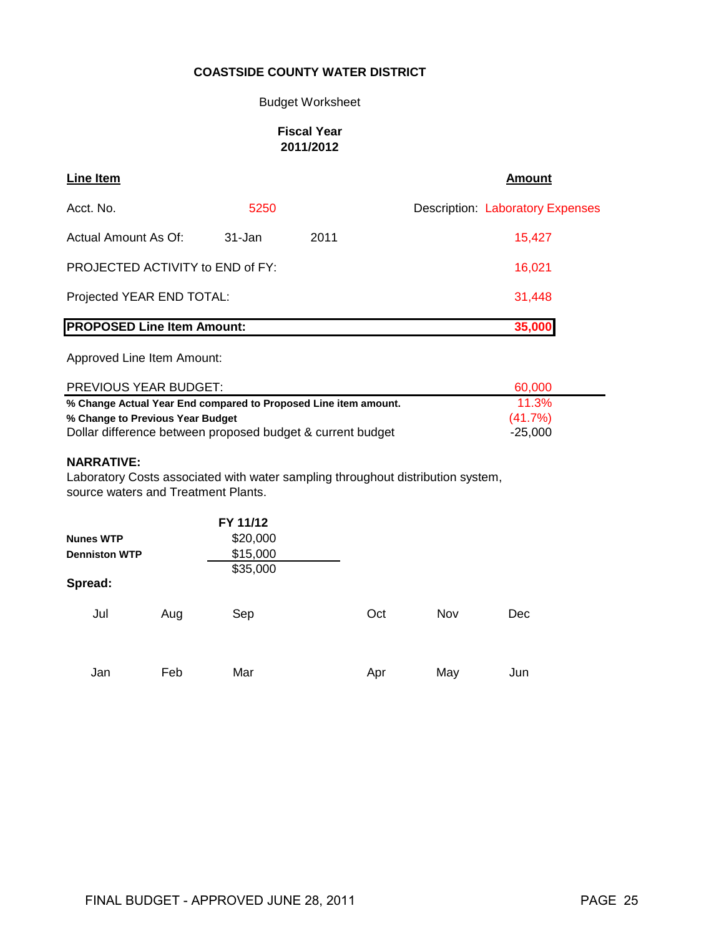#### Budget Worksheet

#### **Fiscal Year 2011/2012**

| <b>Line Item</b>                        |        |      | <b>Amount</b>                           |
|-----------------------------------------|--------|------|-----------------------------------------|
| Acct. No.                               | 5250   |      | <b>Description: Laboratory Expenses</b> |
| Actual Amount As Of:                    | 31-Jan | 2011 | 15,427                                  |
| <b>PROJECTED ACTIVITY to END of FY:</b> |        |      | 16,021                                  |
| Projected YEAR END TOTAL:               |        |      | 31,448                                  |
| <b>PROPOSED Line Item Amount:</b>       |        |      | 35,000                                  |

Approved Line Item Amount:

| PREVIOUS YEAR BUDGET:                                           | 60.000    |
|-----------------------------------------------------------------|-----------|
| % Change Actual Year End compared to Proposed Line item amount. | 11.3%     |
| % Change to Previous Year Budget                                | (41.7%)   |
| Dollar difference between proposed budget & current budget      | $-25.000$ |

#### **NARRATIVE:**

Laboratory Costs associated with water sampling throughout distribution system, source waters and Treatment Plants.

|                      |     | FY 11/12 |     |     |            |
|----------------------|-----|----------|-----|-----|------------|
| <b>Nunes WTP</b>     |     | \$20,000 |     |     |            |
| <b>Denniston WTP</b> |     | \$15,000 |     |     |            |
|                      |     | \$35,000 |     |     |            |
| Spread:              |     |          |     |     |            |
| Jul                  | Aug | Sep      | Oct | Nov | <b>Dec</b> |
| Jan                  | Feb | Mar      | Apr | May | Jun        |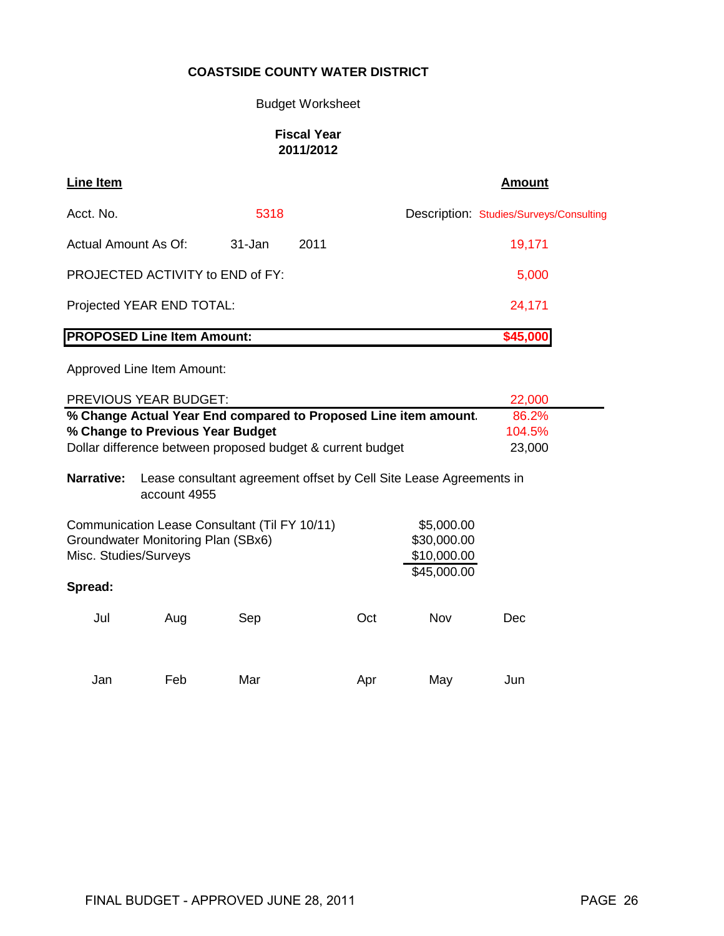### Budget Worksheet

#### **Fiscal Year 2011/2012**

| Line Item                               |            |      | <b>Amount</b>                           |
|-----------------------------------------|------------|------|-----------------------------------------|
| Acct. No.                               | 5318       |      | Description: Studies/Surveys/Consulting |
| Actual Amount As Of:                    | $31 - Jan$ | 2011 | 19,171                                  |
| <b>PROJECTED ACTIVITY to END of FY:</b> |            |      | 5,000                                   |
| Projected YEAR END TOTAL:               |            |      | 24,171                                  |
| <b>PROPOSED Line Item Amount:</b>       |            |      | \$45,000                                |
| Approved Line Home Amounty              |            |      |                                         |

|                                                                                                                                                                         | <b>PREVIOUS YEAR BUDGET:</b>     |     |                                                                    |     | 22,000     |
|-------------------------------------------------------------------------------------------------------------------------------------------------------------------------|----------------------------------|-----|--------------------------------------------------------------------|-----|------------|
| % Change Actual Year End compared to Proposed Line item amount.                                                                                                         | 86.2%                            |     |                                                                    |     |            |
|                                                                                                                                                                         | % Change to Previous Year Budget |     |                                                                    |     | 104.5%     |
|                                                                                                                                                                         |                                  |     | Dollar difference between proposed budget & current budget         |     | 23,000     |
| Narrative:                                                                                                                                                              | account 4955                     |     | Lease consultant agreement offset by Cell Site Lease Agreements in |     |            |
| Communication Lease Consultant (Til FY 10/11)<br>\$5,000.00<br>\$30,000.00<br>Groundwater Monitoring Plan (SBx6)<br>\$10,000.00<br>Misc. Studies/Surveys<br>\$45,000.00 |                                  |     |                                                                    |     |            |
| Spread:                                                                                                                                                                 |                                  |     |                                                                    |     |            |
| Jul                                                                                                                                                                     | Aug                              | Sep | Oct                                                                | Nov | <b>Dec</b> |
| Jan                                                                                                                                                                     | Feb                              | Mar | Apr                                                                | May | Jun        |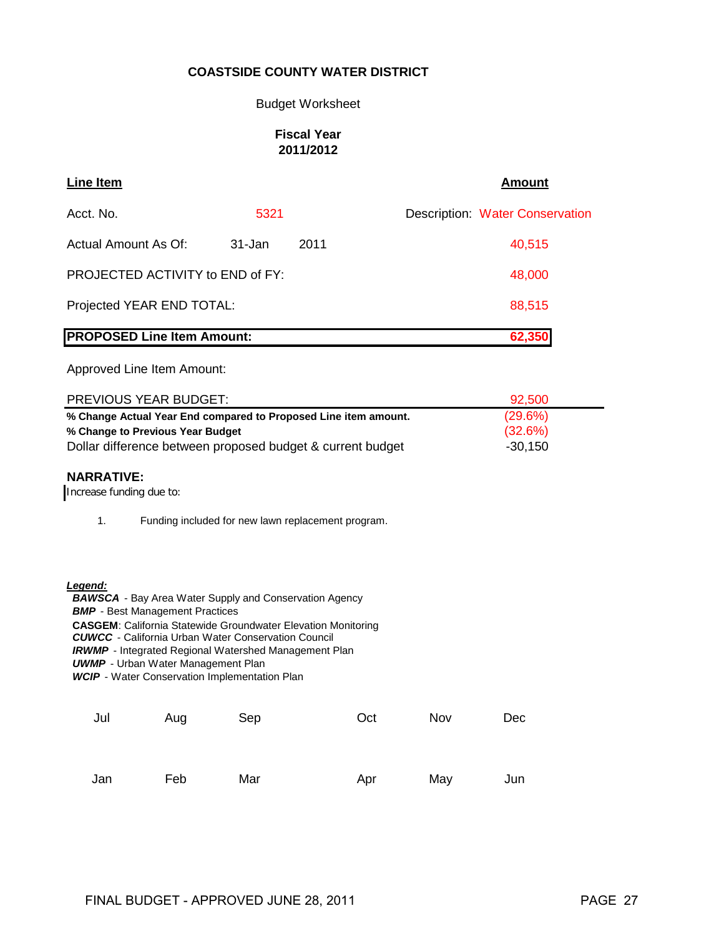#### Budget Worksheet

#### **Fiscal Year 2011/2012**

| <b>Line Item</b>                        |        |      | <b>Amount</b>                          |
|-----------------------------------------|--------|------|----------------------------------------|
| Acct. No.                               | 5321   |      | <b>Description: Water Conservation</b> |
| Actual Amount As Of:                    | 31-Jan | 2011 | 40,515                                 |
| <b>PROJECTED ACTIVITY to END of FY:</b> |        |      | 48,000                                 |
| Projected YEAR END TOTAL:               |        |      | 88,515                                 |
| <b>PROPOSED Line Item Amount:</b>       |        |      | 62,350                                 |

#### Approved Line Item Amount:

| <b>PREVIOUS YEAR BUDGET:</b>                                    | 92.500  |
|-----------------------------------------------------------------|---------|
| % Change Actual Year End compared to Proposed Line item amount. | (29.6%) |
| % Change to Previous Year Budget                                | (32.6%) |
| Dollar difference between proposed budget & current budget      | -30.150 |

#### **NARRATIVE:**

Increase funding due to:

1. Funding included for new lawn replacement program.

#### *Legend:*

 *BAWSCA* - Bay Area Water Supply and Conservation Agency **BMP** - Best Management Practices **CASGEM**: California Statewide Groundwater Elevation Monitoring  *CUWCC* - California Urban Water Conservation Council **IRWMP** - Integrated Regional Watershed Management Plan  *UWMP* - Urban Water Management Plan  *WCIP* - Water Conservation Implementation Plan

| Jul | Aug | Sep | Oct | Nov | Dec |
|-----|-----|-----|-----|-----|-----|
| Jan | Feb | Mar | Apr | May | Jun |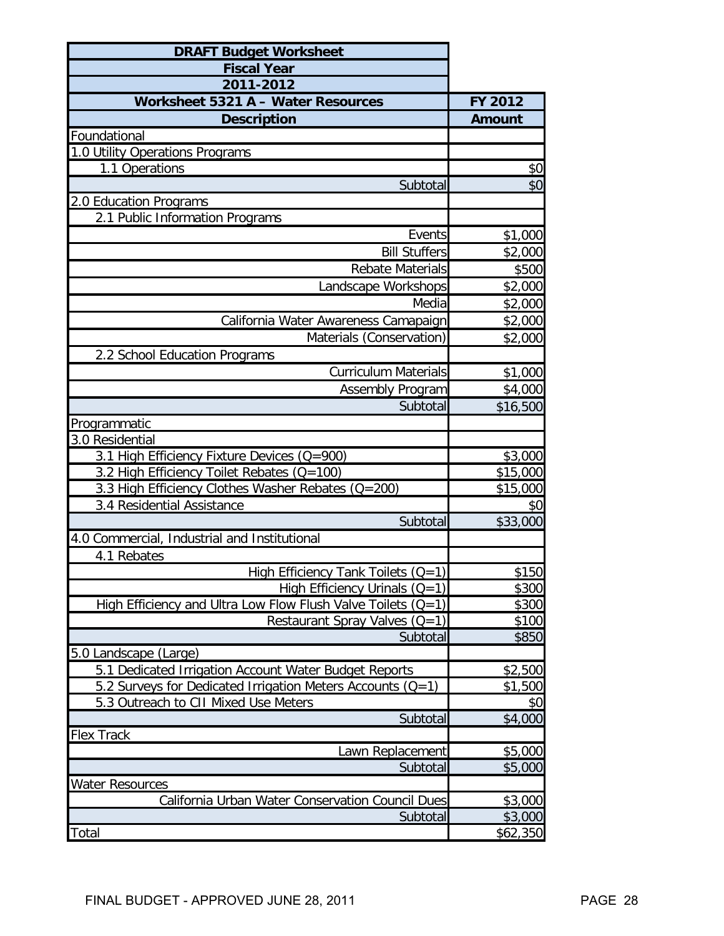| <b>DRAFT Budget Worksheet</b>                                  |               |
|----------------------------------------------------------------|---------------|
| <b>Fiscal Year</b>                                             |               |
| 2011-2012                                                      |               |
| Worksheet 5321 A - Water Resources                             | FY 2012       |
| <b>Description</b>                                             | <b>Amount</b> |
| Foundational                                                   |               |
| 1.0 Utility Operations Programs                                |               |
| 1.1 Operations                                                 | \$0           |
| Subtotal                                                       | \$0           |
| 2.0 Education Programs                                         |               |
| 2.1 Public Information Programs                                |               |
| Events                                                         | \$1,000       |
| <b>Bill Stuffers</b>                                           | \$2,000       |
| <b>Rebate Materials</b>                                        | \$500         |
| Landscape Workshops                                            | \$2,000       |
| Media                                                          | \$2,000       |
| California Water Awareness Camapaign                           | \$2,000       |
| Materials (Conservation)                                       | \$2,000       |
| 2.2 School Education Programs                                  |               |
| <b>Curriculum Materials</b>                                    | \$1,000       |
| <b>Assembly Program</b>                                        | \$4,000       |
| Subtotal                                                       | \$16,500      |
| Programmatic                                                   |               |
| 3.0 Residential                                                |               |
| 3.1 High Efficiency Fixture Devices (Q=900)                    | \$3,000       |
| 3.2 High Efficiency Toilet Rebates (Q=100)                     | \$15,000      |
| 3.3 High Efficiency Clothes Washer Rebates (Q=200)             | \$15,000      |
| 3.4 Residential Assistance                                     | \$0           |
| Subtotal                                                       | \$33,000      |
| 4.0 Commercial, Industrial and Institutional                   |               |
| 4.1 Rebates                                                    |               |
| High Efficiency Tank Toilets (Q=1)                             | \$150         |
| High Efficiency Urinals $(Q=1)$                                | \$300         |
| High Efficiency and Ultra Low Flow Flush Valve Toilets $(Q=1)$ | \$300         |
| Restaurant Spray Valves $(Q=1)$                                | \$100         |
| Subtotal                                                       | \$850         |
| 5.0 Landscape (Large)                                          |               |
| 5.1 Dedicated Irrigation Account Water Budget Reports          | \$2,500       |
| 5.2 Surveys for Dedicated Irrigation Meters Accounts (Q=1)     | \$1,500       |
| 5.3 Outreach to CII Mixed Use Meters                           | \$0           |
| Subtotal                                                       | \$4,000       |
| <b>Flex Track</b>                                              |               |
| Lawn Replacement                                               | \$5,000       |
| Subtotal                                                       | \$5,000       |
| <b>Water Resources</b>                                         |               |
| California Urban Water Conservation Council Dues               | \$3,000       |
| Subtotal                                                       | \$3,000       |
| <b>Total</b>                                                   | \$62,350      |
|                                                                |               |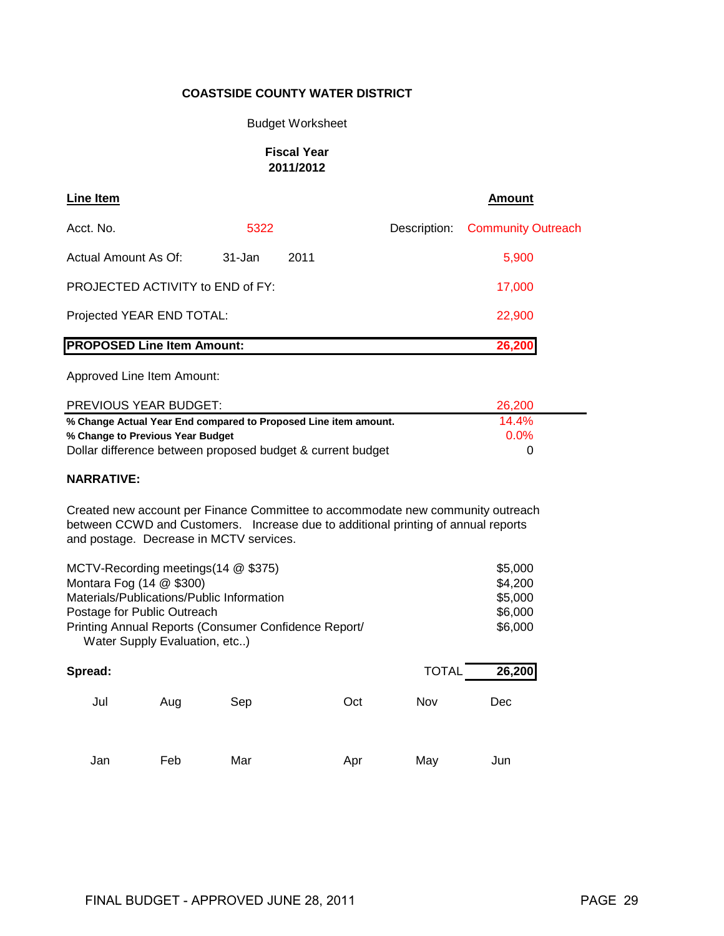#### Budget Worksheet

#### **Fiscal Year 2011/2012**

| Line Item                         |        |      | <b>Amount</b>                   |
|-----------------------------------|--------|------|---------------------------------|
| Acct. No.                         | 5322   |      | Description. Community Outreach |
| Actual Amount As Of:              | 31-Jan | 2011 | 5,900                           |
| PROJECTED ACTIVITY to END of FY:  |        |      | 17,000                          |
| Projected YEAR END TOTAL:         |        |      | 22,900                          |
| <b>PROPOSED Line Item Amount:</b> |        |      | 26,200                          |

#### Approved Line Item Amount:

| PREVIOUS YEAR BUDGET:                                           | 26,200  |  |
|-----------------------------------------------------------------|---------|--|
| % Change Actual Year End compared to Proposed Line item amount. | 14.4%   |  |
| % Change to Previous Year Budget                                | $0.0\%$ |  |
| Dollar difference between proposed budget & current budget      |         |  |

#### **NARRATIVE:**

Created new account per Finance Committee to accommodate new community outreach between CCWD and Customers. Increase due to additional printing of annual reports and postage. Decrease in MCTV services.

| MCTV-Recording meetings (14 @ \$375)                 | \$5.000 |
|------------------------------------------------------|---------|
| Montara Fog (14 @ \$300)                             | \$4,200 |
| Materials/Publications/Public Information            | \$5,000 |
| Postage for Public Outreach                          | \$6,000 |
| Printing Annual Reports (Consumer Confidence Report/ | \$6,000 |
| Water Supply Evaluation, etc)                        |         |

| Spread: |     |     |     | <b>TOTAL</b> | 26,200 |
|---------|-----|-----|-----|--------------|--------|
| Jul     | Aug | Sep | Oct | Nov          | Dec    |
| Jan     | Feb | Mar | Apr | May          | Jun    |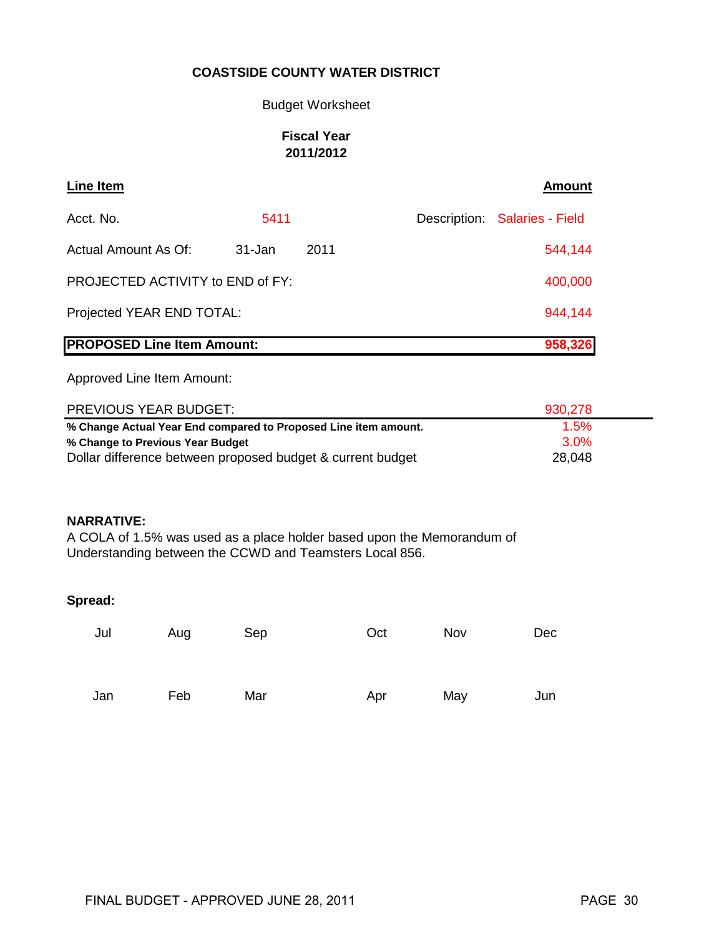Budget Worksheet

### **Fiscal Year 2011/2012**

| <b>PROPOSED Line Item Amount:</b> |        |      |  | 958,326                       |
|-----------------------------------|--------|------|--|-------------------------------|
| Projected YEAR END TOTAL:         |        |      |  | 944,144                       |
| PROJECTED ACTIVITY to END of FY:  |        |      |  | 400,000                       |
| Actual Amount As Of:              | 31-Jan | 2011 |  | 544,144                       |
| Acct. No.                         | 5411   |      |  | Description: Salaries - Field |
| <b>Line Item</b>                  |        |      |  | <b>Amount</b>                 |

Approved Line Item Amount:

| <b>PREVIOUS YEAR BUDGET:</b>                                    | 930,278 |  |
|-----------------------------------------------------------------|---------|--|
| % Change Actual Year End compared to Proposed Line item amount. | 1.5%    |  |
| % Change to Previous Year Budget                                | 3.0%    |  |
| Dollar difference between proposed budget & current budget      | 28,048  |  |

#### **NARRATIVE:**

A COLA of 1.5% was used as a place holder based upon the Memorandum of Understanding between the CCWD and Teamsters Local 856.

| Jul | Aug | Sep | Oct | Nov | Dec |
|-----|-----|-----|-----|-----|-----|
| Jan | Feb | Mar | Apr | May | Jun |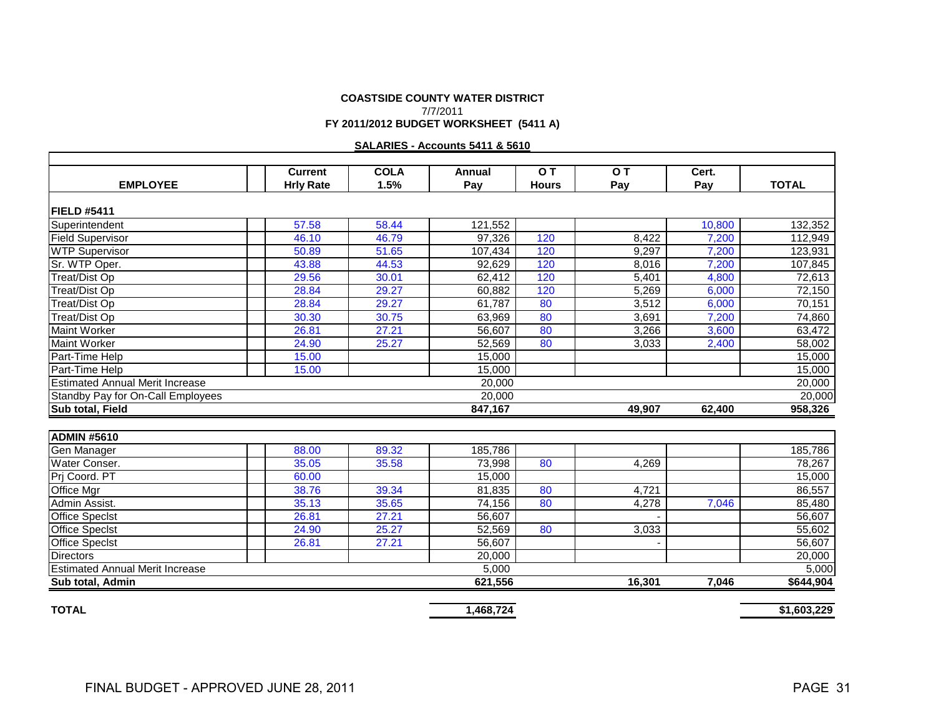#### **COASTSIDE COUNTY WATER DISTRICT FY 2011/2012 BUDGET WORKSHEET (5411 A)** 7/7/2011

**SALARIES - Accounts 5411 & 5610**

|                                        | <b>Current</b>   | <b>COLA</b> | Annual    | O T             | O T    | Cert.  |              |
|----------------------------------------|------------------|-------------|-----------|-----------------|--------|--------|--------------|
| <b>EMPLOYEE</b>                        | <b>Hrly Rate</b> | 1.5%        | Pay       | <b>Hours</b>    | Pay    | Pay    | <b>TOTAL</b> |
|                                        |                  |             |           |                 |        |        |              |
| <b>FIELD #5411</b>                     |                  |             |           |                 |        |        |              |
| Superintendent                         | 57.58            | 58.44       | 121,552   |                 |        | 10,800 | 132,352      |
| <b>Field Supervisor</b>                | 46.10            | 46.79       | 97,326    | 120             | 8,422  | 7,200  | 112,949      |
| <b>WTP Supervisor</b>                  | 50.89            | 51.65       | 107,434   | 120             | 9,297  | 7,200  | 123,931      |
| Sr. WTP Oper.                          | 43.88            | 44.53       | 92,629    | 120             | 8,016  | 7,200  | 107,845      |
| Treat/Dist Op                          | 29.56            | 30.01       | 62,412    | 120             | 5,401  | 4,800  | 72,613       |
| Treat/Dist Op                          | 28.84            | 29.27       | 60,882    | 120             | 5,269  | 6,000  | 72,150       |
| Treat/Dist Op                          | 28.84            | 29.27       | 61.787    | 80              | 3,512  | 6.000  | 70,151       |
| Treat/Dist Op                          | 30.30            | 30.75       | 63,969    | 80              | 3,691  | 7,200  | 74,860       |
| <b>Maint Worker</b>                    | 26.81            | 27.21       | 56,607    | 80              | 3,266  | 3,600  | 63,472       |
| <b>Maint Worker</b>                    | 24.90            | 25.27       | 52,569    | 80              | 3,033  | 2,400  | 58,002       |
| Part-Time Help                         | 15.00            |             | 15,000    |                 |        |        | 15,000       |
| Part-Time Help                         | 15.00            |             | 15,000    |                 |        |        | 15,000       |
| <b>Estimated Annual Merit Increase</b> |                  |             | 20,000    |                 |        |        | 20,000       |
| Standby Pay for On-Call Employees      |                  |             | 20,000    |                 |        |        | 20,000       |
| <b>Sub total. Field</b>                |                  |             | 847,167   |                 | 49,907 | 62,400 | 958,326      |
|                                        |                  |             |           |                 |        |        |              |
| <b>ADMIN #5610</b>                     |                  |             |           |                 |        |        |              |
| Gen Manager                            | 88.00            | 89.32       | 185,786   |                 |        |        | 185,786      |
| Water Conser.                          | 35.05            | 35.58       | 73,998    | 80              | 4,269  |        | 78,267       |
| Pri Coord. PT                          | 60.00            |             | 15.000    |                 |        |        | 15,000       |
| Office Mgr                             | 38.76            | 39.34       | 81,835    | 80              | 4.721  |        | 86,557       |
| Admin Assist.                          | 35.13            | 35.65       | 74,156    | 80              | 4,278  | 7,046  | 85,480       |
| <b>Office Specist</b>                  | 26.81            | 27.21       | 56,607    |                 |        |        | 56,607       |
| <b>Office Specist</b>                  | 24.90            | 25.27       | 52,569    | $\overline{80}$ | 3,033  |        | 55,602       |
| <b>Office Specist</b>                  | 26.81            | 27.21       | 56,607    |                 |        |        | 56,607       |
| <b>Directors</b>                       |                  |             | 20,000    |                 |        |        | 20,000       |
| <b>Estimated Annual Merit Increase</b> |                  |             | 5,000     |                 |        |        | 5,000        |
| Sub total, Admin                       |                  |             | 621,556   |                 | 16,301 | 7.046  | \$644,904    |
|                                        |                  |             |           |                 |        |        |              |
| <b>TOTAL</b>                           |                  |             | 1,468,724 |                 |        |        | \$1,603,229  |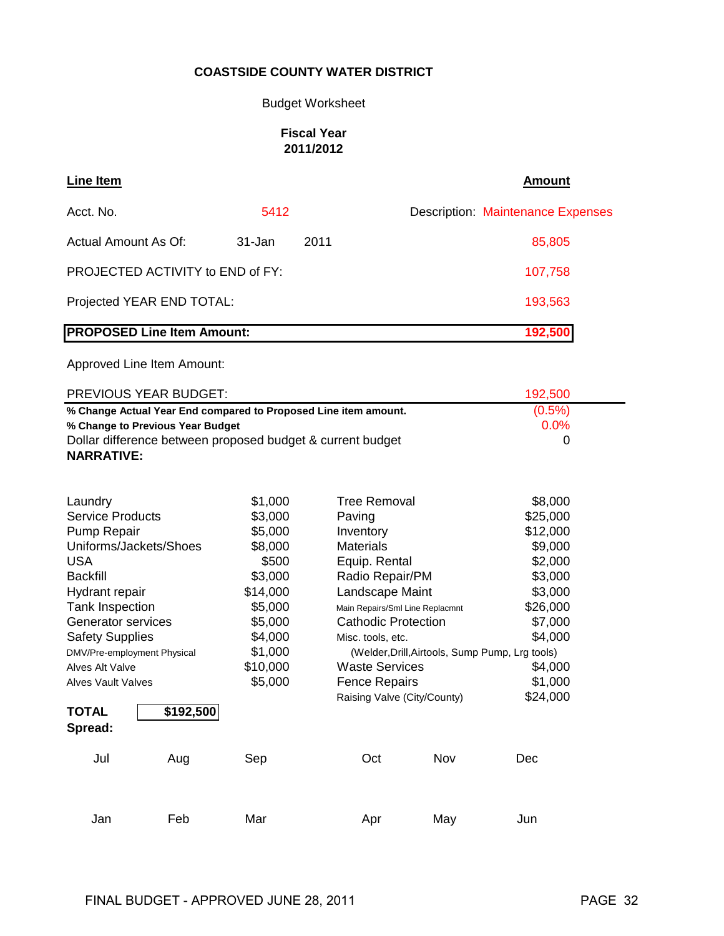## Budget Worksheet

### **Fiscal Year 2011/2012**

| Line Item                               |        |      | Amount                                   |
|-----------------------------------------|--------|------|------------------------------------------|
| Acct. No.                               | 5412   |      | <b>Description: Maintenance Expenses</b> |
| Actual Amount As Of:                    | 31-Jan | 2011 | 85,805                                   |
| <b>PROJECTED ACTIVITY to END of FY:</b> |        |      | 107,758                                  |
| Projected YEAR END TOTAL:               |        |      | 193,563                                  |
| <b>PROPOSED Line Item Amount:</b>       |        |      | 192,500                                  |

| <b>PREVIOUS YEAR BUDGET:</b>                                    | 192.500   |
|-----------------------------------------------------------------|-----------|
| % Change Actual Year End compared to Proposed Line item amount. | $(0.5\%)$ |
| % Change to Previous Year Budget                                | $0.0\%$   |
| Dollar difference between proposed budget & current budget      |           |
| <b>NARRATIVE:</b>                                               |           |

| Laundry                     | \$1,000  | Tree Removal                    |                                                 | \$8,000  |
|-----------------------------|----------|---------------------------------|-------------------------------------------------|----------|
| <b>Service Products</b>     | \$3,000  | Paving                          |                                                 | \$25,000 |
| Pump Repair                 | \$5,000  | Inventory                       |                                                 | \$12,000 |
| Uniforms/Jackets/Shoes      | \$8,000  | <b>Materials</b>                |                                                 | \$9,000  |
| <b>USA</b>                  | \$500    | Equip. Rental                   |                                                 | \$2,000  |
| <b>Backfill</b>             | \$3,000  | Radio Repair/PM                 |                                                 | \$3,000  |
| Hydrant repair              | \$14,000 | Landscape Maint                 |                                                 | \$3,000  |
| Tank Inspection             | \$5,000  | Main Repairs/Sml Line Replacmnt |                                                 | \$26,000 |
| Generator services          | \$5,000  | <b>Cathodic Protection</b>      |                                                 | \$7,000  |
| <b>Safety Supplies</b>      | \$4,000  | Misc. tools, etc.               |                                                 | \$4,000  |
| DMV/Pre-employment Physical | \$1,000  |                                 | (Welder, Drill, Airtools, Sump Pump, Lrg tools) |          |
| Alves Alt Valve             | \$10,000 | <b>Waste Services</b>           |                                                 | \$4,000  |
| Alves Vault Valves          | \$5,000  | <b>Fence Repairs</b>            |                                                 | \$1,000  |
|                             |          | Raising Valve (City/County)     |                                                 | \$24,000 |
| \$192,500<br><b>TOTAL</b>   |          |                                 |                                                 |          |
| Spread:                     |          |                                 |                                                 |          |
|                             |          |                                 |                                                 |          |
| Jul<br>Aug                  | Sep      | Oct                             | Nov                                             | Dec      |
|                             |          |                                 |                                                 |          |
|                             |          |                                 |                                                 |          |
| Jan<br>Feb                  | Mar      | Apr                             | May                                             | Jun      |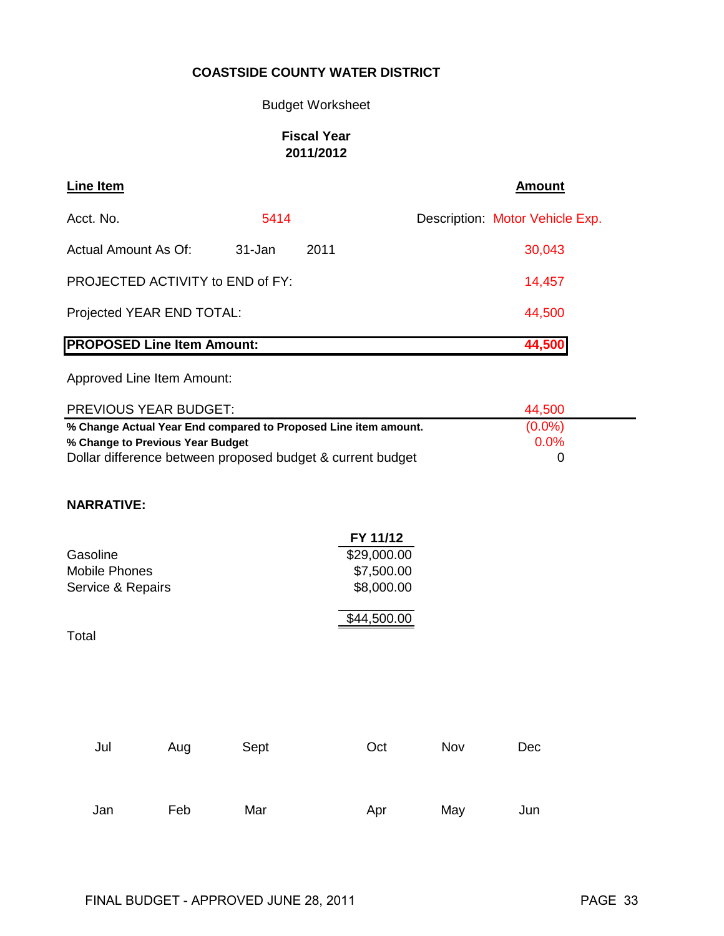Budget Worksheet

### **Fiscal Year 2011/2012**

| Line Item                         |            |      | <b>Amount</b>                   |
|-----------------------------------|------------|------|---------------------------------|
| Acct. No.                         | 5414       |      | Description: Motor Vehicle Exp. |
| Actual Amount As Of:              | $31 - Jan$ | 2011 | 30,043                          |
| PROJECTED ACTIVITY to END of FY:  |            |      | 14,457                          |
| Projected YEAR END TOTAL:         |            |      | 44,500                          |
| <b>PROPOSED Line Item Amount:</b> |            |      | 44,500                          |

Approved Line Item Amount:

| PREVIOUS YEAR BUDGET:                                           | 44.500    |  |
|-----------------------------------------------------------------|-----------|--|
| % Change Actual Year End compared to Proposed Line item amount. | $(0.0\%)$ |  |
| % Change to Previous Year Budget                                | $0.0\%$   |  |
| Dollar difference between proposed budget & current budget      |           |  |

# **NARRATIVE:**

|                   | FY 11/12    |
|-------------------|-------------|
| Gasoline          | \$29,000.00 |
| Mobile Phones     | \$7,500.00  |
| Service & Repairs | \$8,000.00  |
|                   | \$44,500.00 |

Total

| Jul | Aug | Sept | Oct | Nov | Dec |
|-----|-----|------|-----|-----|-----|
| Jan | Feb | Mar  | Apr | May | Jun |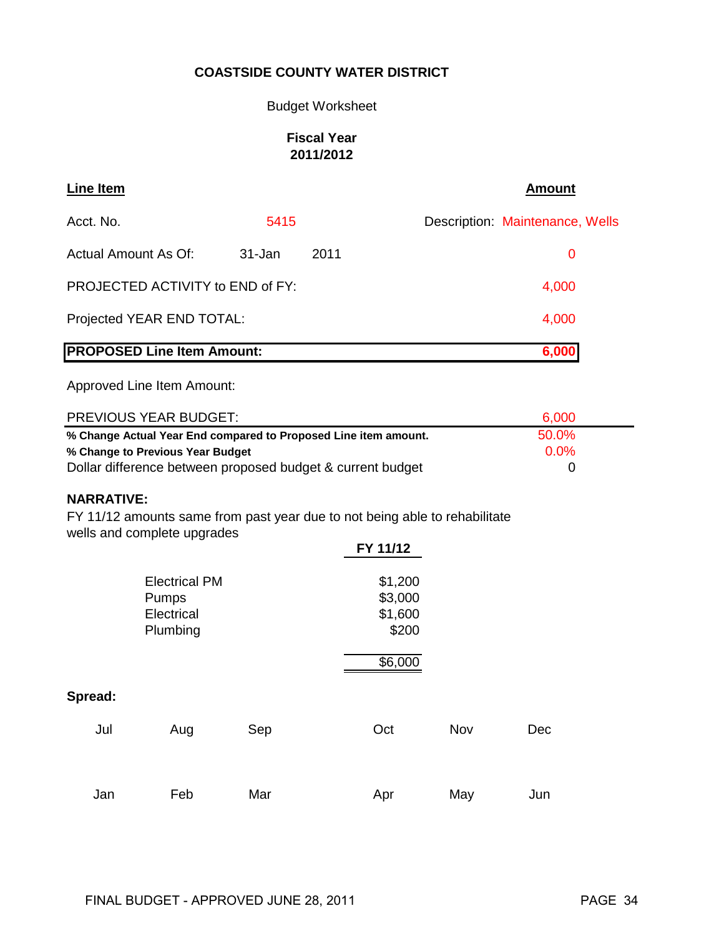### Budget Worksheet

### **Fiscal Year 2011/2012**

| <b>Line Item</b>                  |        |      | <b>Amount</b>                   |
|-----------------------------------|--------|------|---------------------------------|
| Acct. No.                         | 5415   |      | Description: Maintenance, Wells |
| Actual Amount As Of:              | 31-Jan | 2011 | 0                               |
| PROJECTED ACTIVITY to END of FY:  |        |      | 4,000                           |
| Projected YEAR END TOTAL:         |        |      | 4,000                           |
| <b>PROPOSED Line Item Amount:</b> |        |      | 6,000                           |

Approved Line Item Amount:

| PREVIOUS YEAR BUDGET:                                           | 6,000   |  |
|-----------------------------------------------------------------|---------|--|
| % Change Actual Year End compared to Proposed Line item amount. | 50.0%   |  |
| % Change to Previous Year Budget                                | $0.0\%$ |  |
| Dollar difference between proposed budget & current budget      |         |  |

### **NARRATIVE:**

FY 11/12 amounts same from past year due to not being able to rehabilitate wells and complete upgrades

|         |                      |     | FY 11/12 |     |     |
|---------|----------------------|-----|----------|-----|-----|
|         | <b>Electrical PM</b> |     | \$1,200  |     |     |
|         | Pumps                |     | \$3,000  |     |     |
|         | Electrical           |     | \$1,600  |     |     |
|         | Plumbing             |     | \$200    |     |     |
|         |                      |     | \$6,000  |     |     |
| Spread: |                      |     |          |     |     |
| Jul     | Aug                  | Sep | Oct      | Nov | Dec |
|         |                      |     |          |     |     |
|         |                      |     |          |     |     |
| Jan     | Feb                  | Mar | Apr      | May | Jun |
|         |                      |     |          |     |     |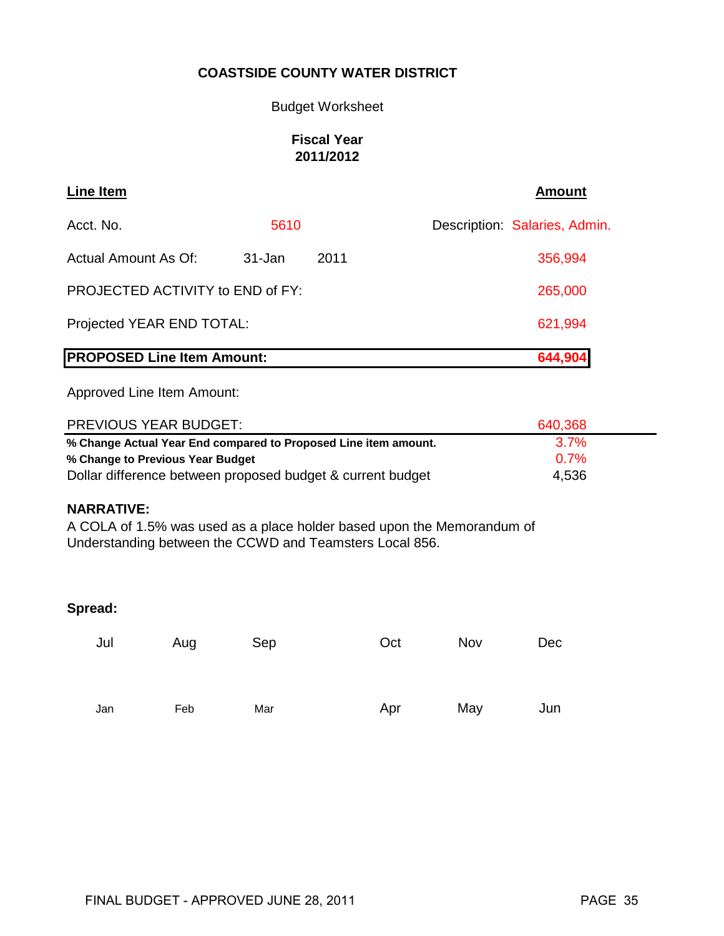### Budget Worksheet

### **Fiscal Year 2011/2012**

| Line Item                         |         |      | <b>Amount</b>                 |
|-----------------------------------|---------|------|-------------------------------|
| Acct. No.                         | 5610    |      | Description: Salaries, Admin. |
| Actual Amount As Of:              | 31-Jan  | 2011 | 356,994                       |
| PROJECTED ACTIVITY to END of FY:  | 265,000 |      |                               |
| Projected YEAR END TOTAL:         |         |      | 621,994                       |
| <b>PROPOSED Line Item Amount:</b> |         |      | 644,904                       |

Approved Line Item Amount:

| <b>PREVIOUS YEAR BUDGET:</b>                                    | 640.368      |
|-----------------------------------------------------------------|--------------|
| % Change Actual Year End compared to Proposed Line item amount. | $3.7\%$      |
| % Change to Previous Year Budget                                | <u>በ 7% </u> |
| Dollar difference between proposed budget & current budget      | 4,536        |

### **NARRATIVE:**

A COLA of 1.5% was used as a place holder based upon the Memorandum of Understanding between the CCWD and Teamsters Local 856.

| Jul | Aug | Sep | Oct | Nov | <b>Dec</b> |
|-----|-----|-----|-----|-----|------------|
| Jan | Feb | Mar | Apr | May | Jun        |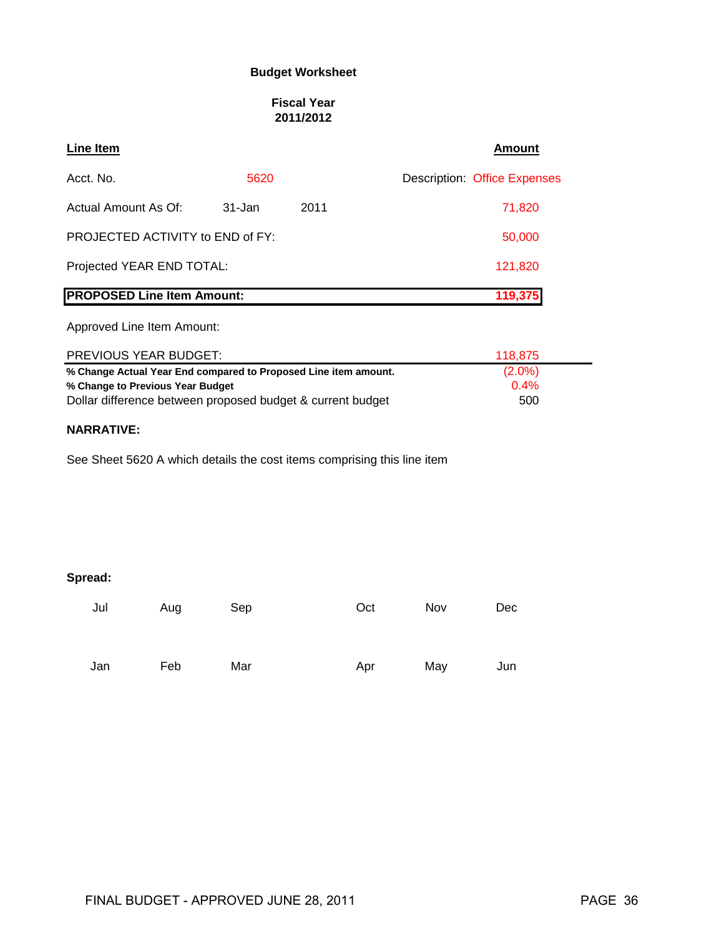#### **Budget Worksheet**

#### **Fiscal Year 2011/2012**

| Line Item                               |        |      | <b>Amount</b>                       |
|-----------------------------------------|--------|------|-------------------------------------|
| Acct. No.                               | 5620   |      | <b>Description: Office Expenses</b> |
| Actual Amount As Of:                    | 31-Jan | 2011 | 71,820                              |
| <b>PROJECTED ACTIVITY to END of FY:</b> |        |      | 50,000                              |
| Projected YEAR END TOTAL:               |        |      | 121,820                             |
| <b>PROPOSED Line Item Amount:</b>       |        |      | 119,375                             |
| Approved Line Item Amount:              |        |      |                                     |

| PREVIOUS YEAR BUDGET:                                           | 118.875   |
|-----------------------------------------------------------------|-----------|
| % Change Actual Year End compared to Proposed Line item amount. | $(2.0\%)$ |
| % Change to Previous Year Budget                                | $0.4\%$   |
| Dollar difference between proposed budget & current budget      | 500       |

#### **NARRATIVE:**

See Sheet 5620 A which details the cost items comprising this line item

| Jul | Aug | Sep | Oct | Nov | Dec |
|-----|-----|-----|-----|-----|-----|
| Jan | Feb | Mar | Apr | May | Jun |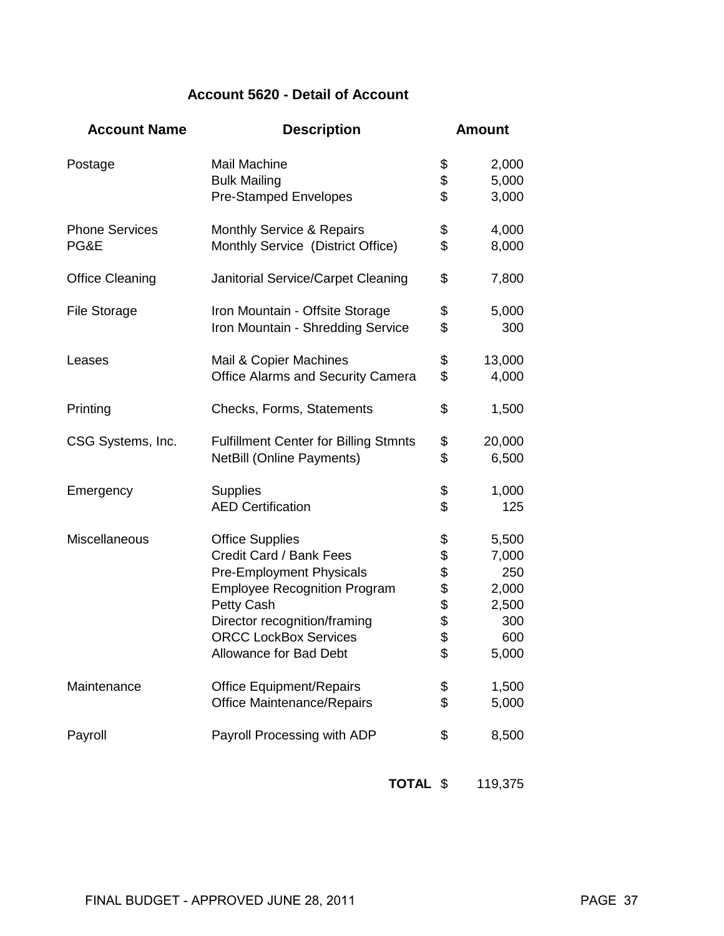# **Account 5620 - Detail of Account**

| <b>Account Name</b>    | <b>Description</b>                           | <b>Amount</b> |
|------------------------|----------------------------------------------|---------------|
| Postage                | <b>Mail Machine</b>                          | \$<br>2,000   |
|                        | <b>Bulk Mailing</b>                          | \$<br>5,000   |
|                        | <b>Pre-Stamped Envelopes</b>                 | \$<br>3,000   |
| <b>Phone Services</b>  | Monthly Service & Repairs                    | \$<br>4,000   |
| PG&E                   | Monthly Service (District Office)            | \$<br>8,000   |
| <b>Office Cleaning</b> | Janitorial Service/Carpet Cleaning           | \$<br>7,800   |
| <b>File Storage</b>    | Iron Mountain - Offsite Storage              | \$<br>5,000   |
|                        | Iron Mountain - Shredding Service            | \$<br>300     |
| Leases                 | Mail & Copier Machines                       | \$<br>13,000  |
|                        | <b>Office Alarms and Security Camera</b>     | \$<br>4,000   |
| Printing               | Checks, Forms, Statements                    | \$<br>1,500   |
| CSG Systems, Inc.      | <b>Fulfillment Center for Billing Stmnts</b> | \$<br>20,000  |
|                        | <b>NetBill (Online Payments)</b>             | \$<br>6,500   |
| Emergency              | <b>Supplies</b>                              | \$<br>1,000   |
|                        | <b>AED Certification</b>                     | \$<br>125     |
| Miscellaneous          | <b>Office Supplies</b>                       | \$<br>5,500   |
|                        | Credit Card / Bank Fees                      | \$<br>7,000   |
|                        | <b>Pre-Employment Physicals</b>              | \$<br>250     |
|                        | <b>Employee Recognition Program</b>          | \$<br>2,000   |
|                        | Petty Cash                                   | \$<br>2,500   |
|                        | Director recognition/framing                 | \$<br>300     |
|                        | <b>ORCC LockBox Services</b>                 | \$<br>600     |
|                        | Allowance for Bad Debt                       | \$<br>5,000   |
| Maintenance            | <b>Office Equipment/Repairs</b>              | \$<br>1,500   |
|                        | <b>Office Maintenance/Repairs</b>            | \$<br>5,000   |
| Payroll                | Payroll Processing with ADP                  | \$<br>8,500   |
|                        | <b>TOTAL \$</b>                              | 119,375       |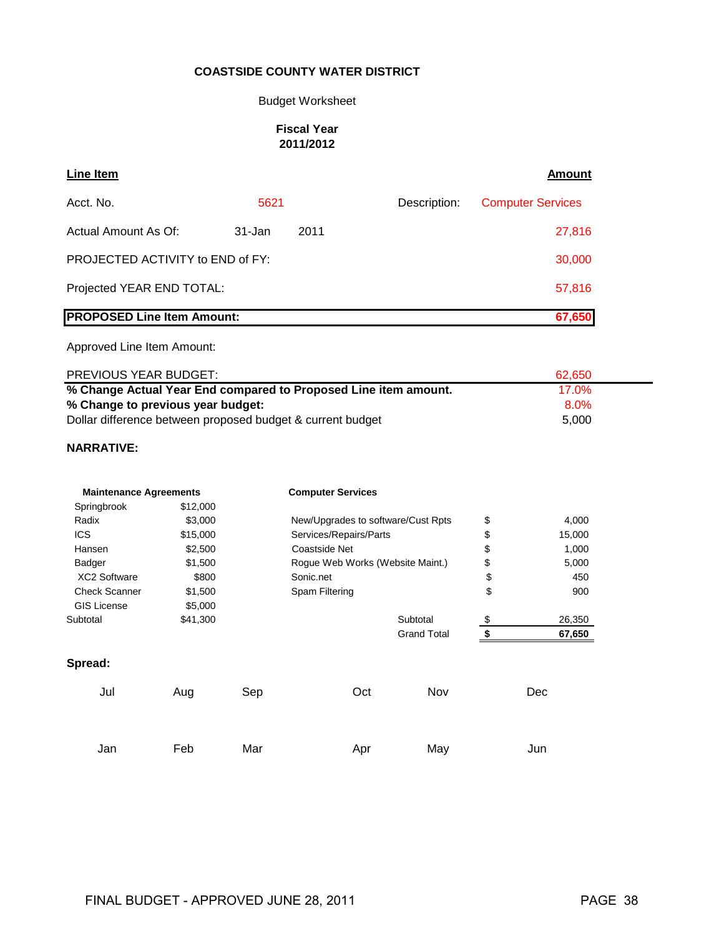### Budget Worksheet

#### **Fiscal Year 2011/2012**

| Line Item                               |            |      |              | Amount                   |
|-----------------------------------------|------------|------|--------------|--------------------------|
| Acct. No.                               | 5621       |      | Description: | <b>Computer Services</b> |
| Actual Amount As Of:                    | $31 - Jan$ | 2011 |              | 27,816                   |
| <b>PROJECTED ACTIVITY to END of FY:</b> |            |      |              | 30,000                   |
| Projected YEAR END TOTAL:               |            |      |              | 57,816                   |
| <b>PROPOSED Line Item Amount:</b>       |            |      |              | 67,650                   |

# Approved Line Item Amount:

| PREVIOUS YEAR BUDGET:                                           | 62.650  |  |
|-----------------------------------------------------------------|---------|--|
| % Change Actual Year End compared to Proposed Line item amount. | 17.0%   |  |
| % Change to previous year budget:                               | $8.0\%$ |  |
| Dollar difference between proposed budget & current budget      | 5.000   |  |

#### **NARRATIVE:**

| <b>Maintenance Agreements</b> |          |          | <b>Computer Services</b>           |                    |              |
|-------------------------------|----------|----------|------------------------------------|--------------------|--------------|
| Springbrook                   | \$12,000 |          |                                    |                    |              |
| Radix                         | \$3,000  |          | New/Upgrades to software/Cust Rpts |                    | \$<br>4,000  |
| <b>ICS</b>                    | \$15,000 |          | Services/Repairs/Parts             |                    | \$<br>15,000 |
| Hansen                        | \$2,500  |          | Coastside Net                      |                    | \$<br>1,000  |
| Badger                        | \$1,500  |          | Rogue Web Works (Website Maint.)   |                    | \$<br>5,000  |
| <b>XC2 Software</b>           | \$800    |          | Sonic.net                          |                    | \$<br>450    |
| <b>Check Scanner</b>          | \$1,500  |          | Spam Filtering                     |                    | \$<br>900    |
| <b>GIS License</b>            | \$5,000  |          |                                    |                    |              |
| Subtotal                      | \$41,300 | Subtotal |                                    |                    | \$<br>26,350 |
|                               |          |          |                                    | <b>Grand Total</b> | 67,650       |
| Spread:                       |          |          |                                    |                    |              |
| Jul                           | Aug      | Sep      | Oct                                | Nov                | Dec          |
| Jan                           | Feb      | Mar      | Apr                                | May                | Jun          |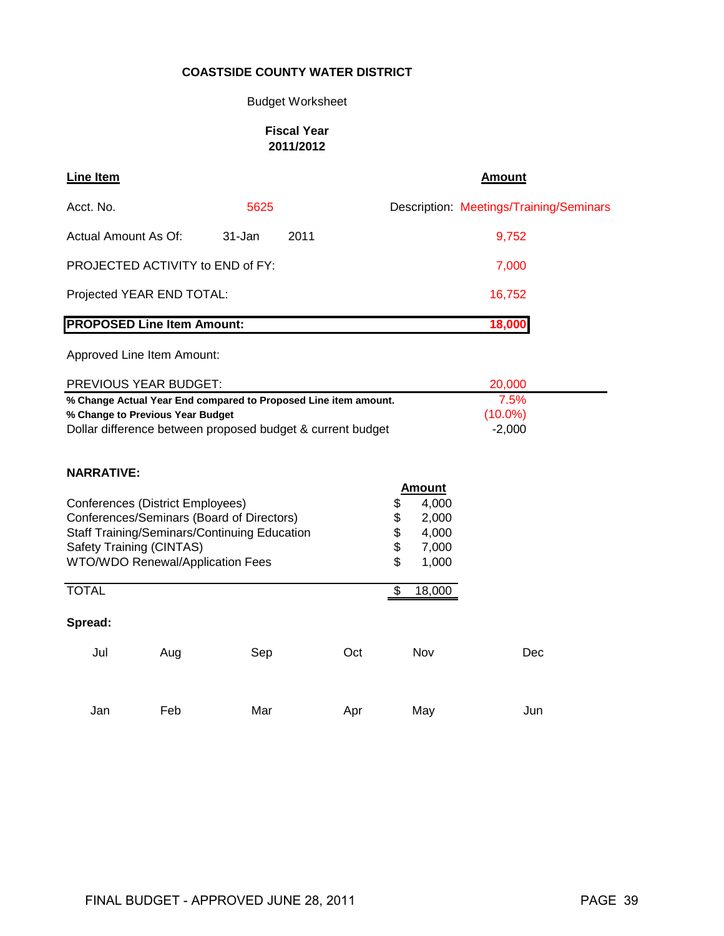## Budget Worksheet

#### **Fiscal Year 2011/2012**

| <b>Line Item</b>     |                                                                                                                                                                                               |        |      |                                                                    |                                                                      | <b>Amount</b>                           |
|----------------------|-----------------------------------------------------------------------------------------------------------------------------------------------------------------------------------------------|--------|------|--------------------------------------------------------------------|----------------------------------------------------------------------|-----------------------------------------|
| Acct. No.            |                                                                                                                                                                                               | 5625   |      |                                                                    |                                                                      | Description: Meetings/Training/Seminars |
| Actual Amount As Of: |                                                                                                                                                                                               | 31-Jan | 2011 |                                                                    |                                                                      | 9,752                                   |
|                      | PROJECTED ACTIVITY to END of FY:                                                                                                                                                              |        |      |                                                                    |                                                                      | 7,000                                   |
|                      | Projected YEAR END TOTAL:                                                                                                                                                                     |        |      |                                                                    |                                                                      | 16,752                                  |
|                      | <b>PROPOSED Line Item Amount:</b>                                                                                                                                                             |        |      |                                                                    |                                                                      | 18,000                                  |
|                      | Approved Line Item Amount:                                                                                                                                                                    |        |      |                                                                    |                                                                      |                                         |
|                      | PREVIOUS YEAR BUDGET:                                                                                                                                                                         |        |      |                                                                    |                                                                      | 20,000                                  |
| <b>NARRATIVE:</b>    | % Change Actual Year End compared to Proposed Line item amount.<br>% Change to Previous Year Budget<br>Dollar difference between proposed budget & current budget                             |        |      |                                                                    |                                                                      | $(10.0\%)$<br>$-2,000$                  |
| <b>TOTAL</b>         | Conferences (District Employees)<br>Conferences/Seminars (Board of Directors)<br>Staff Training/Seminars/Continuing Education<br>Safety Training (CINTAS)<br>WTO/WDO Renewal/Application Fees |        |      | \$<br>\$<br>\$<br>\$<br>$\mathfrak{D}$<br>$\overline{\mathcal{G}}$ | <b>Amount</b><br>4,000<br>2,000<br>4,000<br>7,000<br>1,000<br>18,000 |                                         |
|                      |                                                                                                                                                                                               |        |      |                                                                    |                                                                      |                                         |
| Spread:              |                                                                                                                                                                                               |        |      |                                                                    |                                                                      |                                         |
| Jul                  | Aug                                                                                                                                                                                           | Sep    |      | Oct                                                                | Nov                                                                  | Dec                                     |
| Jan                  | Feb                                                                                                                                                                                           | Mar    |      | Apr                                                                | May                                                                  | Jun                                     |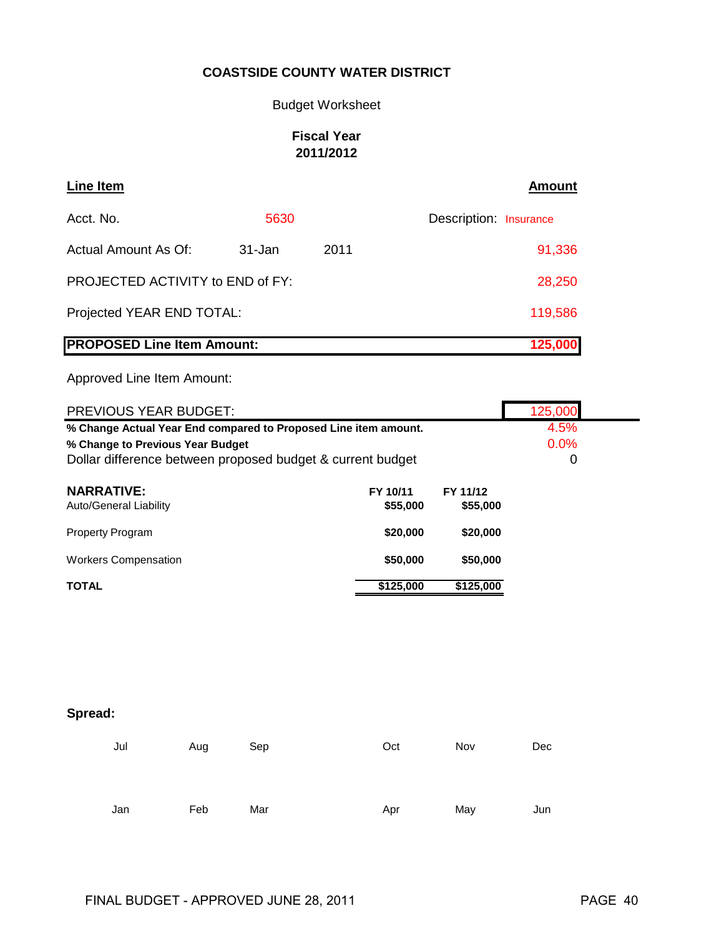Budget Worksheet

## **Fiscal Year 2011/2012**

| Line Item                         |        |      | <b>Amount</b>          |
|-----------------------------------|--------|------|------------------------|
| Acct. No.                         | 5630   |      | Description: Insurance |
| <b>Actual Amount As Of:</b>       | 31-Jan | 2011 | 91,336                 |
| PROJECTED ACTIVITY to END of FY:  |        |      | 28,250                 |
| Projected YEAR END TOTAL:         |        |      | 119,586                |
| <b>PROPOSED Line Item Amount:</b> |        |      | 125,000                |

Approved Line Item Amount:

| <b>PREVIOUS YEAR BUDGET:</b>                                    | 125,000   |           |  |
|-----------------------------------------------------------------|-----------|-----------|--|
| % Change Actual Year End compared to Proposed Line item amount. | 4.5%      |           |  |
| % Change to Previous Year Budget                                | $0.0\%$   |           |  |
| Dollar difference between proposed budget & current budget      | 0         |           |  |
| <b>NARRATIVE:</b>                                               | FY 10/11  | FY 11/12  |  |
| Auto/General Liability                                          | \$55,000  | \$55,000  |  |
|                                                                 |           |           |  |
| <b>Property Program</b>                                         | \$20,000  | \$20,000  |  |
| <b>Workers Compensation</b>                                     | \$50,000  | \$50,000  |  |
| <b>TOTAL</b>                                                    | \$125,000 | \$125,000 |  |

| Jul | Aug | Sep | Oct | Nov | Dec |
|-----|-----|-----|-----|-----|-----|
|     |     |     |     |     |     |
| Jan | Feb | Mar | Apr | May | Jun |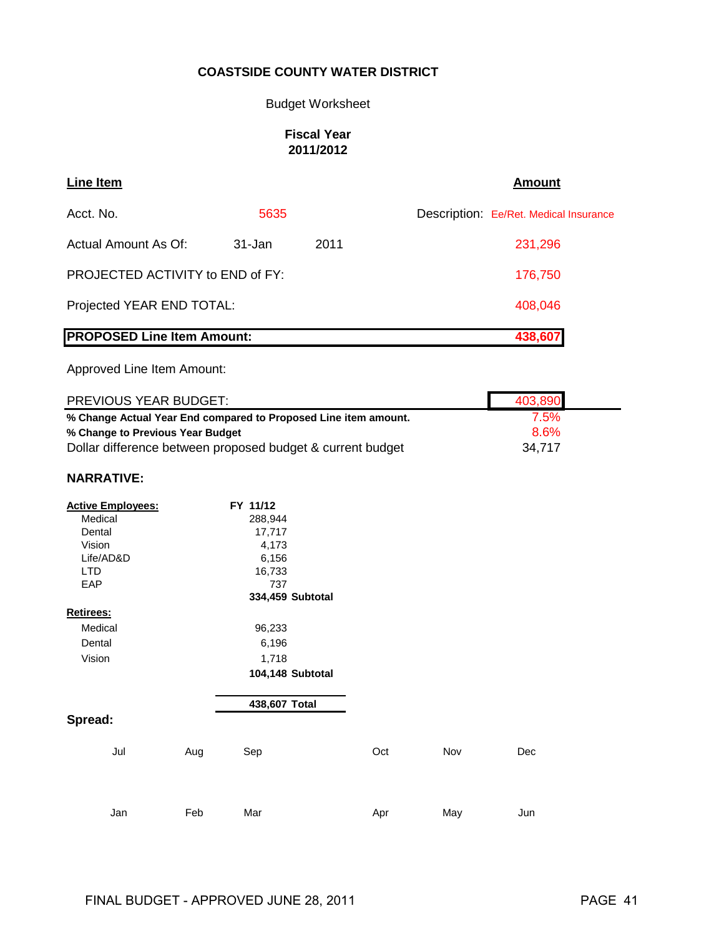### Budget Worksheet

### **Fiscal Year 2011/2012**

| <b>Line Item</b>                        |        |      | <b>Amount</b>                          |
|-----------------------------------------|--------|------|----------------------------------------|
| Acct. No.                               | 5635   |      | Description: Ee/Ret. Medical Insurance |
| Actual Amount As Of:                    | 31-Jan | 2011 | 231,296                                |
| <b>PROJECTED ACTIVITY to END of FY:</b> |        |      | 176,750                                |
| Projected YEAR END TOTAL:               |        |      | 408,046                                |
| <b>PROPOSED Line Item Amount:</b>       |        |      | 438,607                                |

Approved Line Item Amount:

| PREVIOUS YEAR BUDGET:                                           | 403,890 |
|-----------------------------------------------------------------|---------|
| % Change Actual Year End compared to Proposed Line item amount. | 7.5%    |
| % Change to Previous Year Budget                                | 8.6%    |
| Dollar difference between proposed budget & current budget      | 34.717  |

### **NARRATIVE:**

| <b>Active Employees:</b> |     | FY 11/12         |     |     |     |
|--------------------------|-----|------------------|-----|-----|-----|
| Medical                  |     | 288,944          |     |     |     |
| Dental                   |     | 17,717           |     |     |     |
| Vision                   |     | 4,173            |     |     |     |
| Life/AD&D                |     | 6,156            |     |     |     |
| <b>LTD</b>               |     | 16,733           |     |     |     |
| EAP                      |     | 737              |     |     |     |
|                          |     | 334,459 Subtotal |     |     |     |
| Retirees:                |     |                  |     |     |     |
| Medical                  |     | 96,233           |     |     |     |
| Dental                   |     | 6,196            |     |     |     |
| Vision                   |     | 1,718            |     |     |     |
|                          |     | 104,148 Subtotal |     |     |     |
|                          |     | 438,607 Total    |     |     |     |
| Spread:                  |     |                  |     |     |     |
| Jul                      | Aug | Sep              | Oct | Nov | Dec |
|                          |     |                  |     |     |     |
| Jan                      | Feb | Mar              |     | May | Jun |
|                          |     |                  | Apr |     |     |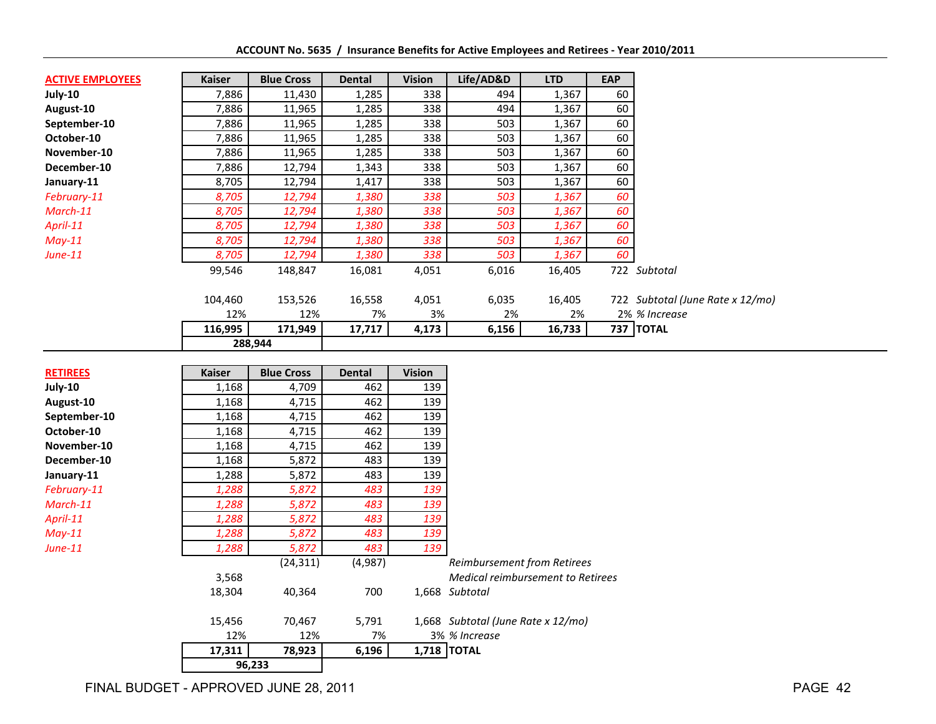| <b>ACTIVE EMPLOYEES</b> | <b>Kaiser</b> | <b>Blue Cross</b> | <b>Dental</b> | <b>Vision</b> | Life/AD&D | <b>LTD</b> | <b>EAP</b> |                                  |
|-------------------------|---------------|-------------------|---------------|---------------|-----------|------------|------------|----------------------------------|
| July-10                 | 7,886         | 11,430            | 1,285         | 338           | 494       | 1,367      | 60         |                                  |
| August-10               | 7,886         | 11,965            | 1,285         | 338           | 494       | 1,367      | 60         |                                  |
| September-10            | 7,886         | 11,965            | 1,285         | 338           | 503       | 1,367      | 60         |                                  |
| October-10              | 7,886         | 11,965            | 1,285         | 338           | 503       | 1,367      | 60         |                                  |
| November-10             | 7,886         | 11,965            | 1,285         | 338           | 503       | 1,367      | 60         |                                  |
| December-10             | 7,886         | 12,794            | 1,343         | 338           | 503       | 1,367      | 60         |                                  |
| January-11              | 8,705         | 12,794            | 1,417         | 338           | 503       | 1,367      | 60         |                                  |
| February-11             | 8,705         | 12,794            | 1,380         | 338           | 503       | 1,367      | 60         |                                  |
| March-11                | 8,705         | 12,794            | 1,380         | 338           | 503       | 1,367      | 60         |                                  |
| April-11                | 8,705         | 12,794            | 1,380         | 338           | 503       | 1,367      | 60         |                                  |
| $May-11$                | 8,705         | 12,794            | 1,380         | 338           | 503       | 1,367      | 60         |                                  |
| June-11                 | 8,705         | 12,794            | 1,380         | 338           | 503       | 1,367      | 60         |                                  |
|                         | 99,546        | 148,847           | 16,081        | 4,051         | 6,016     | 16,405     |            | 722 Subtotal                     |
|                         | 104,460       | 153,526           | 16,558        | 4,051         | 6,035     | 16,405     |            | 722 Subtotal (June Rate x 12/mo) |
|                         | 12%           | 12%               | 7%            | 3%            | 2%        | 2%         |            | 2% % Increase                    |
|                         | 116,995       | 171,949           | 17,717        | 4,173         | 6,156     | 16,733     |            | 737 TOTAL                        |
|                         |               | 288,944           |               |               |           |            |            |                                  |

| <b>RETIREES</b> | <b>Kaiser</b> | <b>Blue Cross</b> | <b>Dental</b> | <b>Vision</b> |                                    |
|-----------------|---------------|-------------------|---------------|---------------|------------------------------------|
| July-10         | 1,168         | 4,709             | 462           | 139           |                                    |
| August-10       | 1,168         | 4,715             | 462           | 139           |                                    |
| September-10    | 1,168         | 4,715             | 462           | 139           |                                    |
| October-10      | 1,168         | 4,715             | 462           | 139           |                                    |
| November-10     | 1,168         | 4,715             | 462           | 139           |                                    |
| December-10     | 1,168         | 5,872             | 483           | 139           |                                    |
| January-11      | 1,288         | 5,872             | 483           | 139           |                                    |
| February-11     | 1,288         | 5,872             | 483           | 139           |                                    |
| March-11        | 1,288         | 5,872             | 483           | 139           |                                    |
| April-11        | 1,288         | 5,872             | 483           | 139           |                                    |
| $May-11$        | 1,288         | 5,872             | 483           | 139           |                                    |
| <b>June-11</b>  | 1,288         | 5,872             | 483           | 139           |                                    |
|                 |               | (24, 311)         | (4,987)       |               | <b>Reimbursement from Retirees</b> |
|                 | 3,568         |                   |               |               | Medical reimbursement to Retirees  |
|                 | 18,304        | 40,364            | 700           |               | 1,668 Subtotal                     |
|                 | 15,456        | 70,467            | 5,791         |               | 1,668 Subtotal (June Rate x 12/mo) |
|                 | 12%           | 12%               | 7%            |               | 3% % Increase                      |
|                 | 17,311        | 78,923            | 6,196         |               | <b>1,718 TOTAL</b>                 |
|                 |               | 96,233            |               |               |                                    |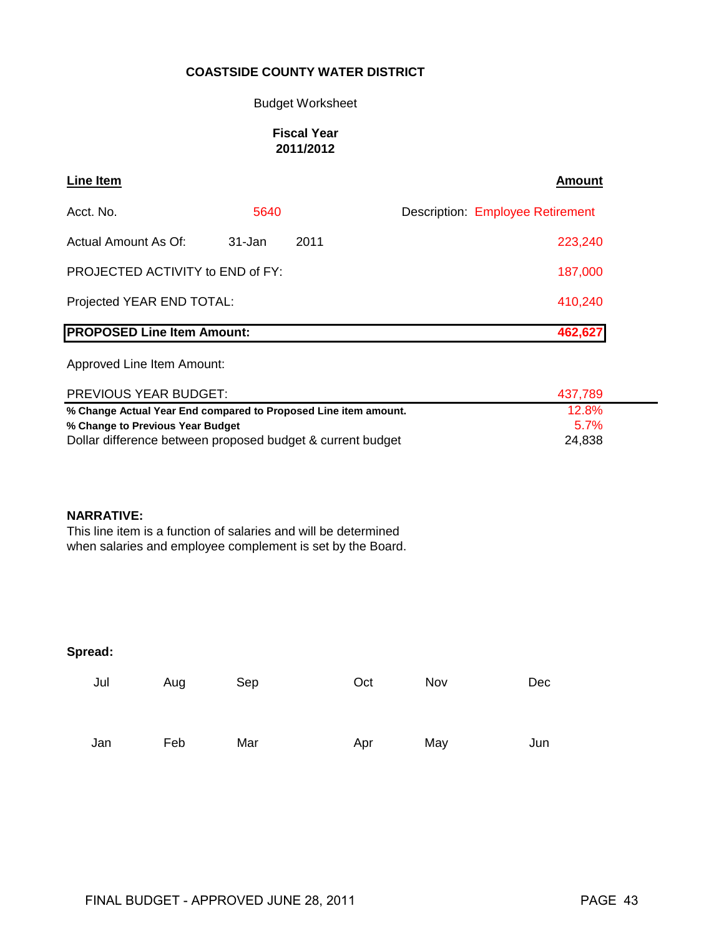#### Budget Worksheet

### **Fiscal Year 2011/2012**

| <b>Line Item</b>                        |            |      | <b>Amount</b>                           |
|-----------------------------------------|------------|------|-----------------------------------------|
| Acct. No.                               | 5640       |      | <b>Description: Employee Retirement</b> |
| Actual Amount As Of:                    | $31 - Jan$ | 2011 | 223,240                                 |
| <b>PROJECTED ACTIVITY to END of FY:</b> |            |      | 187,000                                 |
| Projected YEAR END TOTAL:               |            |      | 410,240                                 |
| <b>PROPOSED Line Item Amount:</b>       |            |      | 462,627                                 |

Approved Line Item Amount:

| <b>PREVIOUS YEAR BUDGET:</b>                                    | 437.789 |
|-----------------------------------------------------------------|---------|
| % Change Actual Year End compared to Proposed Line item amount. | 12.8%   |
| % Change to Previous Year Budget                                | 57%     |
| Dollar difference between proposed budget & current budget      | 24,838  |

#### **NARRATIVE:**

This line item is a function of salaries and will be determined when salaries and employee complement is set by the Board.

| Jul | Aug | Sep | Oct | Nov | Dec |
|-----|-----|-----|-----|-----|-----|
| Jan | Feb | Mar | Apr | May | Jun |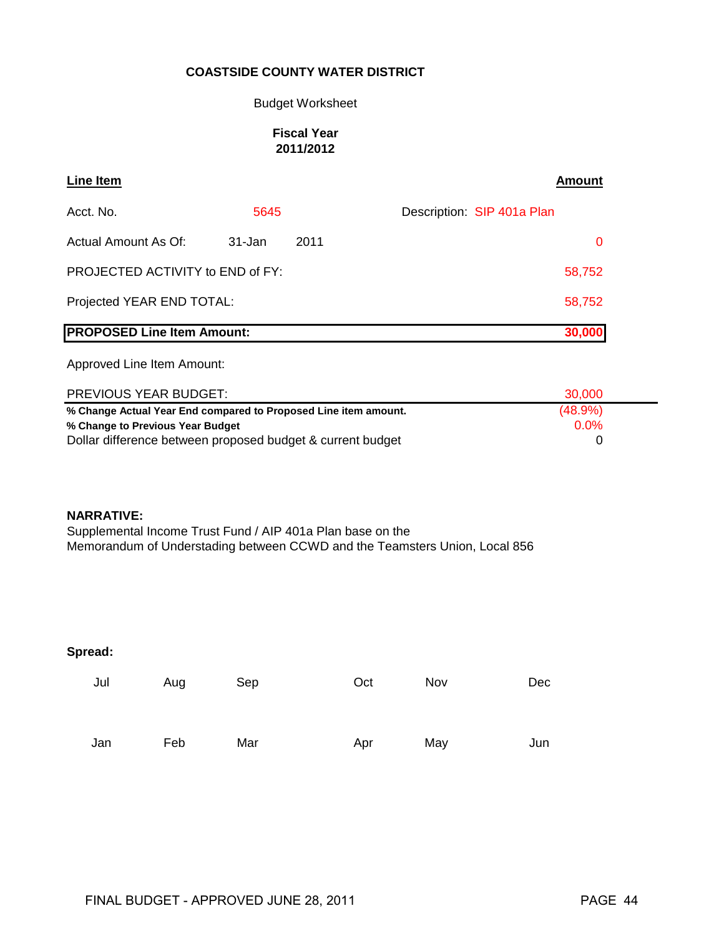#### Budget Worksheet

### **Fiscal Year 2011/2012**

| <b>Line Item</b>                        |            |      |                            | <b>Amount</b> |
|-----------------------------------------|------------|------|----------------------------|---------------|
| Acct. No.                               | 5645       |      | Description: SIP 401a Plan |               |
| Actual Amount As Of:                    | $31 - Jan$ | 2011 |                            | 0             |
| <b>PROJECTED ACTIVITY to END of FY:</b> |            |      |                            | 58,752        |
| Projected YEAR END TOTAL:               |            |      |                            | 58,752        |
| <b>PROPOSED Line Item Amount:</b>       |            |      |                            | 30,000        |

Approved Line Item Amount:

| <b>PREVIOUS YEAR BUDGET:</b>                                    | 30,000     |
|-----------------------------------------------------------------|------------|
| % Change Actual Year End compared to Proposed Line item amount. | $(48.9\%)$ |
| % Change to Previous Year Budget                                | 0.0%       |
| Dollar difference between proposed budget & current budget      |            |

#### **NARRATIVE:**

Supplemental Income Trust Fund / AIP 401a Plan base on the Memorandum of Understading between CCWD and the Teamsters Union, Local 856

| Jul | Aug | Sep | Oct | Nov | Dec |
|-----|-----|-----|-----|-----|-----|
| Jan | Feb | Mar | Apr | May | Jun |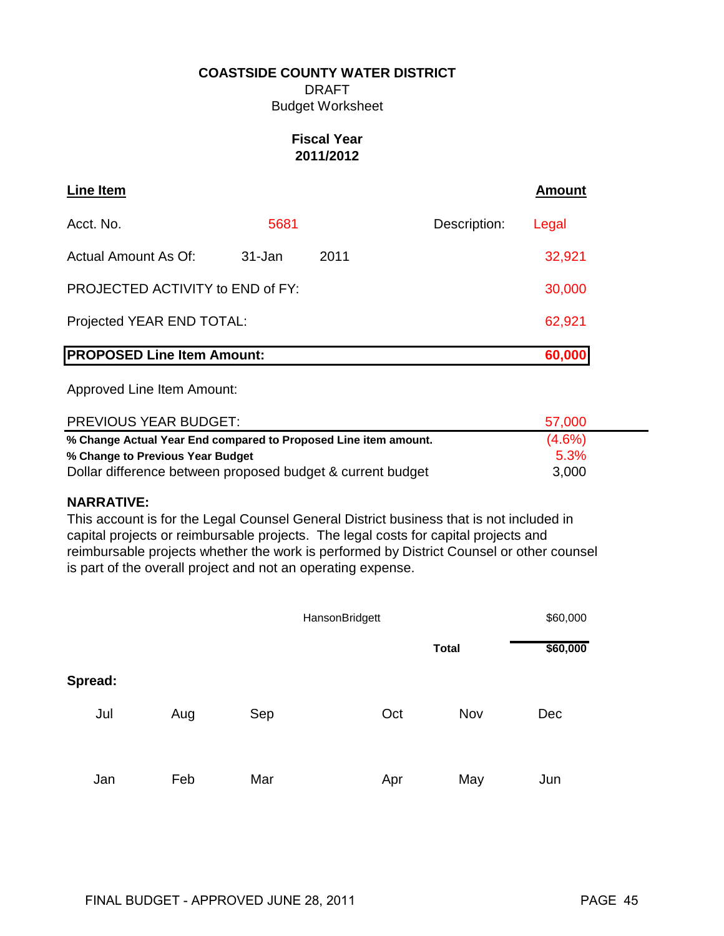DRAFT Budget Worksheet

# **Fiscal Year 2011/2012**

| <b>Line Item</b>                  |        |      |              | <b>Amount</b> |
|-----------------------------------|--------|------|--------------|---------------|
| Acct. No.                         | 5681   |      | Description: | Legal         |
| Actual Amount As Of:              | 31-Jan | 2011 |              | 32,921        |
| PROJECTED ACTIVITY to END of FY:  |        |      |              | 30,000        |
| Projected YEAR END TOTAL:         |        |      |              | 62,921        |
| <b>PROPOSED Line Item Amount:</b> |        |      | 60,000       |               |

Approved Line Item Amount:

| <b>PREVIOUS YEAR BUDGET:</b>                                    | 57,000    |
|-----------------------------------------------------------------|-----------|
| % Change Actual Year End compared to Proposed Line item amount. | $(4.6\%)$ |
| % Change to Previous Year Budget                                | 5.3%      |
| Dollar difference between proposed budget & current budget      | 3.000     |

### **NARRATIVE:**

This account is for the Legal Counsel General District business that is not included in capital projects or reimbursable projects. The legal costs for capital projects and reimbursable projects whether the work is performed by District Counsel or other counsel is part of the overall project and not an operating expense.

|         | HansonBridgett |     |     | \$60,000     |          |
|---------|----------------|-----|-----|--------------|----------|
|         |                |     |     | <b>Total</b> | \$60,000 |
| Spread: |                |     |     |              |          |
| Jul     | Aug            | Sep | Oct | Nov          | Dec      |
| Jan     | Feb            | Mar | Apr | May          | Jun      |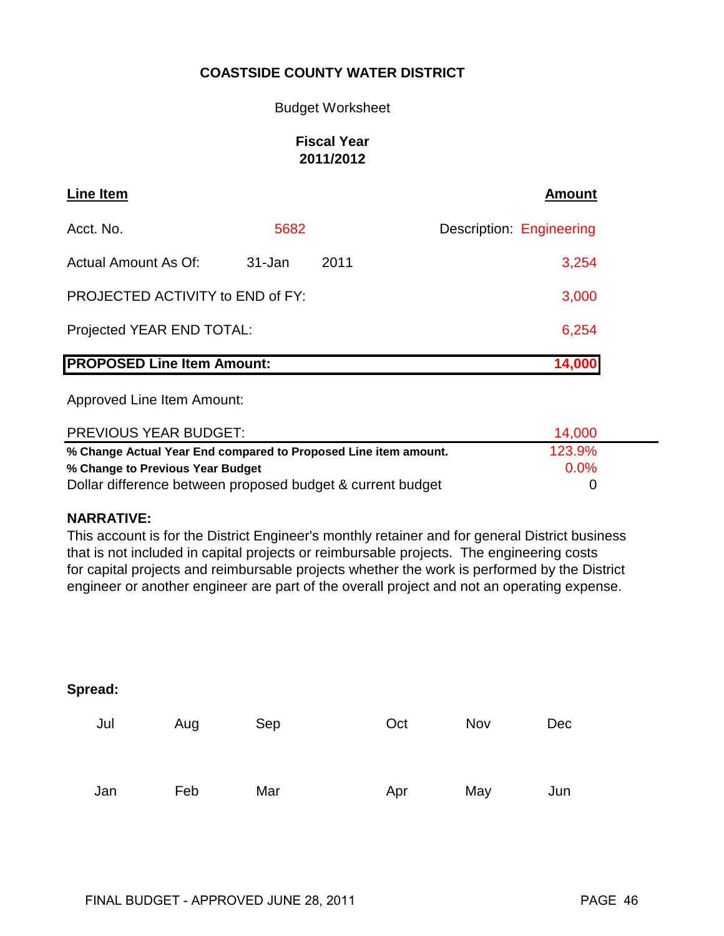### Budget Worksheet

## **Fiscal Year 2011/2012**

| <b>Line Item</b>                  |        |       | <b>Amount</b>            |
|-----------------------------------|--------|-------|--------------------------|
| Acct. No.                         | 5682   |       | Description: Engineering |
| Actual Amount As Of:              | 31-Jan | 2011  | 3,254                    |
| PROJECTED ACTIVITY to END of FY:  |        | 3,000 |                          |
| Projected YEAR END TOTAL:         |        |       | 6,254                    |
| <b>PROPOSED Line Item Amount:</b> |        |       | 14,000                   |

Approved Line Item Amount:

| PREVIOUS YEAR BUDGET:                                           | 14.000   |  |
|-----------------------------------------------------------------|----------|--|
| % Change Actual Year End compared to Proposed Line item amount. | 123.9%   |  |
| % Change to Previous Year Budget                                | $0.0\%$  |  |
| Dollar difference between proposed budget & current budget      | $\Omega$ |  |

### **NARRATIVE:**

This account is for the District Engineer's monthly retainer and for general District business that is not included in capital projects or reimbursable projects. The engineering costs for capital projects and reimbursable projects whether the work is performed by the District engineer or another engineer are part of the overall project and not an operating expense.

| Spread: |  |
|---------|--|
|---------|--|

| Jul | Aug | Sep | Oct | Nov | Dec |
|-----|-----|-----|-----|-----|-----|
| Jan | Feb | Mar | Apr | May | Jun |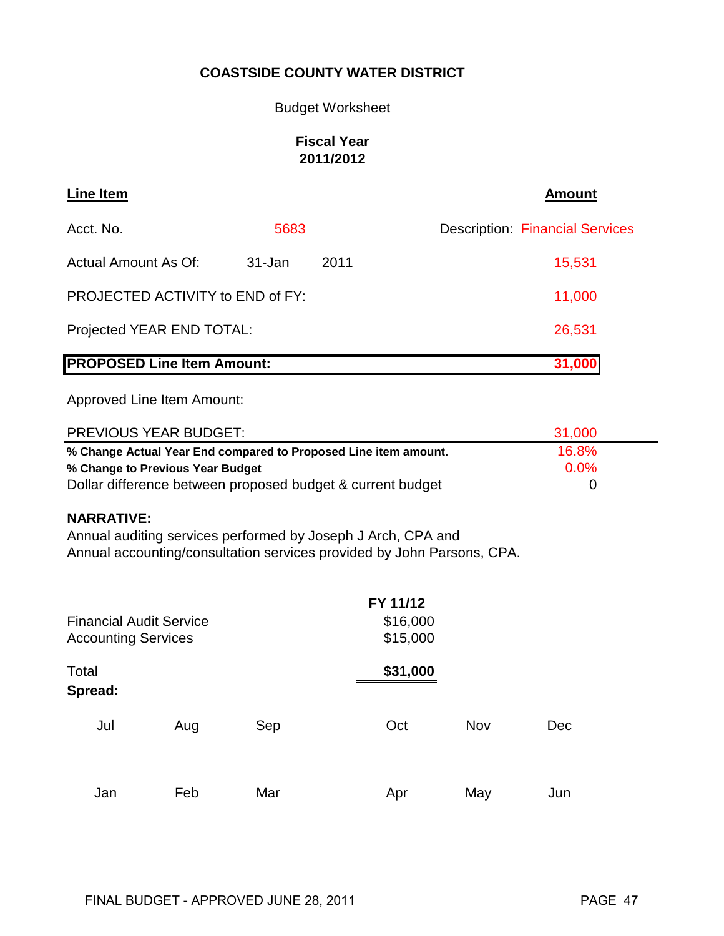### Budget Worksheet

## **Fiscal Year 2011/2012**

| Line Item                         |        |        | <b>Amount</b>                          |
|-----------------------------------|--------|--------|----------------------------------------|
| Acct. No.                         | 5683   |        | <b>Description: Financial Services</b> |
| Actual Amount As Of:              | 31-Jan | 2011   | 15,531                                 |
| PROJECTED ACTIVITY to END of FY:  |        | 11,000 |                                        |
| Projected YEAR END TOTAL:         |        |        | 26,531                                 |
| <b>PROPOSED Line Item Amount:</b> |        |        | 31,000                                 |

Approved Line Item Amount:

| <b>PREVIOUS YEAR BUDGET:</b>                                    | 31,000  |
|-----------------------------------------------------------------|---------|
| % Change Actual Year End compared to Proposed Line item amount. | 16.8%   |
| % Change to Previous Year Budget                                | $0.0\%$ |
| Dollar difference between proposed budget & current budget      |         |

### **NARRATIVE:**

Annual auditing services performed by Joseph J Arch, CPA and Annual accounting/consultation services provided by John Parsons, CPA.

|                                |     |     | FY 11/12 |     |     |
|--------------------------------|-----|-----|----------|-----|-----|
| <b>Financial Audit Service</b> |     |     | \$16,000 |     |     |
| <b>Accounting Services</b>     |     |     | \$15,000 |     |     |
| Total<br>Spread:               |     |     | \$31,000 |     |     |
| Jul                            | Aug | Sep | Oct      | Nov | Dec |
| Jan                            | Feb | Mar | Apr      | May | Jun |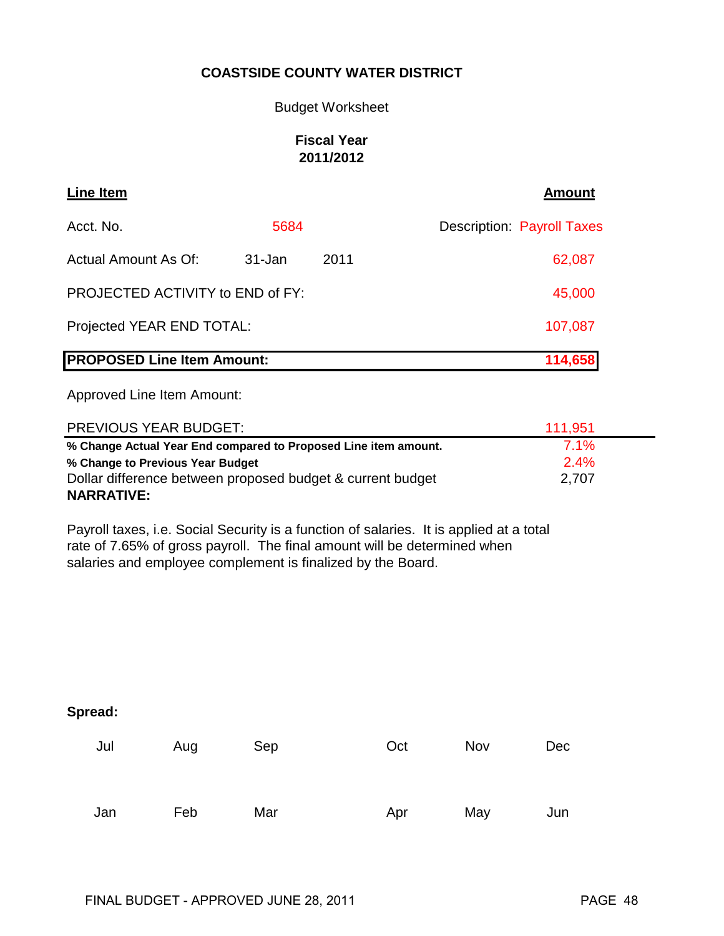### Budget Worksheet

### **Fiscal Year 2011/2012**

| Line Item                               |            |         | <b>Amount</b>                     |
|-----------------------------------------|------------|---------|-----------------------------------|
| Acct. No.                               | 5684       |         | <b>Description: Payroll Taxes</b> |
| Actual Amount As Of:                    | $31 - Jan$ | 2011    | 62,087                            |
| <b>PROJECTED ACTIVITY to END of FY:</b> |            |         | 45,000                            |
| Projected YEAR END TOTAL:               |            | 107,087 |                                   |
| <b>PROPOSED Line Item Amount:</b>       |            |         | 114,658                           |

Approved Line Item Amount:

| <b>PREVIOUS YEAR BUDGET:</b>                                    | 111.951 |  |
|-----------------------------------------------------------------|---------|--|
| % Change Actual Year End compared to Proposed Line item amount. | $7.1\%$ |  |
| % Change to Previous Year Budget                                | 2.4%    |  |
| Dollar difference between proposed budget & current budget      | 2,707   |  |
| <b>NARRATIVE:</b>                                               |         |  |

Payroll taxes, i.e. Social Security is a function of salaries. It is applied at a total rate of 7.65% of gross payroll. The final amount will be determined when salaries and employee complement is finalized by the Board.

| Jul | Aug | Sep | Oct | Nov | <b>Dec</b> |
|-----|-----|-----|-----|-----|------------|
| Jan | Feb | Mar | Apr | May | Jun        |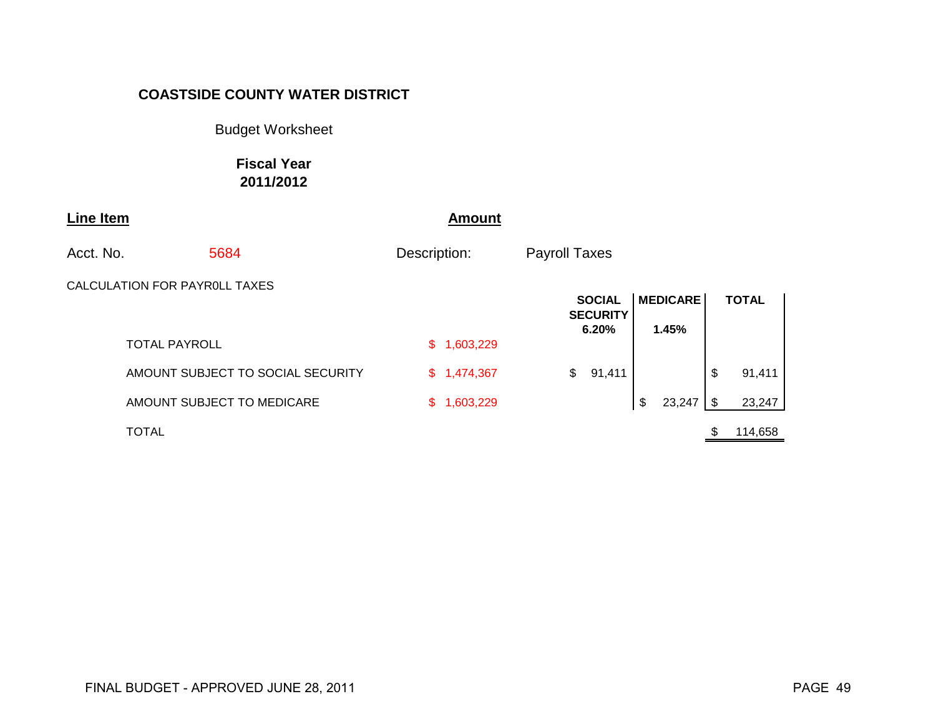Budget Worksheet

**Fiscal Year 2011/2012**

| <b>Line Item</b> |                               |                                   |              | <b>Amount</b> |                      |                                  |                 |              |  |
|------------------|-------------------------------|-----------------------------------|--------------|---------------|----------------------|----------------------------------|-----------------|--------------|--|
| Acct. No.        |                               | 5684                              | Description: |               | <b>Payroll Taxes</b> |                                  |                 |              |  |
|                  | CALCULATION FOR PAYROLL TAXES |                                   |              |               |                      | <b>SOCIAL</b><br><b>SECURITY</b> | <b>MEDICARE</b> | <b>TOTAL</b> |  |
|                  | <b>TOTAL PAYROLL</b>          |                                   |              | \$1,603,229   |                      | 6.20%                            | 1.45%           |              |  |
|                  |                               | AMOUNT SUBJECT TO SOCIAL SECURITY |              | \$1,474,367   | $\frac{1}{2}$        | 91,411                           |                 | \$<br>91,411 |  |
|                  |                               | AMOUNT SUBJECT TO MEDICARE        |              | \$1,603,229   |                      |                                  | \$<br>23,247    | \$<br>23,247 |  |
|                  | <b>TOTAL</b>                  |                                   |              |               |                      |                                  |                 | 114,658      |  |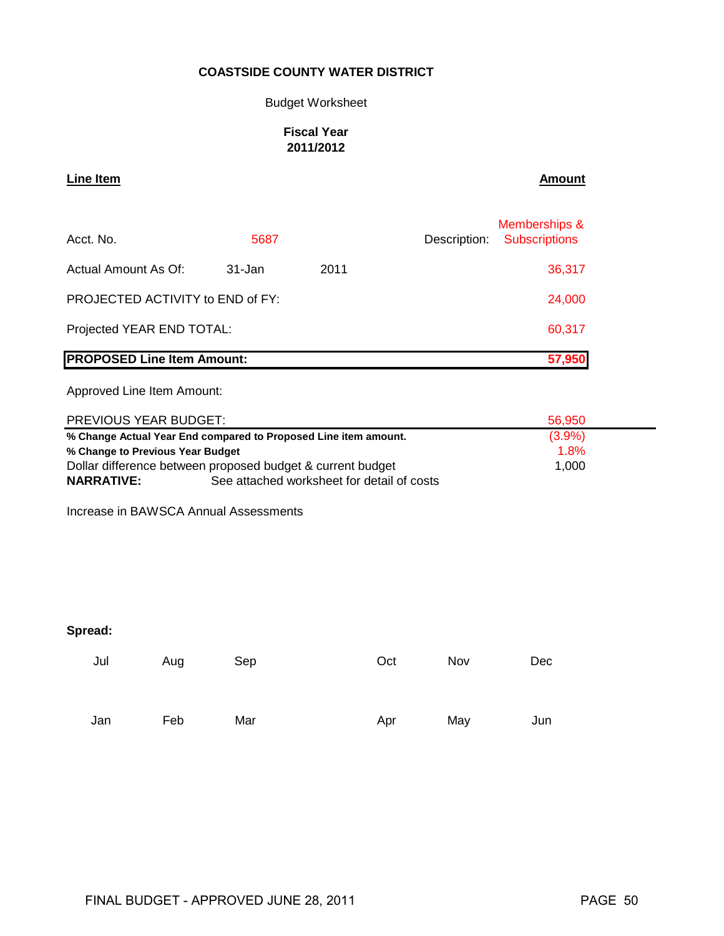#### Budget Worksheet

### **Fiscal Year 2011/2012**

### **Line Item Amount**

| <b>PROPOSED Line Item Amount:</b> |        |        |              | 57,950                                |
|-----------------------------------|--------|--------|--------------|---------------------------------------|
| Projected YEAR END TOTAL:         | 60,317 |        |              |                                       |
| PROJECTED ACTIVITY to END of FY:  |        | 24,000 |              |                                       |
| Actual Amount As Of:              | 31-Jan | 2011   |              | 36,317                                |
| Acct No.                          | 5687   |        | Description: | Memberships &<br><b>Subscriptions</b> |

Approved Line Item Amount:

| PREVIOUS YEAR BUDGET:            |                                                                 | 56.950    |  |
|----------------------------------|-----------------------------------------------------------------|-----------|--|
|                                  | % Change Actual Year End compared to Proposed Line item amount. | $(3.9\%)$ |  |
| % Change to Previous Year Budget |                                                                 | 1.8%      |  |
|                                  | Dollar difference between proposed budget & current budget      | 1.000     |  |
| <b>NARRATIVE:</b>                | See attached worksheet for detail of costs                      |           |  |

Increase in BAWSCA Annual Assessments

| Jul | Aug | Sep | Oct | Nov | Dec |
|-----|-----|-----|-----|-----|-----|
|     |     |     |     |     |     |
| Jan | Feb | Mar | Apr | May | Jun |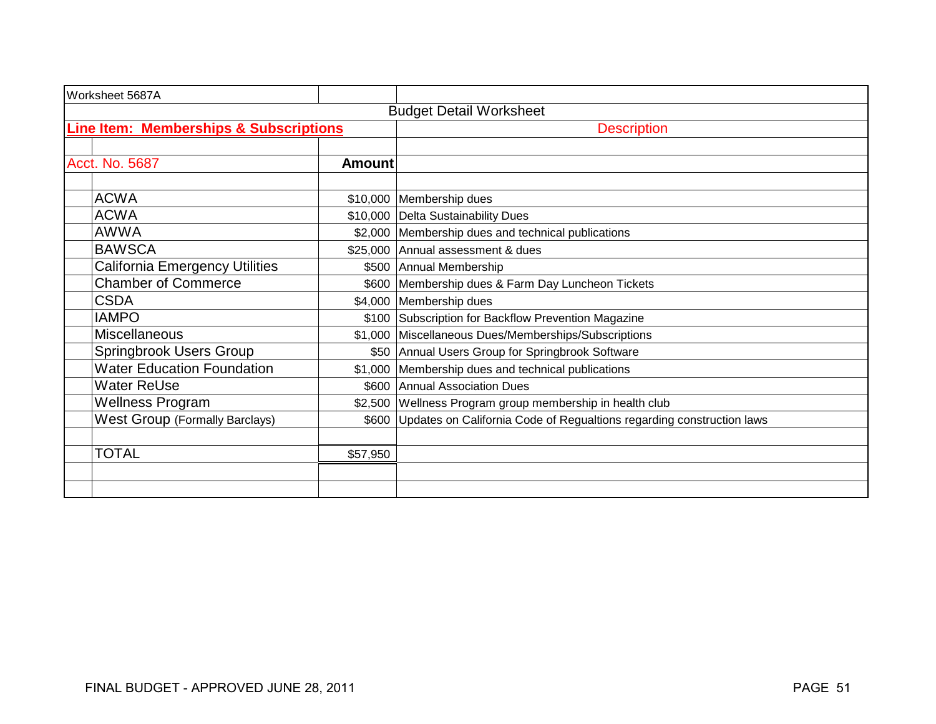| Worksheet 5687A                        |               |                                                                             |  |  |  |
|----------------------------------------|---------------|-----------------------------------------------------------------------------|--|--|--|
| <b>Budget Detail Worksheet</b>         |               |                                                                             |  |  |  |
| Line Item: Memberships & Subscriptions |               | <b>Description</b>                                                          |  |  |  |
|                                        |               |                                                                             |  |  |  |
| Acct. No. 5687                         | <b>Amount</b> |                                                                             |  |  |  |
|                                        |               |                                                                             |  |  |  |
| <b>ACWA</b>                            |               | \$10,000 Membership dues                                                    |  |  |  |
| <b>ACWA</b>                            | \$10,000      | Delta Sustainability Dues                                                   |  |  |  |
| <b>AWWA</b>                            |               | \$2,000 Membership dues and technical publications                          |  |  |  |
| <b>BAWSCA</b>                          | \$25,000      | Annual assessment & dues                                                    |  |  |  |
| <b>California Emergency Utilities</b>  |               | \$500 Annual Membership                                                     |  |  |  |
| <b>Chamber of Commerce</b>             |               | \$600 Membership dues & Farm Day Luncheon Tickets                           |  |  |  |
| <b>CSDA</b>                            |               | \$4,000 Membership dues                                                     |  |  |  |
| <b>IAMPO</b>                           |               | \$100 Subscription for Backflow Prevention Magazine                         |  |  |  |
| <b>Miscellaneous</b>                   |               | \$1,000 Miscellaneous Dues/Memberships/Subscriptions                        |  |  |  |
| <b>Springbrook Users Group</b>         |               | \$50 Annual Users Group for Springbrook Software                            |  |  |  |
| <b>Water Education Foundation</b>      | \$1,000       | Membership dues and technical publications                                  |  |  |  |
| <b>Water ReUse</b>                     | \$600         | Annual Association Dues                                                     |  |  |  |
| <b>Wellness Program</b>                |               | \$2,500 Wellness Program group membership in health club                    |  |  |  |
| <b>West Group (Formally Barclays)</b>  |               | \$600 Updates on California Code of Regualtions regarding construction laws |  |  |  |
|                                        |               |                                                                             |  |  |  |
| <b>TOTAL</b>                           | \$57,950      |                                                                             |  |  |  |
|                                        |               |                                                                             |  |  |  |
|                                        |               |                                                                             |  |  |  |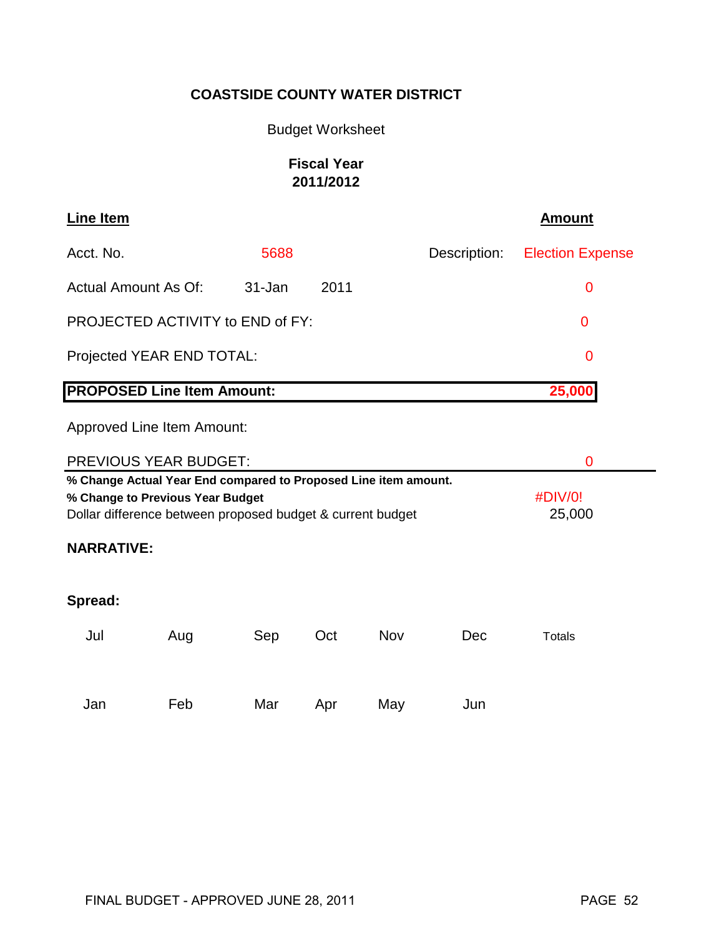# Budget Worksheet

# **Fiscal Year 2011/2012**

| <b>Line Item</b>                                                                                                                                                  |     |            |      |     |              | <b>Amount</b>           |  |
|-------------------------------------------------------------------------------------------------------------------------------------------------------------------|-----|------------|------|-----|--------------|-------------------------|--|
| Acct. No.                                                                                                                                                         |     | 5688       |      |     | Description: | <b>Election Expense</b> |  |
| <b>Actual Amount As Of:</b>                                                                                                                                       |     | $31 - Jan$ | 2011 |     |              | $\mathbf 0$             |  |
| PROJECTED ACTIVITY to END of FY:                                                                                                                                  |     |            |      |     |              | $\overline{0}$          |  |
| Projected YEAR END TOTAL:                                                                                                                                         |     |            |      |     |              | 0                       |  |
| <b>PROPOSED Line Item Amount:</b>                                                                                                                                 |     |            |      |     |              | 25,000                  |  |
| <b>Approved Line Item Amount:</b>                                                                                                                                 |     |            |      |     |              |                         |  |
| <b>PREVIOUS YEAR BUDGET:</b>                                                                                                                                      |     |            |      |     |              | 0                       |  |
| % Change Actual Year End compared to Proposed Line item amount.<br>% Change to Previous Year Budget<br>Dollar difference between proposed budget & current budget |     |            |      |     |              | #DIV/0!<br>25,000       |  |
| <b>NARRATIVE:</b>                                                                                                                                                 |     |            |      |     |              |                         |  |
| Spread:                                                                                                                                                           |     |            |      |     |              |                         |  |
| Jul                                                                                                                                                               | Aug | Sep        | Oct  | Nov | Dec          | <b>Totals</b>           |  |
| Jan                                                                                                                                                               | Feb | Mar        | Apr  | May | Jun          |                         |  |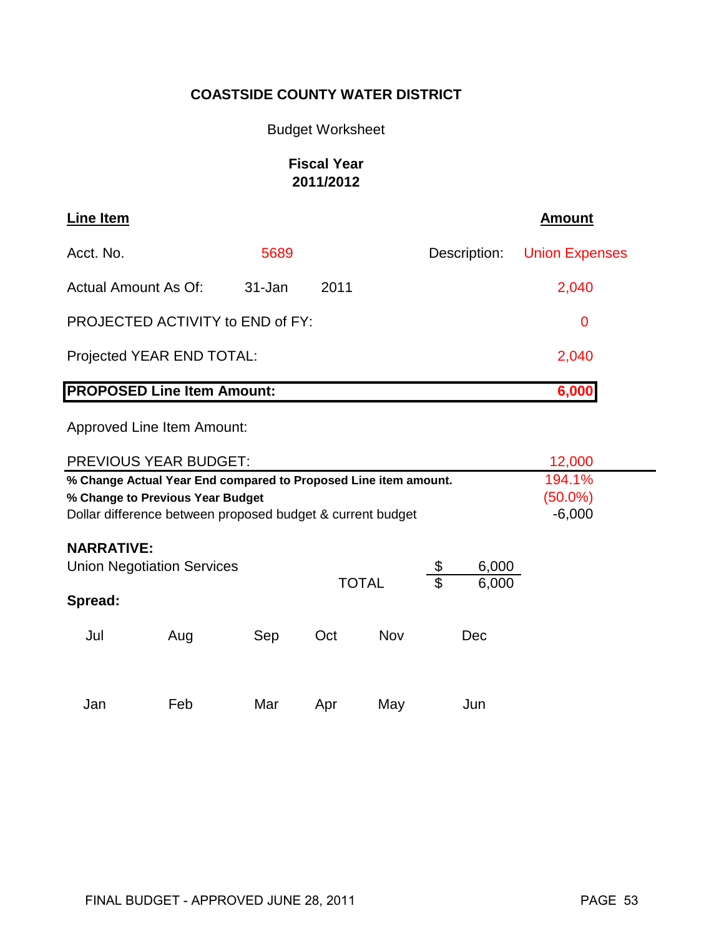# Budget Worksheet

# **Fiscal Year 2011/2012**

| <b>Line Item</b>                  |            |      |              | <b>Amount</b>         |
|-----------------------------------|------------|------|--------------|-----------------------|
| Acct. No.                         | 5689       |      | Description: | <b>Union Expenses</b> |
| Actual Amount As Of:              | $31 - Jan$ | 2011 |              | 2,040                 |
| PROJECTED ACTIVITY to END of FY:  |            |      |              | 0                     |
| Projected YEAR END TOTAL:         | 2,040      |      |              |                       |
| <b>PROPOSED Line Item Amount:</b> | 6,000      |      |              |                       |
|                                   |            |      |              |                       |

| PREVIOUS YEAR BUDGET:                                                                                                                                             |                                   |     |     |              |    |                | 12,000                           |  |
|-------------------------------------------------------------------------------------------------------------------------------------------------------------------|-----------------------------------|-----|-----|--------------|----|----------------|----------------------------------|--|
| % Change Actual Year End compared to Proposed Line item amount.<br>% Change to Previous Year Budget<br>Dollar difference between proposed budget & current budget |                                   |     |     |              |    |                | 194.1%<br>$(50.0\%)$<br>$-6,000$ |  |
| <b>NARRATIVE:</b>                                                                                                                                                 | <b>Union Negotiation Services</b> |     |     | <b>TOTAL</b> | \$ | 6,000<br>6,000 |                                  |  |
| Spread:                                                                                                                                                           |                                   |     |     |              |    |                |                                  |  |
| Jul                                                                                                                                                               | Aug                               | Sep | Oct | Nov          |    | Dec            |                                  |  |
| Jan                                                                                                                                                               | Feb                               | Mar | Apr | May          |    | Jun            |                                  |  |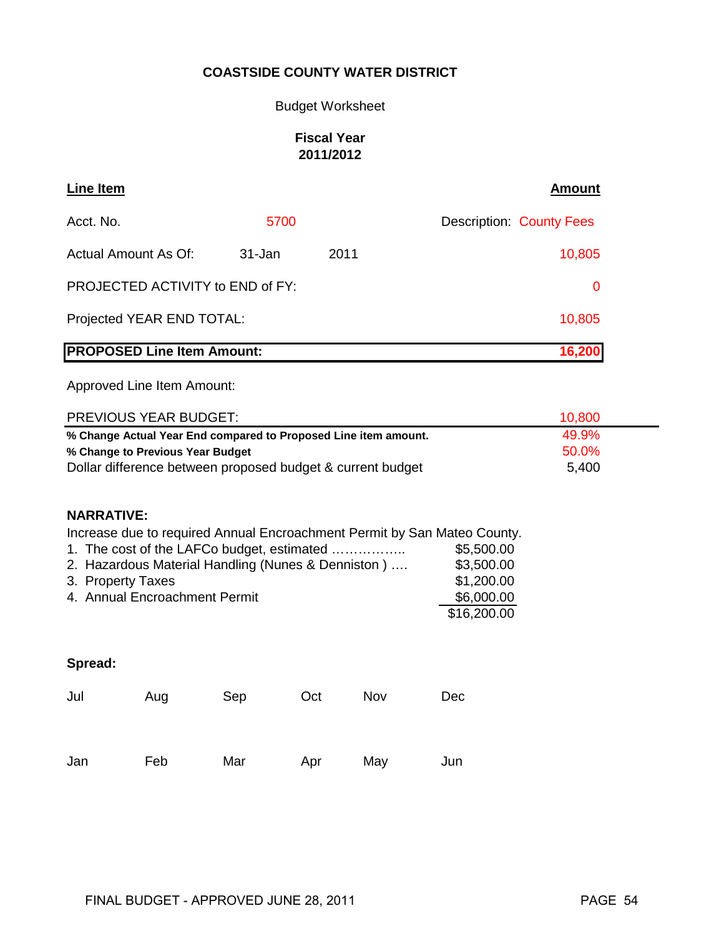### Budget Worksheet

### **Fiscal Year 2011/2012**

| L <u>ine Item</u>                 |        |      | <b>Amount</b>                   |
|-----------------------------------|--------|------|---------------------------------|
| Acct. No.                         | 5700   |      | <b>Description: County Fees</b> |
| Actual Amount As Of:              | 31-Jan | 2011 | 10,805                          |
| PROJECTED ACTIVITY to END of FY:  | 0      |      |                                 |
| Projected YEAR END TOTAL:         | 10,805 |      |                                 |
| <b>PROPOSED Line Item Amount:</b> |        |      | 16,200                          |

Approved Line Item Amount:

| <b>PREVIOUS YEAR BUDGET:</b>                                    | 10.800 |
|-----------------------------------------------------------------|--------|
| % Change Actual Year End compared to Proposed Line item amount. | 49.9%  |
| % Change to Previous Year Budget                                | 50.0%  |
| Dollar difference between proposed budget & current budget      | 5,400  |

### **NARRATIVE:**

Increase due to required Annual Encroachment Permit by San Mateo County.

| 1. The cost of the LAFCo budget, estimated         | \$5,500.00  |
|----------------------------------------------------|-------------|
| 2. Hazardous Material Handling (Nunes & Denniston) | \$3,500.00  |
| 3. Property Taxes                                  | \$1,200.00  |
| 4. Annual Encroachment Permit                      | \$6,000.00  |
|                                                    | \$16,200.00 |

| Jul | Aug | Sep | Oct | Nov | Dec |
|-----|-----|-----|-----|-----|-----|
| Jan | Feb | Mar | Apr | May | Jun |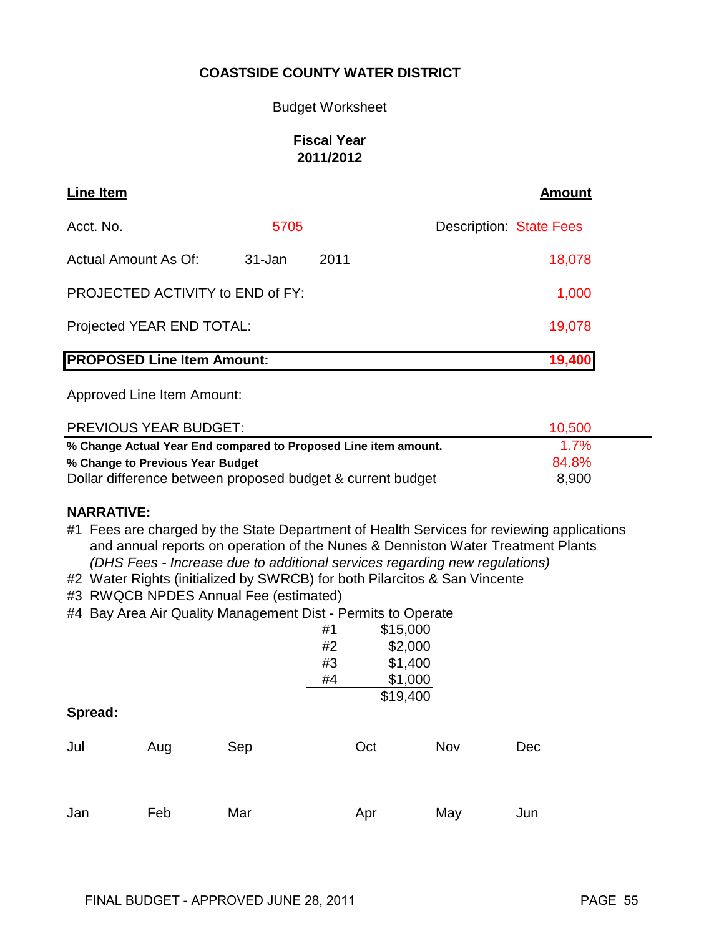#### Budget Worksheet

### **Fiscal Year 2011/2012**

| Line Item                         |        |      | <b>Amount</b>                  |
|-----------------------------------|--------|------|--------------------------------|
| Acct. No.                         | 5705   |      | <b>Description: State Fees</b> |
| <b>Actual Amount As Of:</b>       | 31-Jan | 2011 | 18,078                         |
| PROJECTED ACTIVITY to END of FY:  | 1,000  |      |                                |
| Projected YEAR END TOTAL:         |        |      | 19,078                         |
| <b>PROPOSED Line Item Amount:</b> |        |      | 19,400                         |

Approved Line Item Amount:

| <b>PREVIOUS YEAR BUDGET:</b>                                    | 10.500 |
|-----------------------------------------------------------------|--------|
| % Change Actual Year End compared to Proposed Line item amount. | 1.7%   |
| % Change to Previous Year Budget                                | 84.8%  |
| Dollar difference between proposed budget & current budget      | 8,900  |

### **NARRATIVE:**

- #1 Fees are charged by the State Department of Health Services for reviewing applications and annual reports on operation of the Nunes & Denniston Water Treatment Plants  *(DHS Fees - Increase due to additional services regarding new regulations)*
- #2 Water Rights (initialized by SWRCB) for both Pilarcitos & San Vincente
- #3 RWQCB NPDES Annual Fee (estimated)
- #4 Bay Area Air Quality Management Dist Permits to Operate

|         |     |     | #1 | \$15,000 |     |     |
|---------|-----|-----|----|----------|-----|-----|
|         |     |     | #2 | \$2,000  |     |     |
|         |     |     | #3 | \$1,400  |     |     |
|         |     |     | #4 | \$1,000  |     |     |
|         |     |     |    | \$19,400 |     |     |
| Spread: |     |     |    |          |     |     |
| Jul     | Aug | Sep |    | Oct      | Nov | Dec |
| Jan     | Feb | Mar |    | Apr      | May | Jun |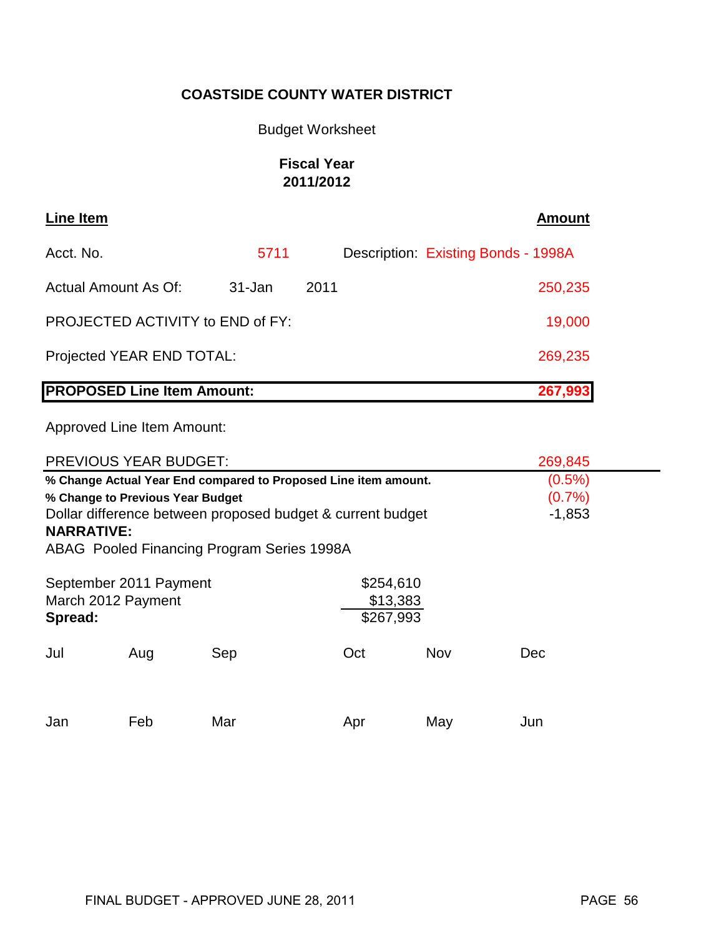# Budget Worksheet

# **Fiscal Year 2011/2012**

| Line Item                               |        |      |  | <b>Amount</b>                       |
|-----------------------------------------|--------|------|--|-------------------------------------|
| Acct. No.                               | 5711   |      |  | Description: Existing Bonds - 1998A |
| Actual Amount As Of:                    | 31-Jan | 2011 |  | 250,235                             |
| <b>PROJECTED ACTIVITY to END of FY:</b> |        |      |  | 19,000                              |
| Projected YEAR END TOTAL:<br>269,235    |        |      |  |                                     |
| <b>PROPOSED Line Item Amount:</b>       |        |      |  | 267,993                             |

| <b>PREVIOUS YEAR BUDGET:</b>                                                                                                                                                                                                         |     |                                | 269,845 |     |     |  |
|--------------------------------------------------------------------------------------------------------------------------------------------------------------------------------------------------------------------------------------|-----|--------------------------------|---------|-----|-----|--|
| % Change Actual Year End compared to Proposed Line item amount.<br>% Change to Previous Year Budget<br>Dollar difference between proposed budget & current budget<br><b>NARRATIVE:</b><br>ABAG Pooled Financing Program Series 1998A |     | $(0.5\%)$<br>(0.7%<br>$-1,853$ |         |     |     |  |
| September 2011 Payment<br>\$254,610<br>\$13,383<br>March 2012 Payment<br>\$267,993<br>Spread:                                                                                                                                        |     |                                |         |     |     |  |
| Jul                                                                                                                                                                                                                                  | Aug | Sep                            | Oct     | Nov | Dec |  |
| Jan                                                                                                                                                                                                                                  | Feb | Mar                            | Apr     | May | Jun |  |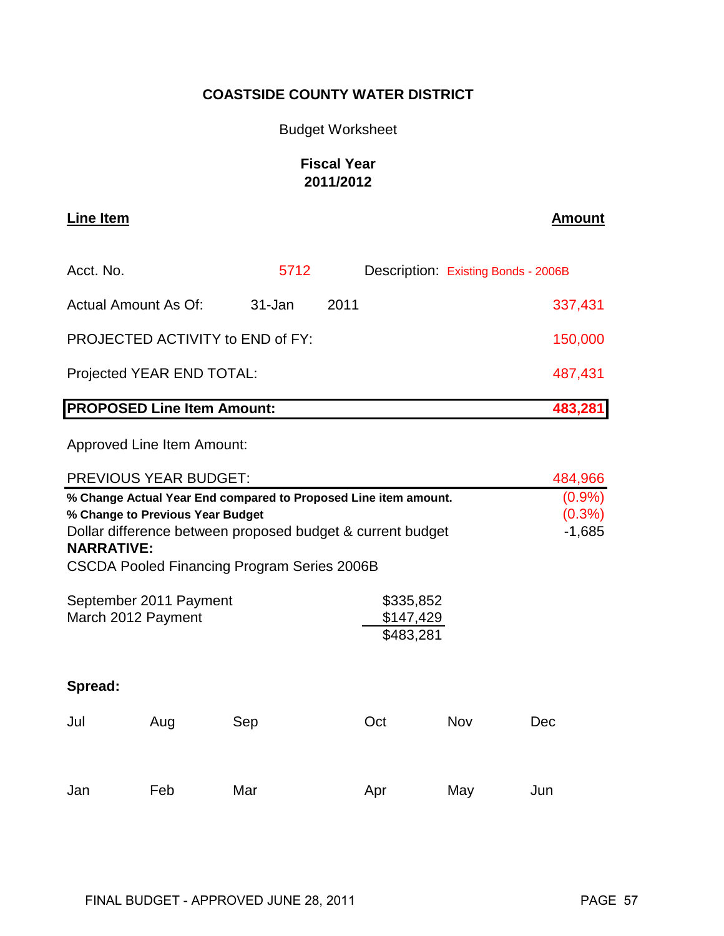## Budget Worksheet

# **Fiscal Year 2011/2012**

**Line Item Amount**

| <b>PROPOSED Line Item Amount:</b>    |        |      | 483,281                             |  |
|--------------------------------------|--------|------|-------------------------------------|--|
| Projected YEAR END TOTAL:<br>487,431 |        |      |                                     |  |
| PROJECTED ACTIVITY to END of FY:     |        |      | 150,000                             |  |
| Actual Amount As Of:                 | 31-Jan | 2011 | 337,431                             |  |
| Acct. No.                            | 5712   |      | Description: Existing Bonds - 2006B |  |

| <b>PREVIOUS YEAR BUDGET:</b>                                                                                                                                                                                                          |     | 484,966                     |     |     |     |
|---------------------------------------------------------------------------------------------------------------------------------------------------------------------------------------------------------------------------------------|-----|-----------------------------|-----|-----|-----|
| % Change Actual Year End compared to Proposed Line item amount.<br>% Change to Previous Year Budget<br>Dollar difference between proposed budget & current budget<br><b>NARRATIVE:</b><br>CSCDA Pooled Financing Program Series 2006B |     | (0.9%<br>(0.3%)<br>$-1,685$ |     |     |     |
| \$335,852<br>September 2011 Payment<br>\$147,429<br>March 2012 Payment<br>\$483,281                                                                                                                                                   |     |                             |     |     |     |
| Spread:                                                                                                                                                                                                                               |     |                             |     |     |     |
| Jul                                                                                                                                                                                                                                   | Aug | Sep                         | Oct | Nov | Dec |
| Jan                                                                                                                                                                                                                                   | Feb | Mar                         | Apr | May | Jun |